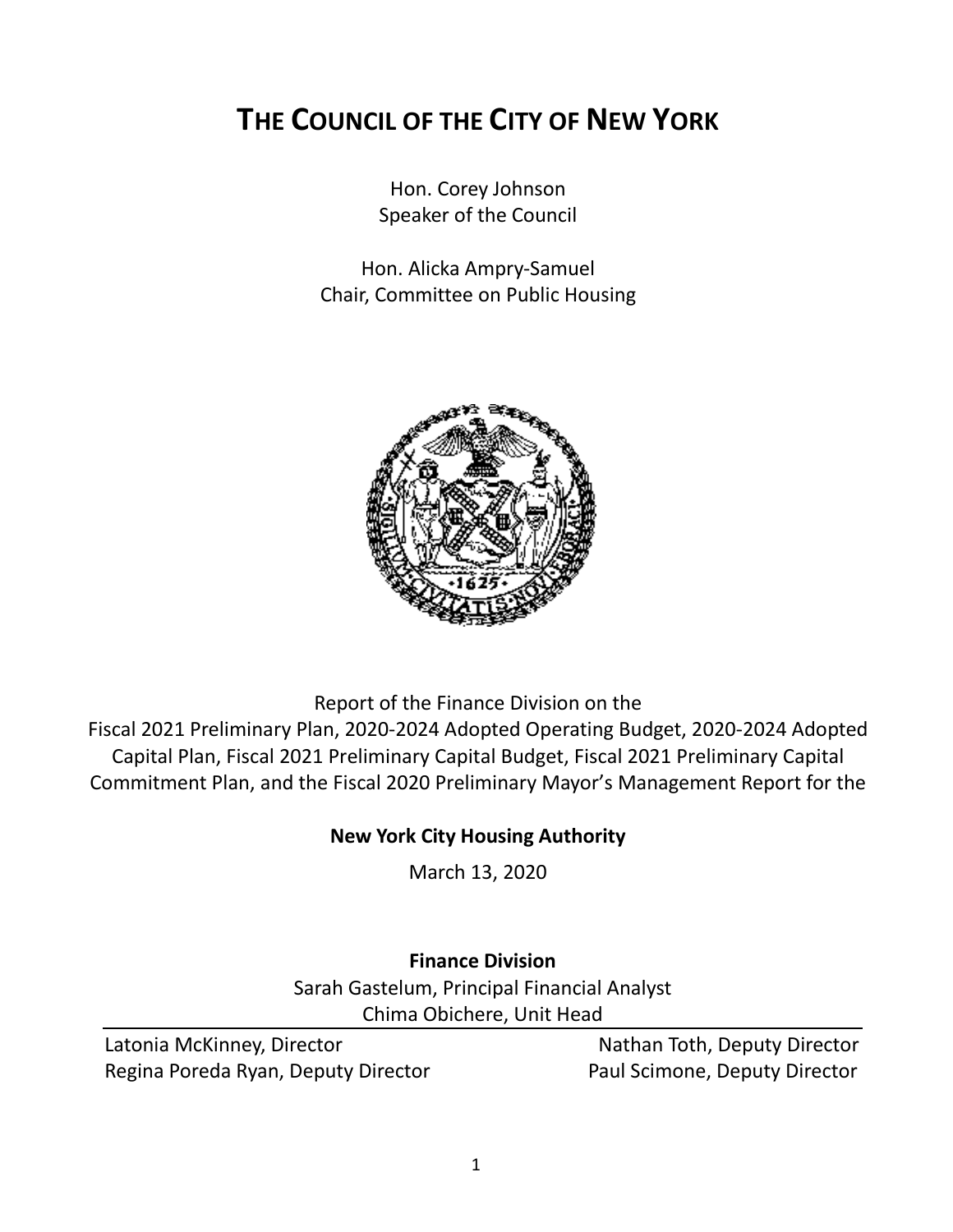# **THE COUNCIL OF THE CITY OF NEW YORK**

Hon. Corey Johnson Speaker of the Council

Hon. Alicka Ampry-Samuel Chair, Committee on Public Housing



Report of the Finance Division on the Fiscal 2021 Preliminary Plan, 2020-2024 Adopted Operating Budget, 2020-2024 Adopted Capital Plan, Fiscal 2021 Preliminary Capital Budget, Fiscal 2021 Preliminary Capital Commitment Plan, and the Fiscal 2020 Preliminary Mayor's Management Report for the

# **New York City Housing Authority**

March 13, 2020

# **Finance Division**

Sarah Gastelum, Principal Financial Analyst Chima Obichere, Unit Head

Latonia McKinney, Director Nathan Toth, Deputy Director Regina Poreda Ryan, Deputy Director **Paul Scimone, Deputy Director**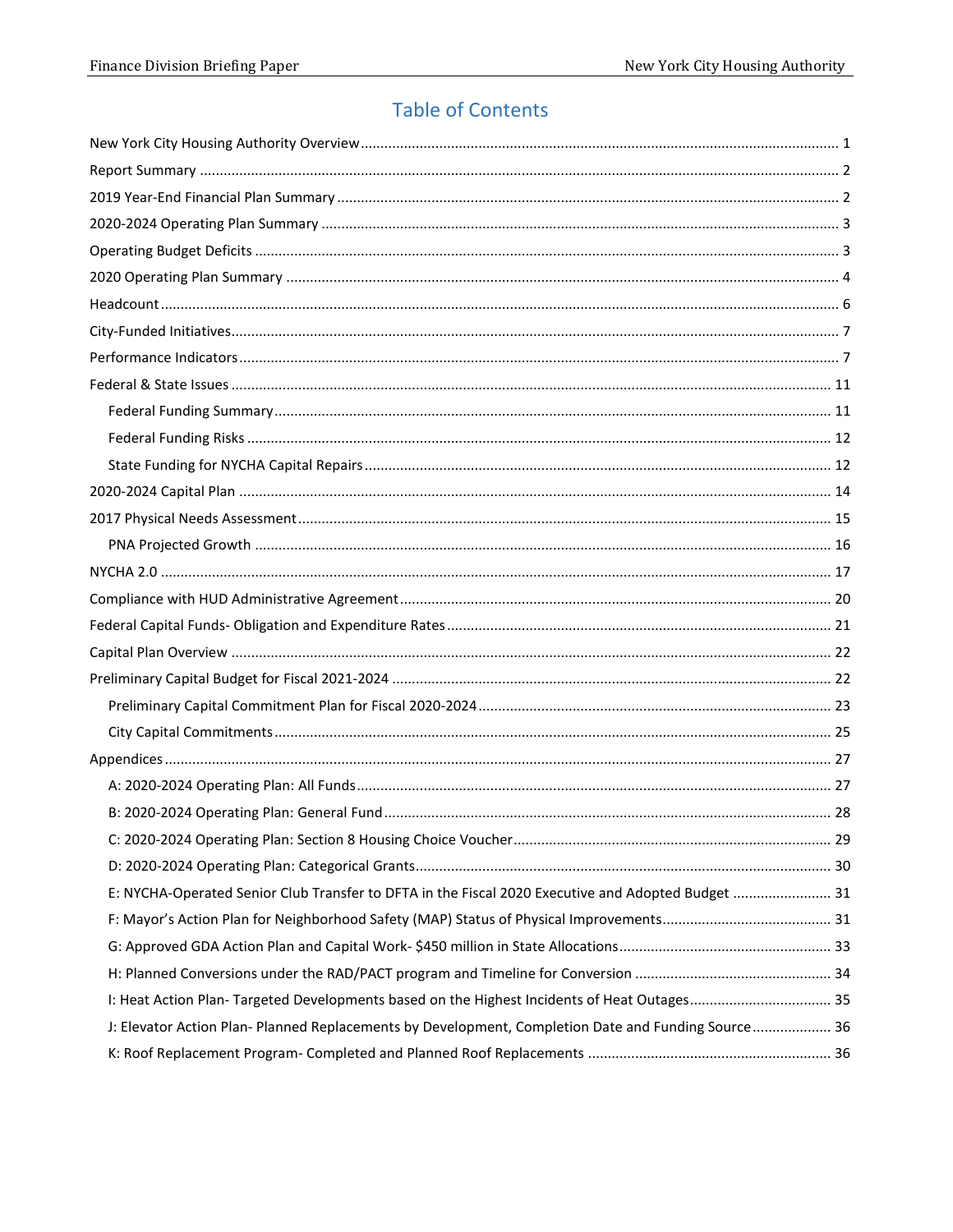# **Table of Contents**

| E: NYCHA-Operated Senior Club Transfer to DFTA in the Fiscal 2020 Executive and Adopted Budget  31  |  |
|-----------------------------------------------------------------------------------------------------|--|
|                                                                                                     |  |
|                                                                                                     |  |
|                                                                                                     |  |
| I: Heat Action Plan-Targeted Developments based on the Highest Incidents of Heat Outages 35         |  |
| J: Elevator Action Plan- Planned Replacements by Development, Completion Date and Funding Source 36 |  |
|                                                                                                     |  |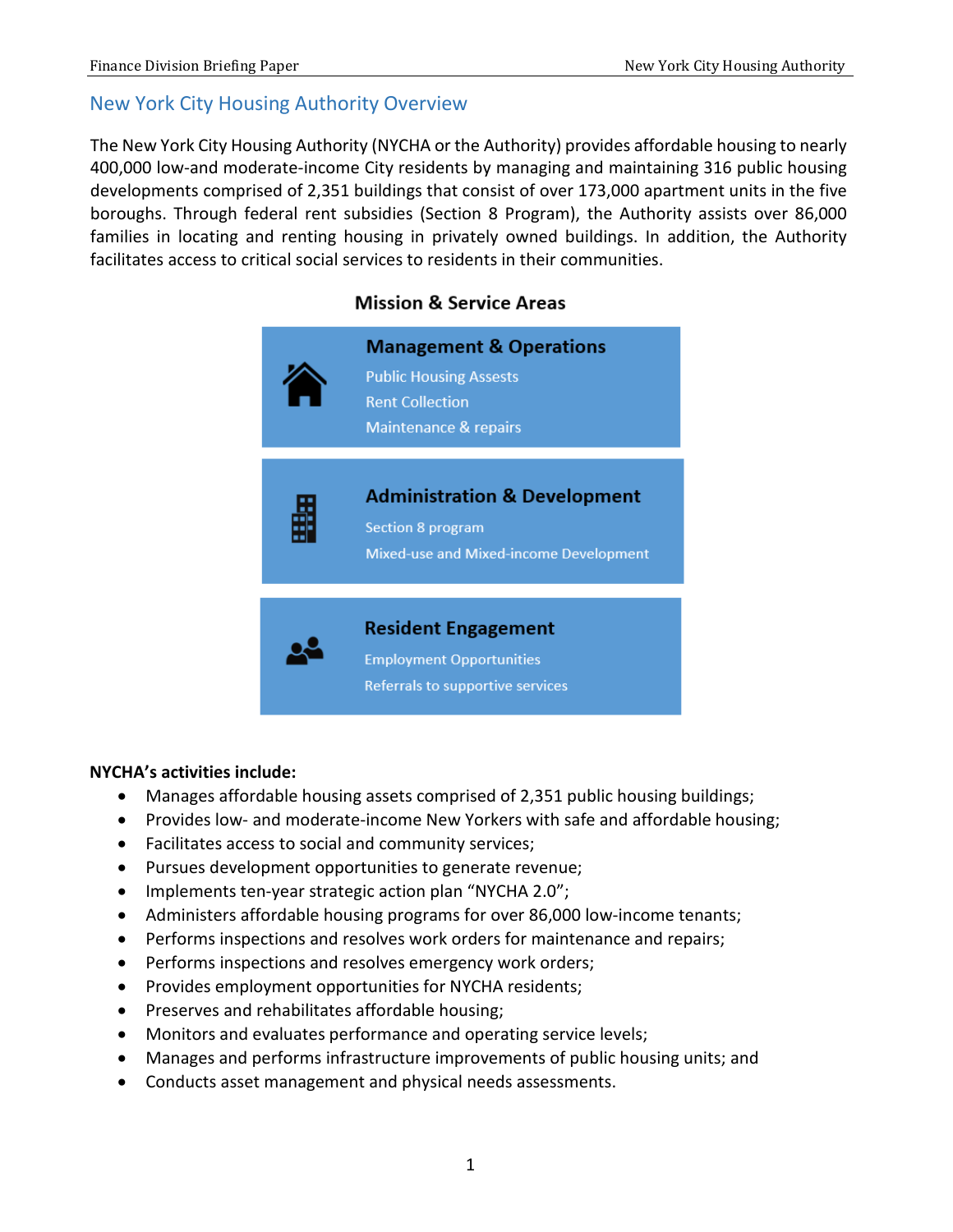#### <span id="page-2-0"></span>New York City Housing Authority Overview

The New York City Housing Authority (NYCHA or the Authority) provides affordable housing to nearly 400,000 low-and moderate-income City residents by managing and maintaining 316 public housing developments comprised of 2,351 buildings that consist of over 173,000 apartment units in the five boroughs. Through federal rent subsidies (Section 8 Program), the Authority assists over 86,000 families in locating and renting housing in privately owned buildings. In addition, the Authority facilitates access to critical social services to residents in their communities.



#### **NYCHA's activities include:**

- Manages affordable housing assets comprised of 2,351 public housing buildings;
- Provides low- and moderate-income New Yorkers with safe and affordable housing;
- Facilitates access to social and community services;
- Pursues development opportunities to generate revenue;
- Implements ten-year strategic action plan "NYCHA 2.0";
- Administers affordable housing programs for over 86,000 low-income tenants;
- Performs inspections and resolves work orders for maintenance and repairs;
- Performs inspections and resolves emergency work orders;
- Provides employment opportunities for NYCHA residents;
- Preserves and rehabilitates affordable housing;
- Monitors and evaluates performance and operating service levels;
- Manages and performs infrastructure improvements of public housing units; and
- Conducts asset management and physical needs assessments.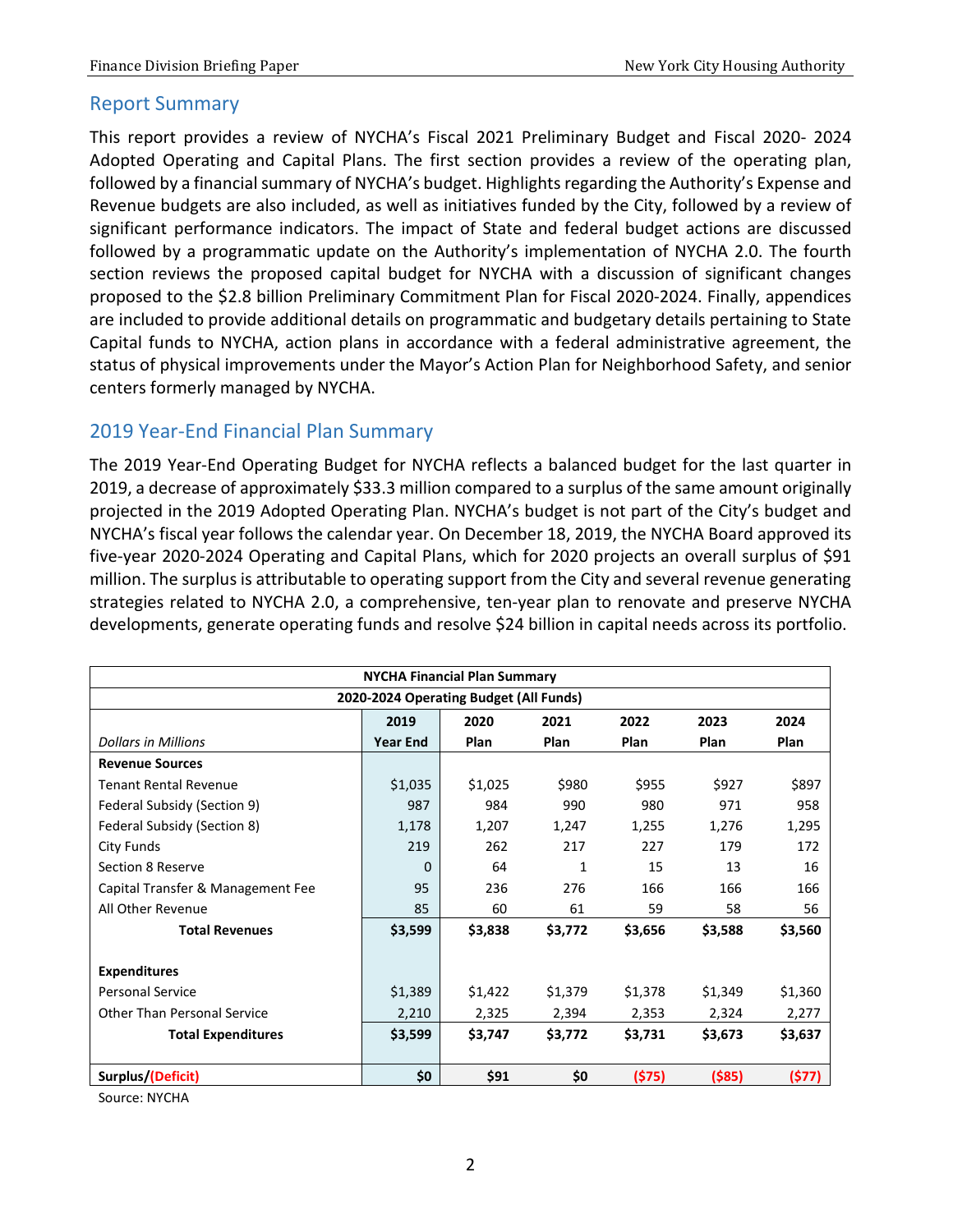#### <span id="page-3-0"></span>Report Summary

This report provides a review of NYCHA's Fiscal 2021 Preliminary Budget and Fiscal 2020- 2024 Adopted Operating and Capital Plans. The first section provides a review of the operating plan, followed by a financial summary of NYCHA's budget. Highlights regarding the Authority's Expense and Revenue budgets are also included, as well as initiatives funded by the City, followed by a review of significant performance indicators. The impact of State and federal budget actions are discussed followed by a programmatic update on the Authority's implementation of NYCHA 2.0. The fourth section reviews the proposed capital budget for NYCHA with a discussion of significant changes proposed to the \$2.8 billion Preliminary Commitment Plan for Fiscal 2020-2024. Finally, appendices are included to provide additional details on programmatic and budgetary details pertaining to State Capital funds to NYCHA, action plans in accordance with a federal administrative agreement, the status of physical improvements under the Mayor's Action Plan for Neighborhood Safety, and senior centers formerly managed by NYCHA.

### <span id="page-3-1"></span>2019 Year-End Financial Plan Summary

The 2019 Year-End Operating Budget for NYCHA reflects a balanced budget for the last quarter in 2019, a decrease of approximately \$33.3 million compared to a surplus of the same amount originally projected in the 2019 Adopted Operating Plan. NYCHA's budget is not part of the City's budget and NYCHA's fiscal year follows the calendar year. On December 18, 2019, the NYCHA Board approved its five-year 2020-2024 Operating and Capital Plans, which for 2020 projects an overall surplus of \$91 million. The surplus is attributable to operating support from the City and several revenue generating strategies related to NYCHA 2.0, a comprehensive, ten-year plan to renovate and preserve NYCHA developments, generate operating funds and resolve \$24 billion in capital needs across its portfolio.

|                                    |                 | <b>NYCHA Financial Plan Summary</b>    |         |         |           |         |
|------------------------------------|-----------------|----------------------------------------|---------|---------|-----------|---------|
|                                    |                 | 2020-2024 Operating Budget (All Funds) |         |         |           |         |
|                                    | 2019            | 2020                                   | 2021    | 2022    | 2023      | 2024    |
| <b>Dollars in Millions</b>         | <b>Year End</b> | Plan                                   | Plan    | Plan    | Plan      | Plan    |
| <b>Revenue Sources</b>             |                 |                                        |         |         |           |         |
| <b>Tenant Rental Revenue</b>       | \$1,035         | \$1,025                                | \$980   | \$955   | \$927     | \$897   |
| Federal Subsidy (Section 9)        | 987             | 984                                    | 990     | 980     | 971       | 958     |
| Federal Subsidy (Section 8)        | 1,178           | 1,207                                  | 1,247   | 1,255   | 1,276     | 1,295   |
| City Funds                         | 219             | 262                                    | 217     | 227     | 179       | 172     |
| Section 8 Reserve                  | 0               | 64                                     | 1       | 15      | 13        | 16      |
| Capital Transfer & Management Fee  | 95              | 236                                    | 276     | 166     | 166       | 166     |
| All Other Revenue                  | 85              | 60                                     | 61      | 59      | 58        | 56      |
| <b>Total Revenues</b>              | \$3,599         | \$3,838                                | \$3,772 | \$3,656 | \$3,588   | \$3,560 |
|                                    |                 |                                        |         |         |           |         |
| <b>Expenditures</b>                |                 |                                        |         |         |           |         |
| <b>Personal Service</b>            | \$1,389         | \$1,422                                | \$1,379 | \$1,378 | \$1,349   | \$1,360 |
| <b>Other Than Personal Service</b> | 2,210           | 2,325                                  | 2,394   | 2,353   | 2,324     | 2,277   |
| <b>Total Expenditures</b>          | \$3,599         | \$3,747                                | \$3,772 | \$3,731 | \$3,673   | \$3,637 |
|                                    |                 |                                        |         |         |           |         |
| Surplus/(Deficit)                  | \$0             | \$91                                   | \$0     | (575)   | $($ \$85) | (\$77)  |

Source: NYCHA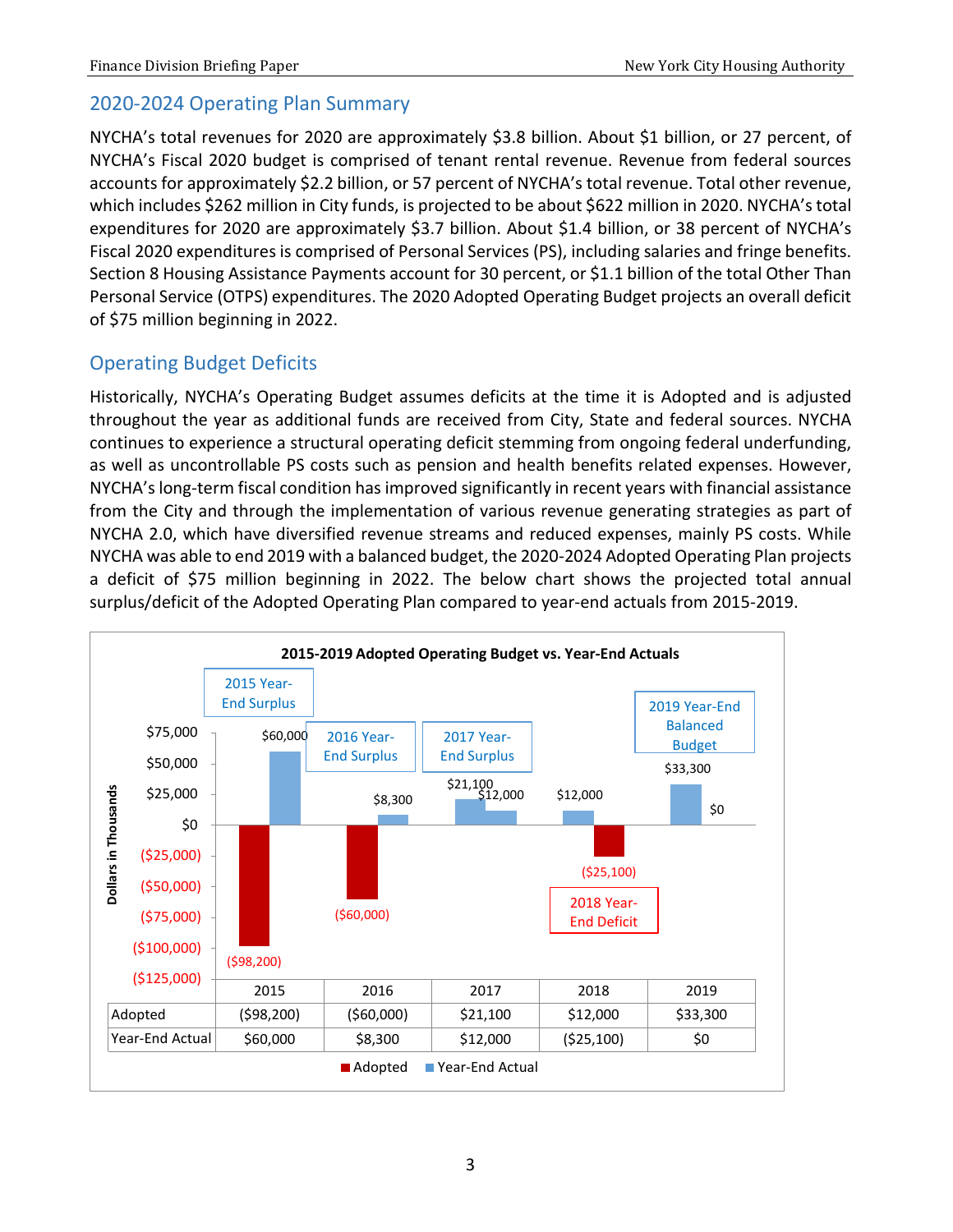### <span id="page-4-0"></span>2020-2024 Operating Plan Summary

NYCHA's total revenues for 2020 are approximately \$3.8 billion. About \$1 billion, or 27 percent, of NYCHA's Fiscal 2020 budget is comprised of tenant rental revenue. Revenue from federal sources accounts for approximately \$2.2 billion, or 57 percent of NYCHA's total revenue. Total other revenue, which includes \$262 million in City funds, is projected to be about \$622 million in 2020. NYCHA's total expenditures for 2020 are approximately \$3.7 billion. About \$1.4 billion, or 38 percent of NYCHA's Fiscal 2020 expenditures is comprised of Personal Services (PS), including salaries and fringe benefits. Section 8 Housing Assistance Payments account for 30 percent, or \$1.1 billion of the total Other Than Personal Service (OTPS) expenditures. The 2020 Adopted Operating Budget projects an overall deficit of \$75 million beginning in 2022.

# <span id="page-4-1"></span>Operating Budget Deficits

Historically, NYCHA's Operating Budget assumes deficits at the time it is Adopted and is adjusted throughout the year as additional funds are received from City, State and federal sources. NYCHA continues to experience a structural operating deficit stemming from ongoing federal underfunding, as well as uncontrollable PS costs such as pension and health benefits related expenses. However, NYCHA's long-term fiscal condition has improved significantly in recent years with financial assistance from the City and through the implementation of various revenue generating strategies as part of NYCHA 2.0, which have diversified revenue streams and reduced expenses, mainly PS costs. While NYCHA was able to end 2019 with a balanced budget, the 2020-2024 Adopted Operating Plan projects a deficit of \$75 million beginning in 2022. The below chart shows the projected total annual surplus/deficit of the Adopted Operating Plan compared to year-end actuals from 2015-2019.

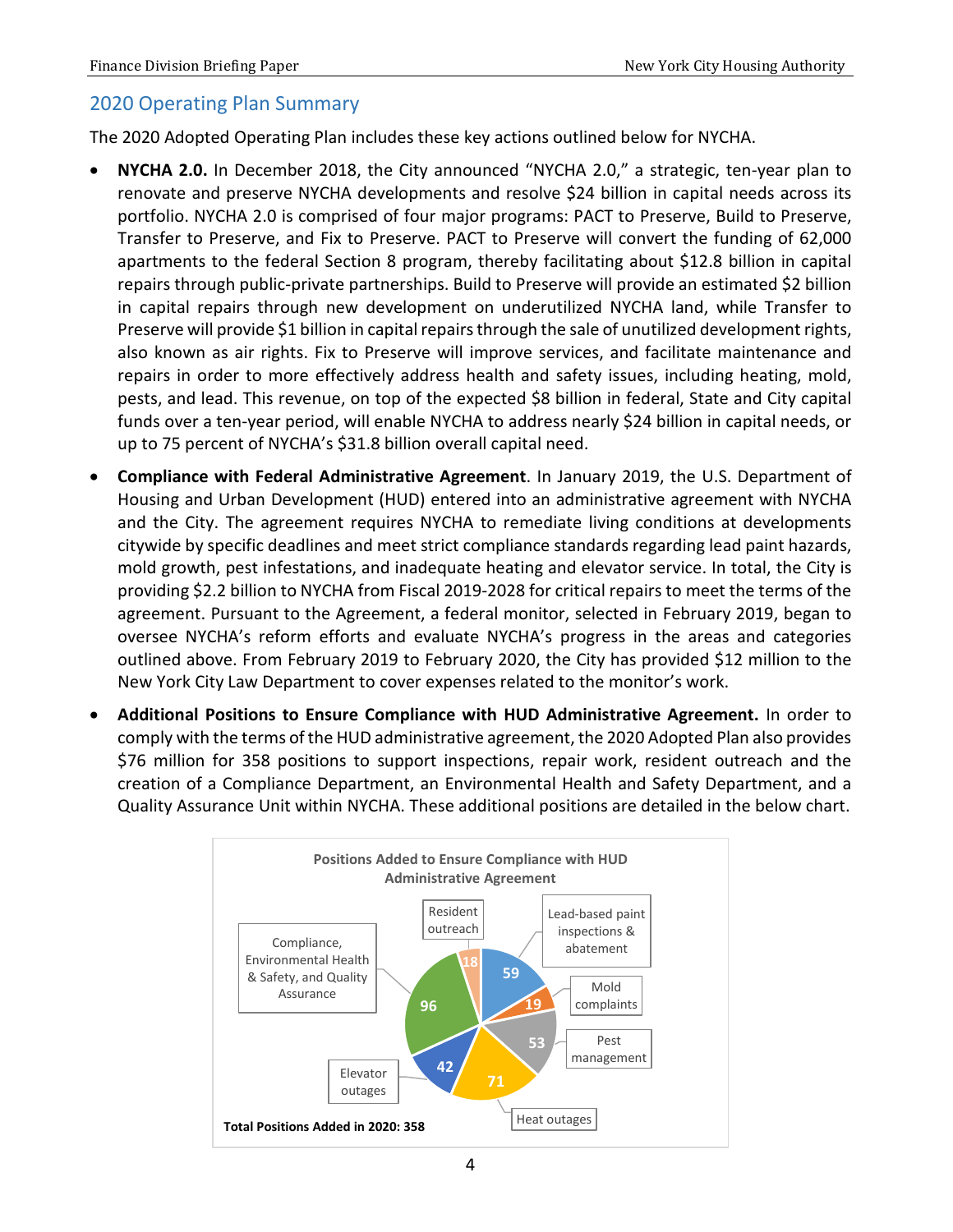### <span id="page-5-0"></span>2020 Operating Plan Summary

The 2020 Adopted Operating Plan includes these key actions outlined below for NYCHA.

- **NYCHA 2.0.** In December 2018, the City announced "NYCHA 2.0," a strategic, ten-year plan to renovate and preserve NYCHA developments and resolve \$24 billion in capital needs across its portfolio. NYCHA 2.0 is comprised of four major programs: PACT to Preserve, Build to Preserve, Transfer to Preserve, and Fix to Preserve. PACT to Preserve will convert the funding of 62,000 apartments to the federal Section 8 program, thereby facilitating about \$12.8 billion in capital repairs through public-private partnerships. Build to Preserve will provide an estimated \$2 billion in capital repairs through new development on underutilized NYCHA land, while Transfer to Preserve will provide \$1 billion in capital repairs through the sale of unutilized development rights, also known as air rights. Fix to Preserve will improve services, and facilitate maintenance and repairs in order to more effectively address health and safety issues, including heating, mold, pests, and lead. This revenue, on top of the expected \$8 billion in federal, State and City capital funds over a ten-year period, will enable NYCHA to address nearly \$24 billion in capital needs, or up to 75 percent of NYCHA's \$31.8 billion overall capital need.
- **Compliance with Federal Administrative Agreement**. In January 2019, the U.S. Department of Housing and Urban Development (HUD) entered into an administrative agreement with NYCHA and the City. The agreement requires NYCHA to remediate living conditions at developments citywide by specific deadlines and meet strict compliance standards regarding lead paint hazards, mold growth, pest infestations, and inadequate heating and elevator service. In total, the City is providing \$2.2 billion to NYCHA from Fiscal 2019-2028 for critical repairs to meet the terms of the agreement. Pursuant to the Agreement, a federal monitor, selected in February 2019, began to oversee NYCHA's reform efforts and evaluate NYCHA's progress in the areas and categories outlined above. From February 2019 to February 2020, the City has provided \$12 million to the New York City Law Department to cover expenses related to the monitor's work.
- **Additional Positions to Ensure Compliance with HUD Administrative Agreement.** In order to comply with the terms of the HUD administrative agreement, the 2020 Adopted Plan also provides \$76 million for 358 positions to support inspections, repair work, resident outreach and the creation of a Compliance Department, an Environmental Health and Safety Department, and a Quality Assurance Unit within NYCHA. These additional positions are detailed in the below chart.

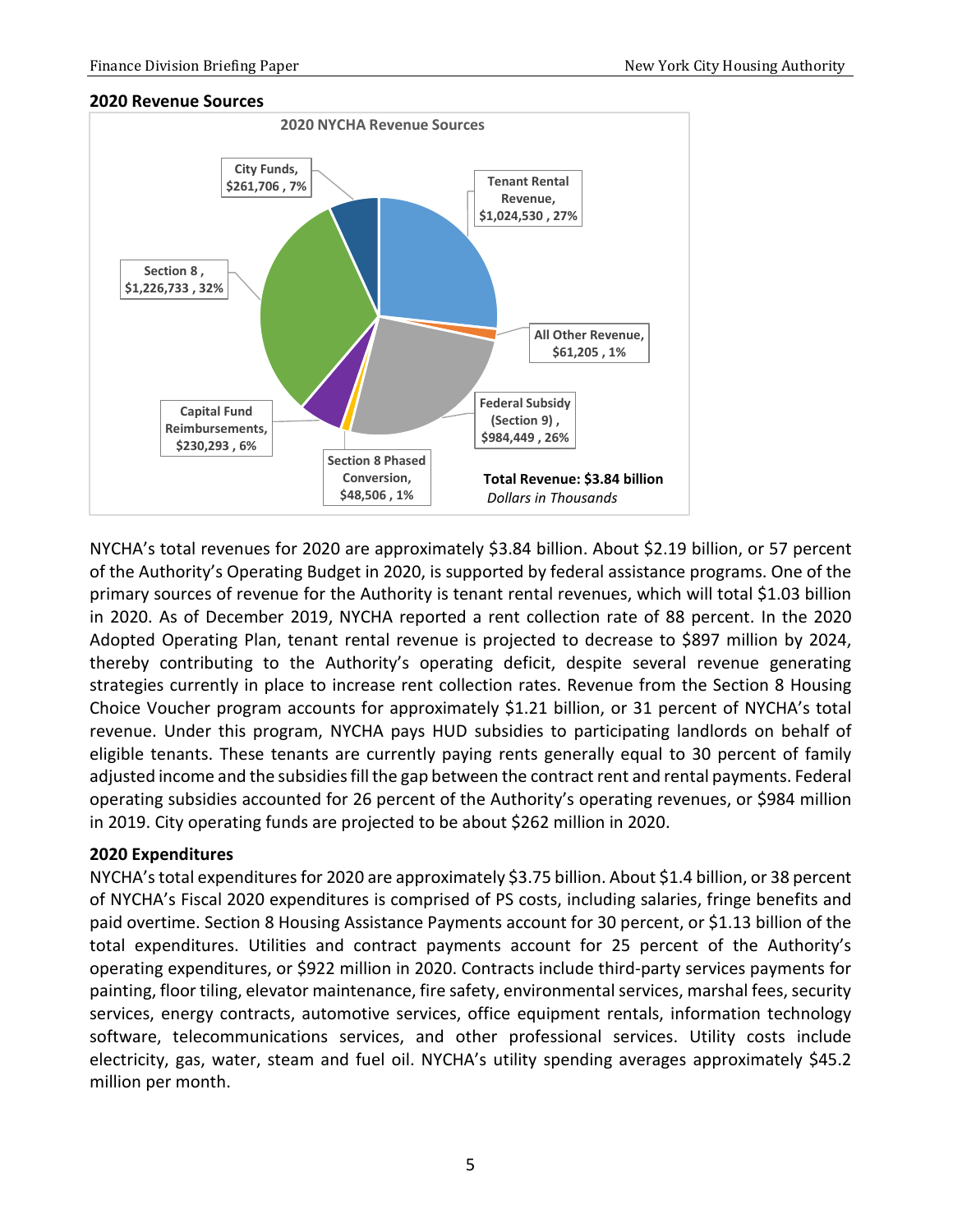#### **2020 Revenue Sources**



NYCHA's total revenues for 2020 are approximately \$3.84 billion. About \$2.19 billion, or 57 percent of the Authority's Operating Budget in 2020, is supported by federal assistance programs. One of the primary sources of revenue for the Authority is tenant rental revenues, which will total \$1.03 billion in 2020. As of December 2019, NYCHA reported a rent collection rate of 88 percent. In the 2020 Adopted Operating Plan, tenant rental revenue is projected to decrease to \$897 million by 2024, thereby contributing to the Authority's operating deficit, despite several revenue generating strategies currently in place to increase rent collection rates. Revenue from the Section 8 Housing Choice Voucher program accounts for approximately \$1.21 billion, or 31 percent of NYCHA's total revenue. Under this program, NYCHA pays HUD subsidies to participating landlords on behalf of eligible tenants. These tenants are currently paying rents generally equal to 30 percent of family adjusted income and the subsidies fill the gap between the contract rent and rental payments. Federal operating subsidies accounted for 26 percent of the Authority's operating revenues, or \$984 million in 2019. City operating funds are projected to be about \$262 million in 2020.

#### **2020 Expenditures**

NYCHA's total expenditures for 2020 are approximately \$3.75 billion. About \$1.4 billion, or 38 percent of NYCHA's Fiscal 2020 expenditures is comprised of PS costs, including salaries, fringe benefits and paid overtime. Section 8 Housing Assistance Payments account for 30 percent, or \$1.13 billion of the total expenditures. Utilities and contract payments account for 25 percent of the Authority's operating expenditures, or \$922 million in 2020. Contracts include third-party services payments for painting, floor tiling, elevator maintenance, fire safety, environmental services, marshal fees, security services, energy contracts, automotive services, office equipment rentals, information technology software, telecommunications services, and other professional services. Utility costs include electricity, gas, water, steam and fuel oil. NYCHA's utility spending averages approximately \$45.2 million per month.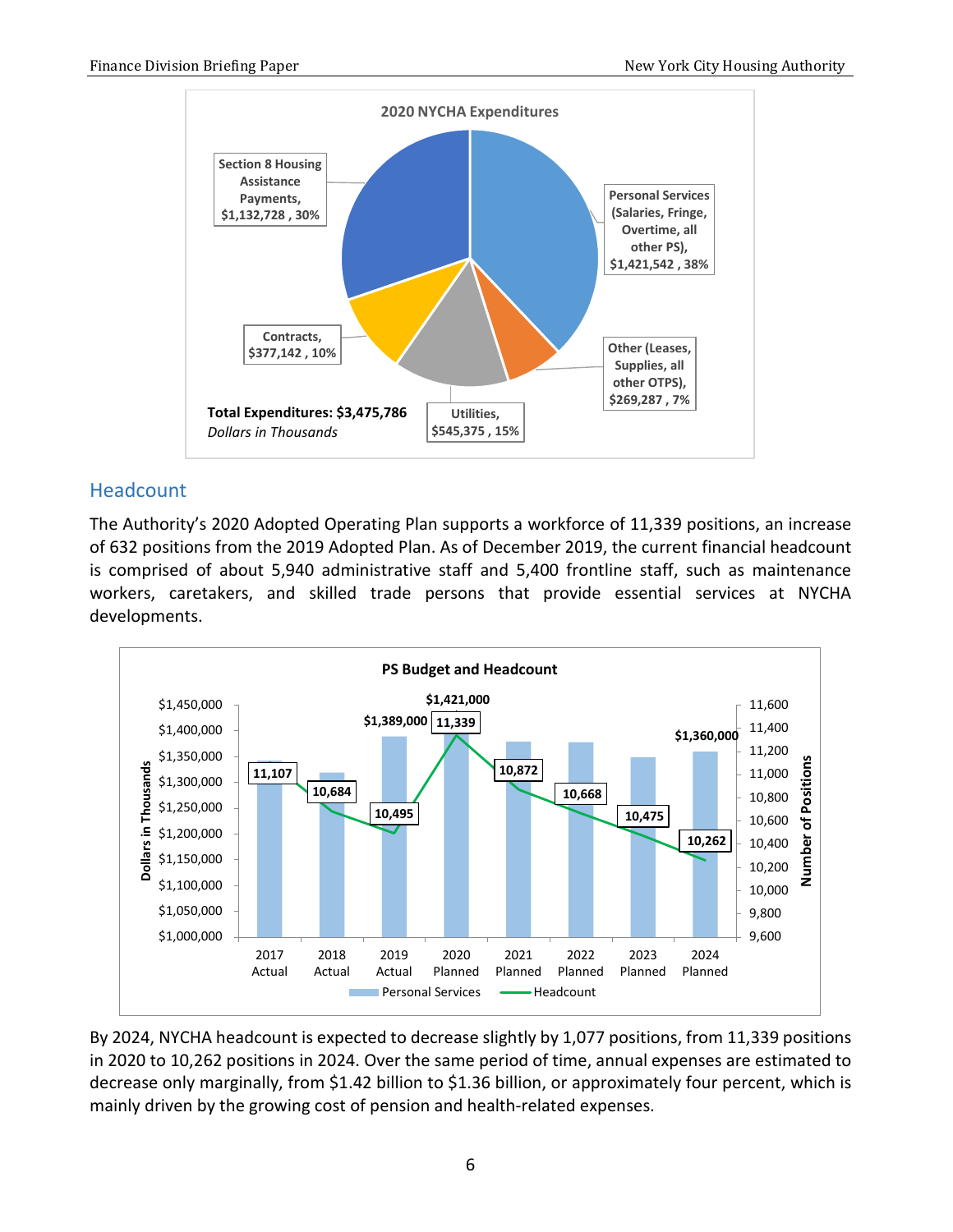

### <span id="page-7-0"></span>Headcount

The Authority's 2020 Adopted Operating Plan supports a workforce of 11,339 positions, an increase of 632 positions from the 2019 Adopted Plan. As of December 2019, the current financial headcount is comprised of about 5,940 administrative staff and 5,400 frontline staff, such as maintenance workers, caretakers, and skilled trade persons that provide essential services at NYCHA developments.



By 2024, NYCHA headcount is expected to decrease slightly by 1,077 positions, from 11,339 positions in 2020 to 10,262 positions in 2024. Over the same period of time, annual expenses are estimated to decrease only marginally, from \$1.42 billion to \$1.36 billion, or approximately four percent, which is mainly driven by the growing cost of pension and health-related expenses.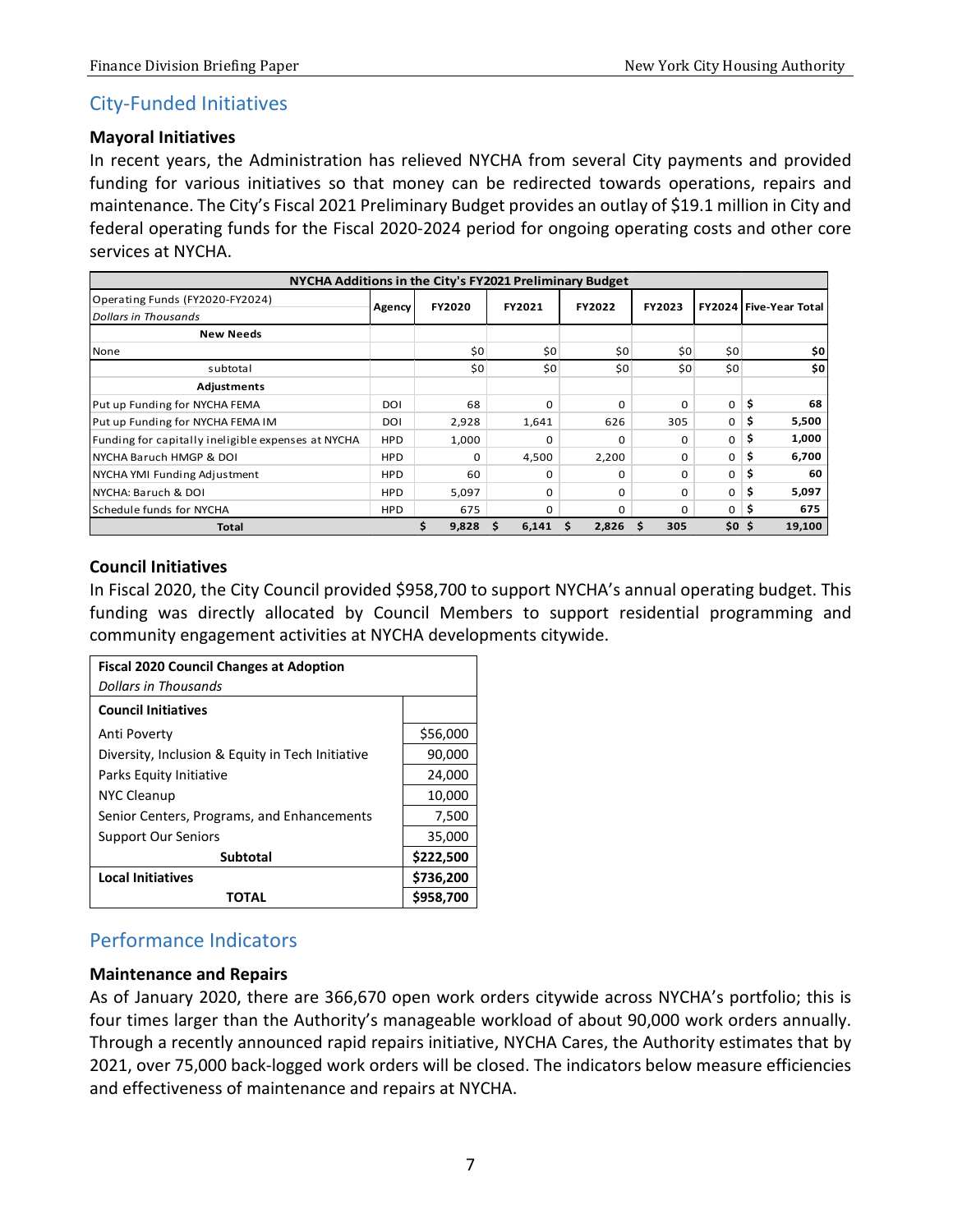#### <span id="page-8-0"></span>City-Funded Initiatives

#### **Mayoral Initiatives**

In recent years, the Administration has relieved NYCHA from several City payments and provided funding for various initiatives so that money can be redirected towards operations, repairs and maintenance. The City's Fiscal 2021 Preliminary Budget provides an outlay of \$19.1 million in City and federal operating funds for the Fiscal 2020-2024 period for ongoing operating costs and other core services at NYCHA.

| NYCHA Additions in the City's FY2021 Preliminary Budget |            |               |        |                 |        |                  |                               |
|---------------------------------------------------------|------------|---------------|--------|-----------------|--------|------------------|-------------------------------|
| Operating Funds (FY2020-FY2024)<br>Dollars in Thousands | Agency     | <b>FY2020</b> | FY2021 | FY2022          | FY2023 |                  | <b>FY2024 Five-Year Total</b> |
| <b>New Needs</b>                                        |            |               |        |                 |        |                  |                               |
| None                                                    |            | \$0           | \$0    | 50 <sup>2</sup> | \$0    | \$0              | \$0                           |
| subtotal                                                |            | \$0           | \$0    | \$0\$           | \$0    | \$0              | 50                            |
| Adjustments                                             |            |               |        |                 |        |                  |                               |
| Put up Funding for NYCHA FEMA                           | DOI        | 68            | 0      | $\Omega$        | 0      | $\mathbf 0$      | \$<br>68                      |
| Put up Funding for NYCHA FEMA IM                        | DOI        | 2,928         | 1,641  | 626             | 305    | $\Omega$         | \$.<br>5,500                  |
| Funding for capitally ineligible expenses at NYCHA      | <b>HPD</b> | 1,000         | 0      | <sup>0</sup>    | 0      | $\mathbf 0$      | \$<br>1,000                   |
| INYCHA Baruch HMGP & DOI                                | <b>HPD</b> | $\Omega$      | 4,500  | 2,200           | 0      | $\mathbf{O}$     | \$<br>6,700                   |
| NYCHA YMI Funding Adjustment                            | <b>HPD</b> | 60            | 0      | 0               | 0      | $\mathbf 0$      | \$.<br>60                     |
| NYCHA: Baruch & DOI                                     | <b>HPD</b> | 5,097         | 0      | $\Omega$        | 0      | $\mathbf 0$      | \$.<br>5,097                  |
| Schedule funds for NYCHA                                | <b>HPD</b> | 675           | 0      | 0               | 0      | $\mathbf{0}$     | 675<br>\$,                    |
| <b>Total</b>                                            |            | 9,828         | 6,141  | 2,826<br>S      | 305    | \$0 <sub>5</sub> | 19,100                        |

#### **Council Initiatives**

In Fiscal 2020, the City Council provided \$958,700 to support NYCHA's annual operating budget. This funding was directly allocated by Council Members to support residential programming and community engagement activities at NYCHA developments citywide.

| <b>Fiscal 2020 Council Changes at Adoption</b>   |           |
|--------------------------------------------------|-----------|
| Dollars in Thousands                             |           |
| <b>Council Initiatives</b>                       |           |
| Anti Poverty                                     | \$56,000  |
| Diversity, Inclusion & Equity in Tech Initiative | 90,000    |
| Parks Equity Initiative                          | 24,000    |
| NYC Cleanup                                      | 10,000    |
| Senior Centers, Programs, and Enhancements       | 7,500     |
| <b>Support Our Seniors</b>                       | 35,000    |
| <b>Subtotal</b>                                  | \$222,500 |
| <b>Local Initiatives</b>                         | \$736,200 |
| TOTAL                                            | \$958,700 |

### <span id="page-8-1"></span>Performance Indicators

#### **Maintenance and Repairs**

As of January 2020, there are 366,670 open work orders citywide across NYCHA's portfolio; this is four times larger than the Authority's manageable workload of about 90,000 work orders annually. Through a recently announced rapid repairs initiative, NYCHA Cares, the Authority estimates that by 2021, over 75,000 back-logged work orders will be closed. The indicators below measure efficiencies and effectiveness of maintenance and repairs at NYCHA.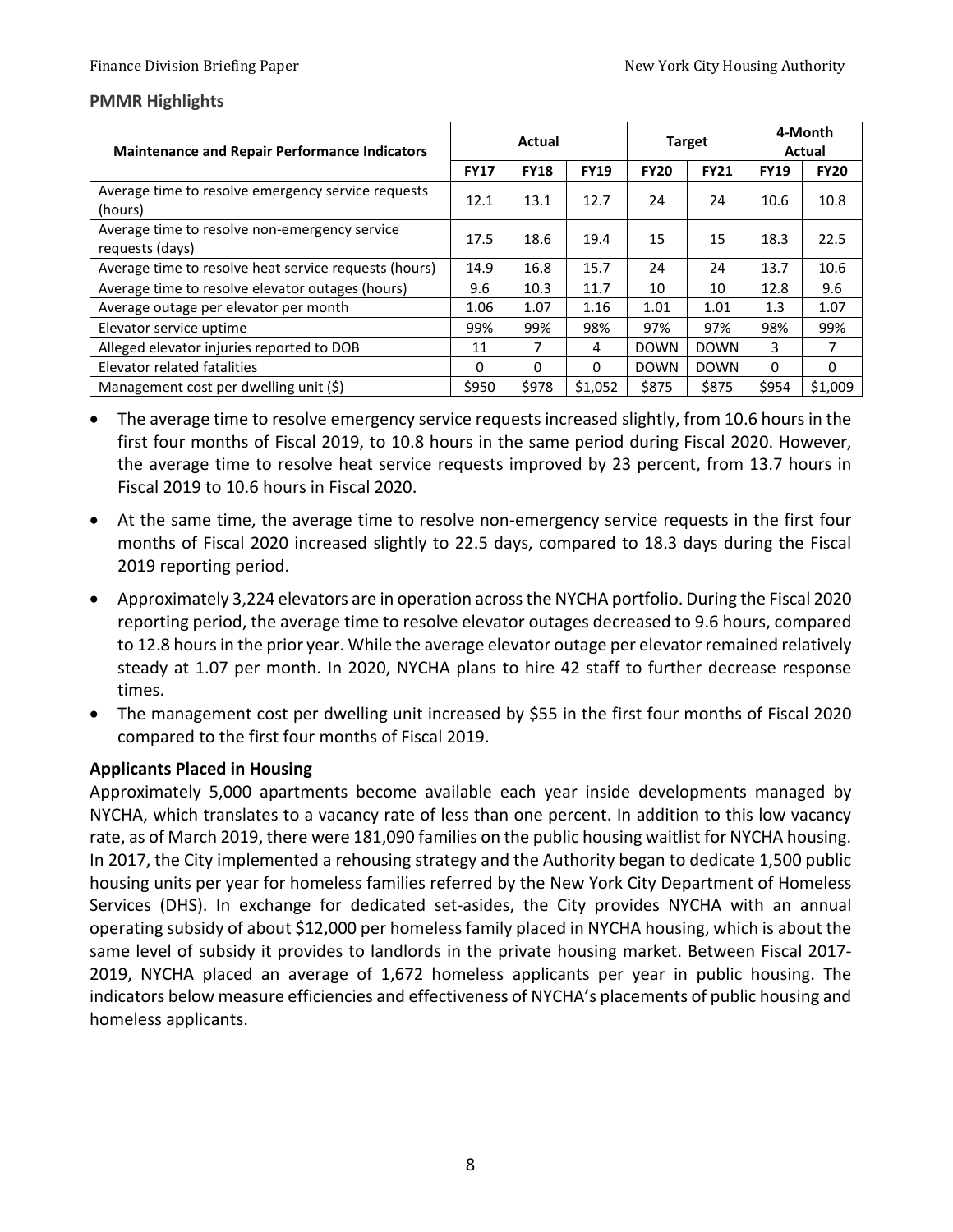#### **PMMR Highlights**

| <b>Maintenance and Repair Performance Indicators</b>             |             | Actual      |             |             | <b>Target</b> |             | 4-Month<br>Actual |
|------------------------------------------------------------------|-------------|-------------|-------------|-------------|---------------|-------------|-------------------|
|                                                                  | <b>FY17</b> | <b>FY18</b> | <b>FY19</b> | <b>FY20</b> | <b>FY21</b>   | <b>FY19</b> | <b>FY20</b>       |
| Average time to resolve emergency service requests<br>(hours)    | 12.1        | 13.1        | 12.7        | 24          | 24            | 10.6        | 10.8              |
| Average time to resolve non-emergency service<br>requests (days) | 17.5        | 18.6        | 19.4        | 15          | 15            | 18.3        | 22.5              |
| Average time to resolve heat service requests (hours)            | 14.9        | 16.8        | 15.7        | 24          | 24            | 13.7        | 10.6              |
| Average time to resolve elevator outages (hours)                 | 9.6         | 10.3        | 11.7        | 10          | 10            | 12.8        | 9.6               |
| Average outage per elevator per month                            | 1.06        | 1.07        | 1.16        | 1.01        | 1.01          | 1.3         | 1.07              |
| Elevator service uptime                                          | 99%         | 99%         | 98%         | 97%         | 97%           | 98%         | 99%               |
| Alleged elevator injuries reported to DOB                        | 11          | 7           | 4           | <b>DOWN</b> | <b>DOWN</b>   | 3.          | 7                 |
| Elevator related fatalities                                      | $\Omega$    | $\Omega$    | $\Omega$    | <b>DOWN</b> | <b>DOWN</b>   | $\Omega$    | $\Omega$          |
| Management cost per dwelling unit (\$)                           | \$950       | \$978       | \$1,052     | \$875       | \$875         | \$954       | \$1,009           |

- The average time to resolve emergency service requests increased slightly, from 10.6 hours in the first four months of Fiscal 2019, to 10.8 hours in the same period during Fiscal 2020. However, the average time to resolve heat service requests improved by 23 percent, from 13.7 hours in Fiscal 2019 to 10.6 hours in Fiscal 2020.
- At the same time, the average time to resolve non-emergency service requests in the first four months of Fiscal 2020 increased slightly to 22.5 days, compared to 18.3 days during the Fiscal 2019 reporting period.
- Approximately 3,224 elevators are in operation across the NYCHA portfolio. During the Fiscal 2020 reporting period, the average time to resolve elevator outages decreased to 9.6 hours, compared to 12.8 hours in the prior year. While the average elevator outage per elevator remained relatively steady at 1.07 per month. In 2020, NYCHA plans to hire 42 staff to further decrease response times.
- The management cost per dwelling unit increased by \$55 in the first four months of Fiscal 2020 compared to the first four months of Fiscal 2019.

#### **Applicants Placed in Housing**

Approximately 5,000 apartments become available each year inside developments managed by NYCHA, which translates to a vacancy rate of less than one percent. In addition to this low vacancy rate, as of March 2019, there were 181,090 families on the public housing waitlist for NYCHA housing. In 2017, the City implemented a rehousing strategy and the Authority began to dedicate 1,500 public housing units per year for homeless families referred by the New York City Department of Homeless Services (DHS). In exchange for dedicated set-asides, the City provides NYCHA with an annual operating subsidy of about \$12,000 per homeless family placed in NYCHA housing, which is about the same level of subsidy it provides to landlords in the private housing market. Between Fiscal 2017- 2019, NYCHA placed an average of 1,672 homeless applicants per year in public housing. The indicators below measure efficiencies and effectiveness of NYCHA's placements of public housing and homeless applicants.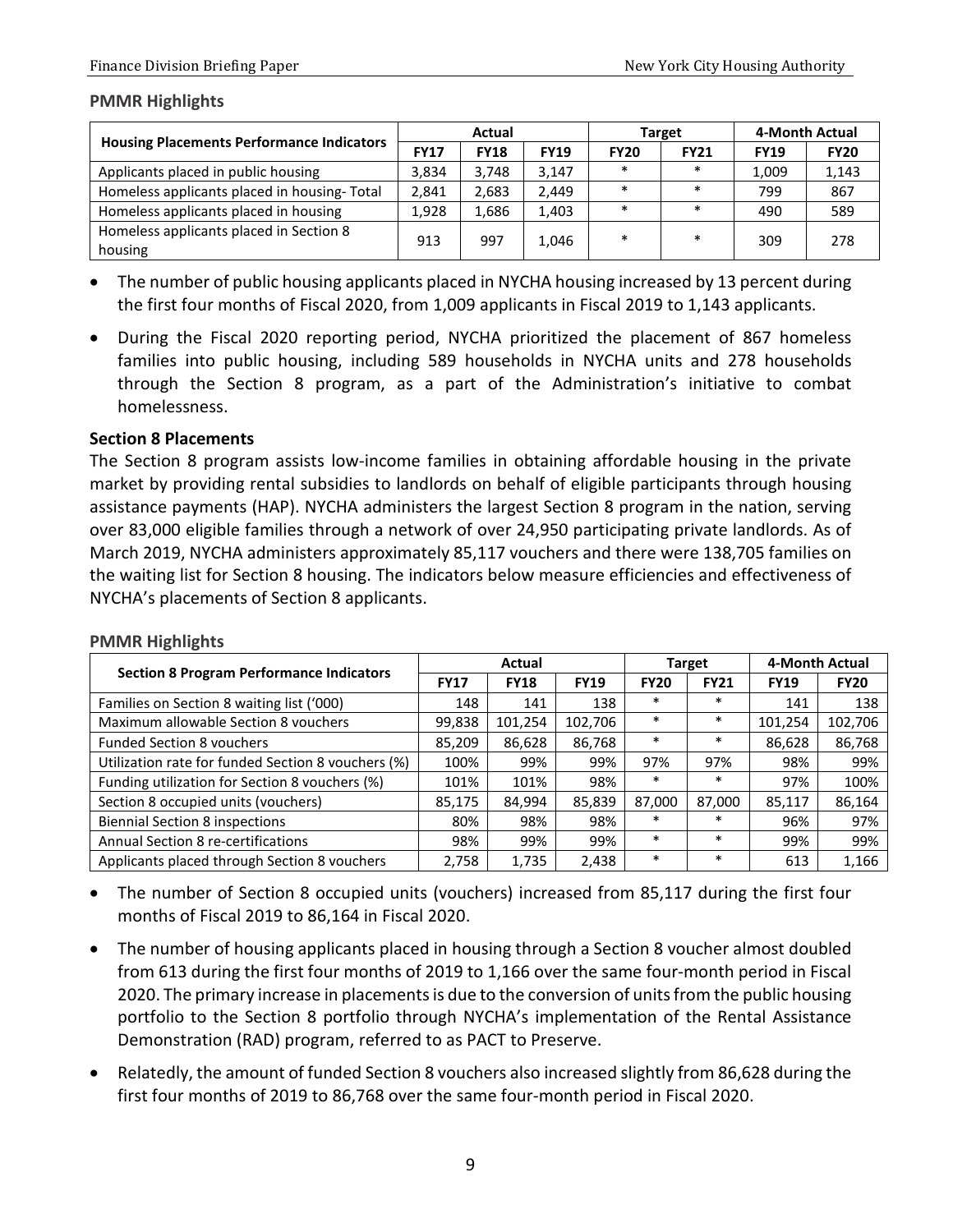#### **PMMR Highlights**

|                                                    | Actual      |             |             |             | Target      | 4-Month Actual |             |
|----------------------------------------------------|-------------|-------------|-------------|-------------|-------------|----------------|-------------|
| <b>Housing Placements Performance Indicators</b>   | <b>FY17</b> | <b>FY18</b> | <b>FY19</b> | <b>FY20</b> | <b>FY21</b> | <b>FY19</b>    | <b>FY20</b> |
| Applicants placed in public housing                | 3,834       | 3,748       | 3,147       | $\ast$      | $\ast$      | 1,009          | 1,143       |
| Homeless applicants placed in housing-Total        | 2.841       | 2,683       | 2,449       | $\ast$      | $\ast$      | 799            | 867         |
| Homeless applicants placed in housing              | 1,928       | 1,686       | 1,403       | $\ast$      | $\ast$      | 490            | 589         |
| Homeless applicants placed in Section 8<br>housing | 913         | 997         | 1,046       | $\ast$      | $\ast$      | 309            | 278         |

- The number of public housing applicants placed in NYCHA housing increased by 13 percent during the first four months of Fiscal 2020, from 1,009 applicants in Fiscal 2019 to 1,143 applicants.
- During the Fiscal 2020 reporting period, NYCHA prioritized the placement of 867 homeless families into public housing, including 589 households in NYCHA units and 278 households through the Section 8 program, as a part of the Administration's initiative to combat homelessness.

#### **Section 8 Placements**

The Section 8 program assists low-income families in obtaining affordable housing in the private market by providing rental subsidies to landlords on behalf of eligible participants through housing assistance payments (HAP). NYCHA administers the largest Section 8 program in the nation, serving over 83,000 eligible families through a network of over 24,950 participating private landlords. As of March 2019, NYCHA administers approximately 85,117 vouchers and there were 138,705 families on the waiting list for Section 8 housing. The indicators below measure efficiencies and effectiveness of NYCHA's placements of Section 8 applicants.

|                                                    |             | Actual      |             |             | <b>Target</b> | 4-Month Actual |             |
|----------------------------------------------------|-------------|-------------|-------------|-------------|---------------|----------------|-------------|
| <b>Section 8 Program Performance Indicators</b>    | <b>FY17</b> | <b>FY18</b> | <b>FY19</b> | <b>FY20</b> | <b>FY21</b>   | <b>FY19</b>    | <b>FY20</b> |
| Families on Section 8 waiting list ('000)          | 148         | 141         | 138         | *           | $\ast$        | 141            | 138         |
| Maximum allowable Section 8 youchers               | 99,838      | 101,254     | 102,706     | *           | $\ast$        | 101,254        | 102,706     |
| <b>Funded Section 8 vouchers</b>                   | 85,209      | 86,628      | 86,768      | $\ast$      | $\ast$        | 86,628         | 86,768      |
| Utilization rate for funded Section 8 vouchers (%) | 100%        | 99%         | 99%         | 97%         | 97%           | 98%            | 99%         |
| Funding utilization for Section 8 vouchers (%)     | 101%        | 101%        | 98%         | $\ast$      | $\ast$        | 97%            | 100%        |
| Section 8 occupied units (vouchers)                | 85,175      | 84,994      | 85,839      | 87.000      | 87.000        | 85.117         | 86,164      |
| <b>Biennial Section 8 inspections</b>              | 80%         | 98%         | 98%         | $\ast$      | $\ast$        | 96%            | 97%         |
| Annual Section 8 re-certifications                 | 98%         | 99%         | 99%         | $\ast$      | $\ast$        | 99%            | 99%         |
| Applicants placed through Section 8 vouchers       | 2,758       | 1,735       | 2,438       | *           | $\ast$        | 613            | 1,166       |

#### **PMMR Highlights**

- The number of Section 8 occupied units (vouchers) increased from 85,117 during the first four months of Fiscal 2019 to 86,164 in Fiscal 2020.
- The number of housing applicants placed in housing through a Section 8 voucher almost doubled from 613 during the first four months of 2019 to 1,166 over the same four-month period in Fiscal 2020. The primary increase in placements is due to the conversion of units from the public housing portfolio to the Section 8 portfolio through NYCHA's implementation of the Rental Assistance Demonstration (RAD) program, referred to as PACT to Preserve.
- Relatedly, the amount of funded Section 8 vouchers also increased slightly from 86,628 during the first four months of 2019 to 86,768 over the same four-month period in Fiscal 2020.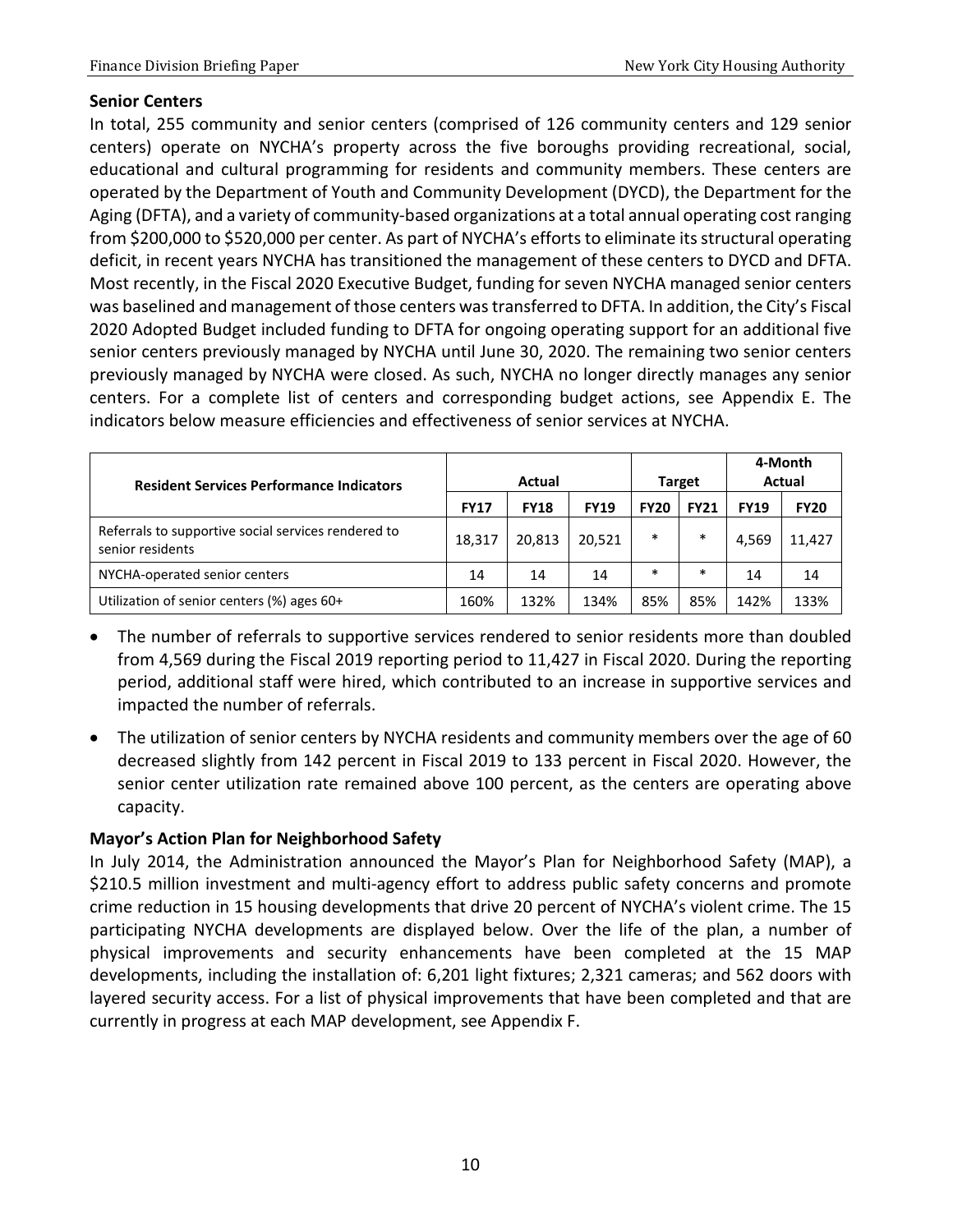#### **Senior Centers**

In total, 255 community and senior centers (comprised of 126 community centers and 129 senior centers) operate on NYCHA's property across the five boroughs providing recreational, social, educational and cultural programming for residents and community members. These centers are operated by the Department of Youth and Community Development (DYCD), the Department for the Aging (DFTA), and a variety of community-based organizations at a total annual operating cost ranging from \$200,000 to \$520,000 per center. As part of NYCHA's efforts to eliminate its structural operating deficit, in recent years NYCHA has transitioned the management of these centers to DYCD and DFTA. Most recently, in the Fiscal 2020 Executive Budget, funding for seven NYCHA managed senior centers was baselined and management of those centers was transferred to DFTA. In addition, the City's Fiscal 2020 Adopted Budget included funding to DFTA for ongoing operating support for an additional five senior centers previously managed by NYCHA until June 30, 2020. The remaining two senior centers previously managed by NYCHA were closed. As such, NYCHA no longer directly manages any senior centers. For a complete list of centers and corresponding budget actions, see Appendix E. The indicators below measure efficiencies and effectiveness of senior services at NYCHA.

| <b>Resident Services Performance Indicators</b>                         |             | Actual      | <b>Target</b> |             | 4-Month<br><b>Actual</b> |             |             |
|-------------------------------------------------------------------------|-------------|-------------|---------------|-------------|--------------------------|-------------|-------------|
|                                                                         | <b>FY17</b> | <b>FY18</b> | <b>FY19</b>   | <b>FY20</b> | <b>FY21</b>              | <b>FY19</b> | <b>FY20</b> |
| Referrals to supportive social services rendered to<br>senior residents | 18,317      | 20,813      | 20,521        | $\ast$      | $\ast$                   | 4,569       | 11,427      |
| NYCHA-operated senior centers                                           | 14          | 14          | 14            | $\ast$      | $\ast$                   | 14          | 14          |
| Utilization of senior centers (%) ages 60+                              | 160%        | 132%        | 134%          | 85%         | 85%                      | 142%        | 133%        |

- The number of referrals to supportive services rendered to senior residents more than doubled from 4,569 during the Fiscal 2019 reporting period to 11,427 in Fiscal 2020. During the reporting period, additional staff were hired, which contributed to an increase in supportive services and impacted the number of referrals.
- The utilization of senior centers by NYCHA residents and community members over the age of 60 decreased slightly from 142 percent in Fiscal 2019 to 133 percent in Fiscal 2020. However, the senior center utilization rate remained above 100 percent, as the centers are operating above capacity.

#### **Mayor's Action Plan for Neighborhood Safety**

In July 2014, the Administration announced the Mayor's Plan for Neighborhood Safety (MAP), a \$210.5 million investment and multi-agency effort to address public safety concerns and promote crime reduction in 15 housing developments that drive 20 percent of NYCHA's violent crime. The 15 participating NYCHA developments are displayed below. Over the life of the plan, a number of physical improvements and security enhancements have been completed at the 15 MAP developments, including the installation of: 6,201 light fixtures; 2,321 cameras; and 562 doors with layered security access. For a list of physical improvements that have been completed and that are currently in progress at each MAP development, see Appendix F.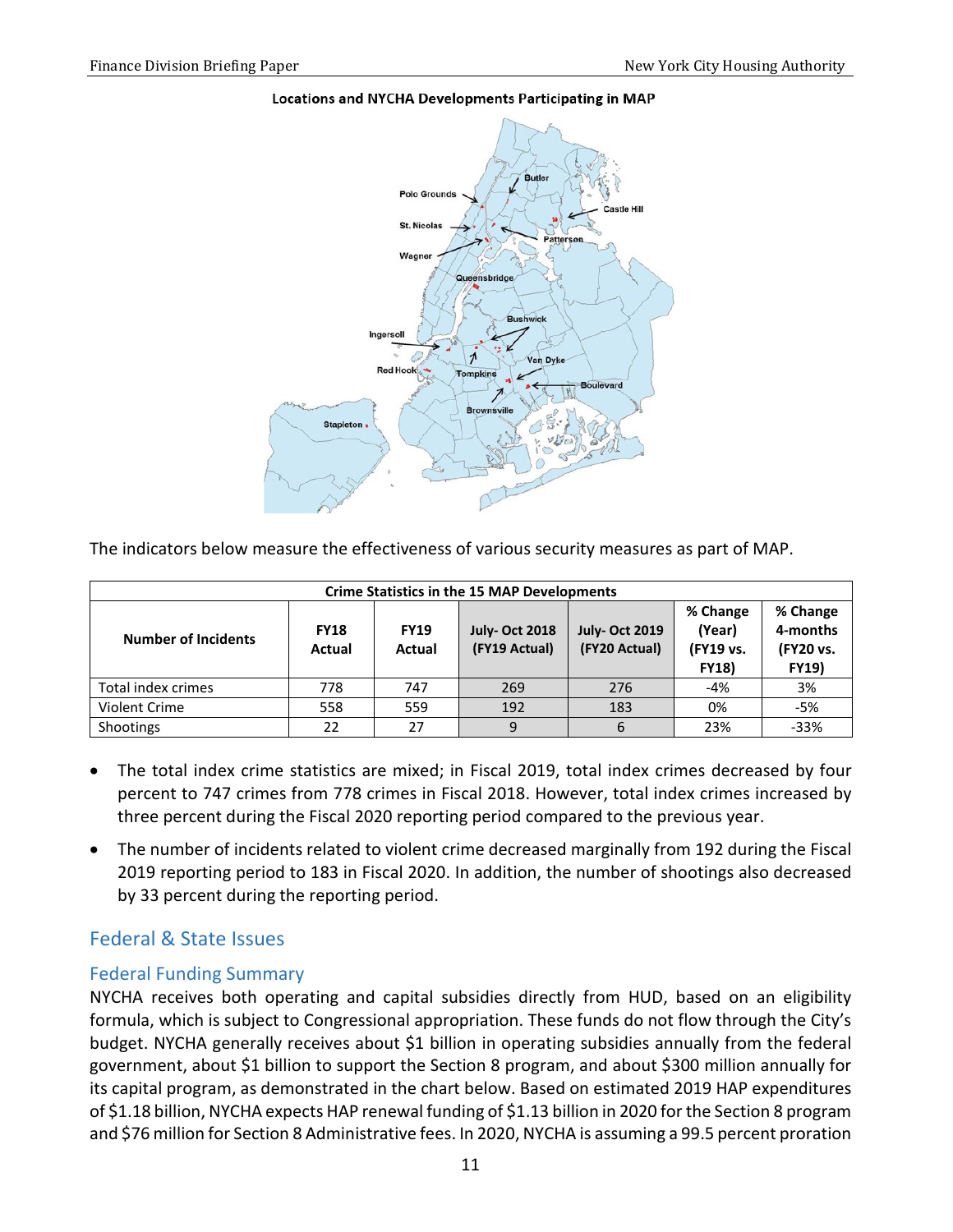#### Locations and NYCHA Developments Participating in MAP



The indicators below measure the effectiveness of various security measures as part of MAP.

|                            | <b>Crime Statistics in the 15 MAP Developments</b> |                       |                                       |                                       |                                                 |                                                   |  |  |  |  |  |
|----------------------------|----------------------------------------------------|-----------------------|---------------------------------------|---------------------------------------|-------------------------------------------------|---------------------------------------------------|--|--|--|--|--|
| <b>Number of Incidents</b> | <b>FY18</b><br><b>Actual</b>                       | <b>FY19</b><br>Actual | <b>July-Oct 2018</b><br>(FY19 Actual) | <b>July-Oct 2019</b><br>(FY20 Actual) | % Change<br>(Year)<br>(FY19 vs.<br><b>FY18)</b> | % Change<br>4-months<br>(FY20 vs.<br><b>FY19)</b> |  |  |  |  |  |
| Total index crimes         | 778                                                | 747                   | 269                                   | 276                                   | $-4%$                                           | 3%                                                |  |  |  |  |  |
| Violent Crime              | 558                                                | 559                   | 192                                   | 183                                   | 0%                                              | $-5%$                                             |  |  |  |  |  |
| Shootings                  | 22                                                 | 27                    | 9                                     | 6                                     | 23%                                             | $-33%$                                            |  |  |  |  |  |

- The total index crime statistics are mixed; in Fiscal 2019, total index crimes decreased by four percent to 747 crimes from 778 crimes in Fiscal 2018. However, total index crimes increased by three percent during the Fiscal 2020 reporting period compared to the previous year.
- The number of incidents related to violent crime decreased marginally from 192 during the Fiscal 2019 reporting period to 183 in Fiscal 2020. In addition, the number of shootings also decreased by 33 percent during the reporting period.

### <span id="page-12-0"></span>Federal & State Issues

#### <span id="page-12-1"></span>Federal Funding Summary

NYCHA receives both operating and capital subsidies directly from HUD, based on an eligibility formula, which is subject to Congressional appropriation. These funds do not flow through the City's budget. NYCHA generally receives about \$1 billion in operating subsidies annually from the federal government, about \$1 billion to support the Section 8 program, and about \$300 million annually for its capital program, as demonstrated in the chart below. Based on estimated 2019 HAP expenditures of \$1.18 billion, NYCHA expects HAP renewal funding of \$1.13 billion in 2020 for the Section 8 program and \$76 million for Section 8 Administrative fees. In 2020, NYCHA is assuming a 99.5 percent proration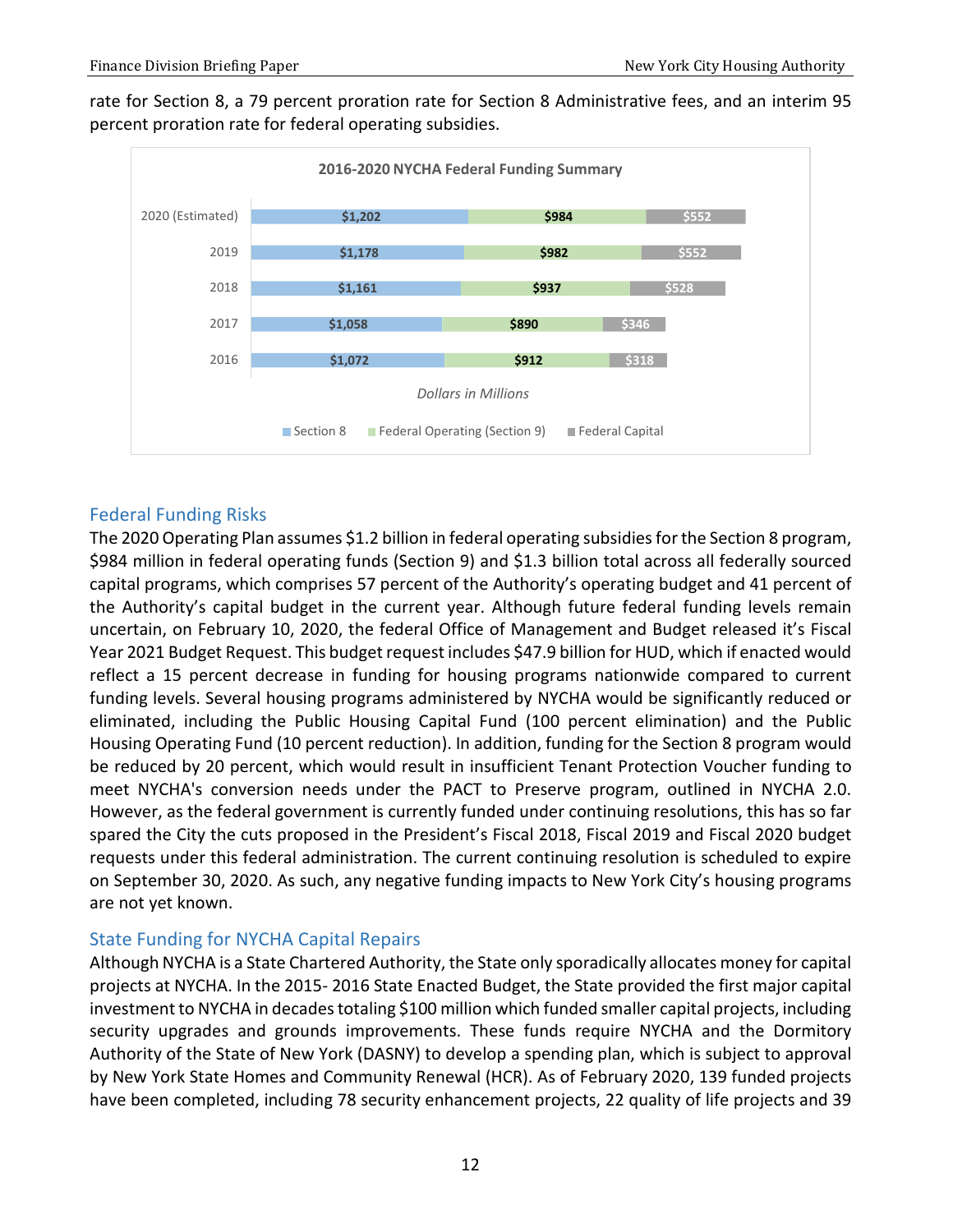rate for Section 8, a 79 percent proration rate for Section 8 Administrative fees, and an interim 95 percent proration rate for federal operating subsidies.



#### <span id="page-13-0"></span>Federal Funding Risks

The 2020 Operating Plan assumes \$1.2 billion in federal operating subsidies for the Section 8 program, \$984 million in federal operating funds (Section 9) and \$1.3 billion total across all federally sourced capital programs, which comprises 57 percent of the Authority's operating budget and 41 percent of the Authority's capital budget in the current year. Although future federal funding levels remain uncertain, on February 10, 2020, the federal Office of Management and Budget released it's Fiscal Year 2021 Budget Request. This budget request includes \$47.9 billion for HUD, which if enacted would reflect a 15 percent decrease in funding for housing programs nationwide compared to current funding levels. Several housing programs administered by NYCHA would be significantly reduced or eliminated, including the Public Housing Capital Fund (100 percent elimination) and the Public Housing Operating Fund (10 percent reduction). In addition, funding for the Section 8 program would be reduced by 20 percent, which would result in insufficient Tenant Protection Voucher funding to meet NYCHA's conversion needs under the PACT to Preserve program, outlined in NYCHA 2.0. However, as the federal government is currently funded under continuing resolutions, this has so far spared the City the cuts proposed in the President's Fiscal 2018, Fiscal 2019 and Fiscal 2020 budget requests under this federal administration. The current continuing resolution is scheduled to expire on September 30, 2020. As such, any negative funding impacts to New York City's housing programs are not yet known.

#### <span id="page-13-1"></span>State Funding for NYCHA Capital Repairs

Although NYCHA is a State Chartered Authority, the State only sporadically allocates money for capital projects at NYCHA. In the 2015- 2016 State Enacted Budget, the State provided the first major capital investment to NYCHA in decades totaling \$100 million which funded smaller capital projects, including security upgrades and grounds improvements. These funds require NYCHA and the Dormitory Authority of the State of New York (DASNY) to develop a spending plan, which is subject to approval by New York State Homes and Community Renewal (HCR). As of February 2020, 139 funded projects have been completed, including 78 security enhancement projects, 22 quality of life projects and 39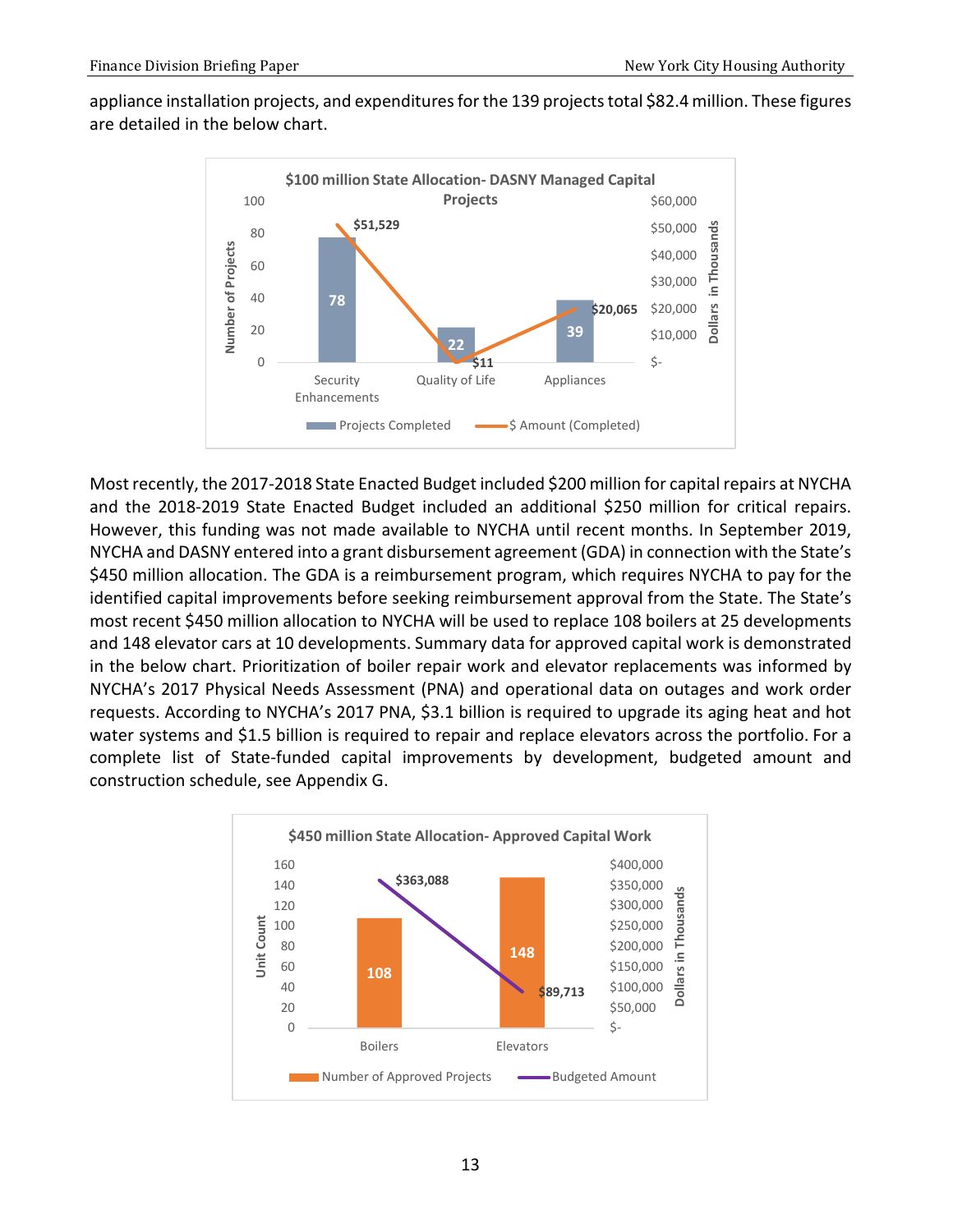appliance installation projects, and expenditures for the 139 projects total \$82.4 million. These figures are detailed in the below chart.



Most recently, the 2017-2018 State Enacted Budget included \$200 million for capital repairs at NYCHA and the 2018-2019 State Enacted Budget included an additional \$250 million for critical repairs. However, this funding was not made available to NYCHA until recent months. In September 2019, NYCHA and DASNY entered into a grant disbursement agreement (GDA) in connection with the State's \$450 million allocation. The GDA is a reimbursement program, which requires NYCHA to pay for the identified capital improvements before seeking reimbursement approval from the State. The State's most recent \$450 million allocation to NYCHA will be used to replace 108 boilers at 25 developments and 148 elevator cars at 10 developments. Summary data for approved capital work is demonstrated in the below chart. Prioritization of boiler repair work and elevator replacements was informed by NYCHA's 2017 Physical Needs Assessment (PNA) and operational data on outages and work order requests. According to NYCHA's 2017 PNA, \$3.1 billion is required to upgrade its aging heat and hot water systems and \$1.5 billion is required to repair and replace elevators across the portfolio. For a complete list of State-funded capital improvements by development, budgeted amount and construction schedule, see Appendix G.

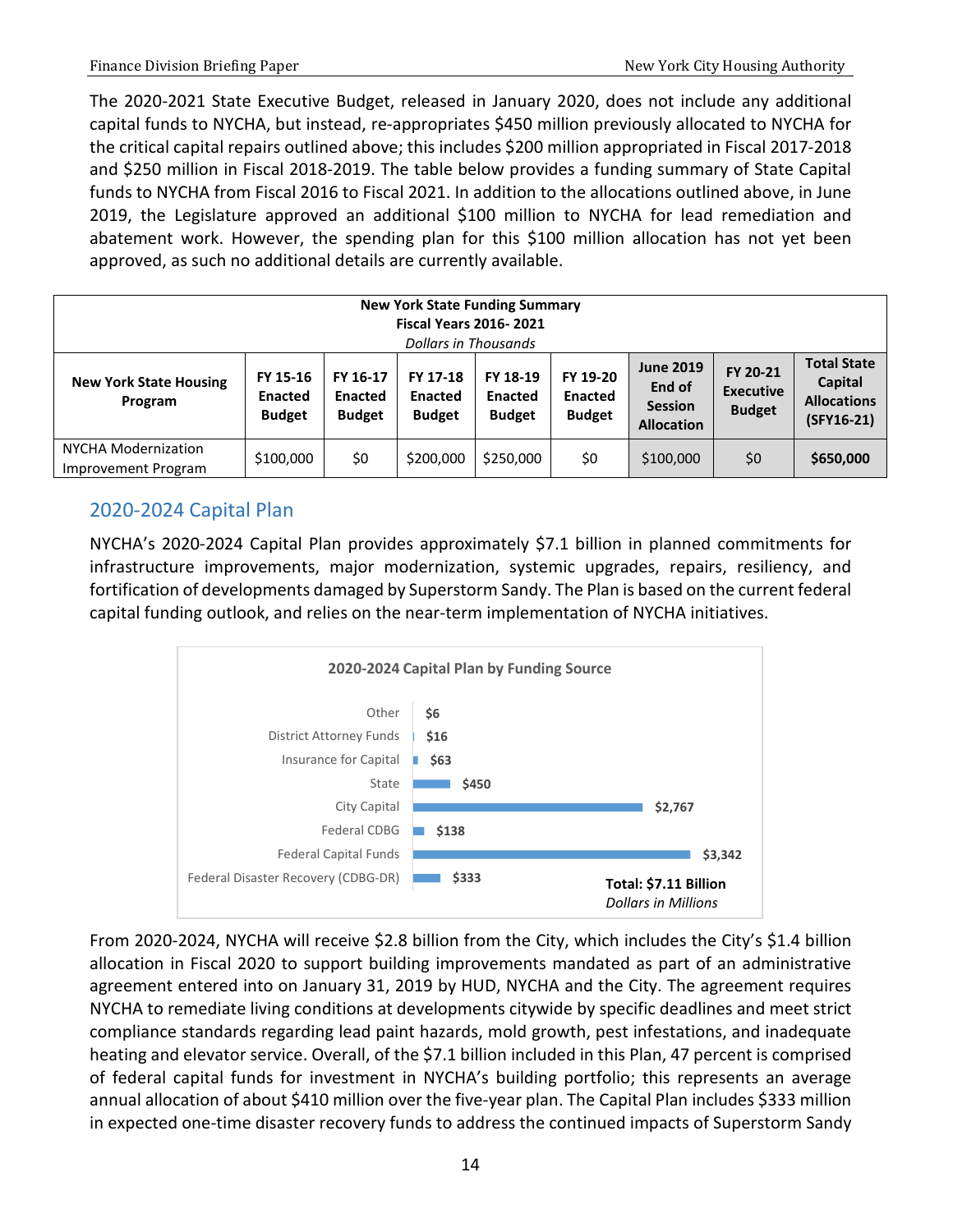The 2020-2021 State Executive Budget, released in January 2020, does not include any additional capital funds to NYCHA, but instead, re-appropriates \$450 million previously allocated to NYCHA for the critical capital repairs outlined above; this includes \$200 million appropriated in Fiscal 2017-2018 and \$250 million in Fiscal 2018-2019. The table below provides a funding summary of State Capital funds to NYCHA from Fiscal 2016 to Fiscal 2021. In addition to the allocations outlined above, in June 2019, the Legislature approved an additional \$100 million to NYCHA for lead remediation and abatement work. However, the spending plan for this \$100 million allocation has not yet been approved, as such no additional details are currently available.

|                                            | <b>New York State Funding Summary</b><br><b>Fiscal Years 2016-2021</b><br>Dollars in Thousands |                                             |                                             |                                             |                                             |                                                                   |                                               |                                                                   |  |  |
|--------------------------------------------|------------------------------------------------------------------------------------------------|---------------------------------------------|---------------------------------------------|---------------------------------------------|---------------------------------------------|-------------------------------------------------------------------|-----------------------------------------------|-------------------------------------------------------------------|--|--|
| <b>New York State Housing</b><br>Program   | FY 15-16<br><b>Enacted</b><br><b>Budget</b>                                                    | FY 16-17<br><b>Enacted</b><br><b>Budget</b> | FY 17-18<br><b>Enacted</b><br><b>Budget</b> | FY 18-19<br><b>Enacted</b><br><b>Budget</b> | FY 19-20<br><b>Enacted</b><br><b>Budget</b> | <b>June 2019</b><br>End of<br><b>Session</b><br><b>Allocation</b> | FY 20-21<br><b>Executive</b><br><b>Budget</b> | <b>Total State</b><br>Capital<br><b>Allocations</b><br>(SFY16-21) |  |  |
| NYCHA Modernization<br>Improvement Program | \$100,000                                                                                      | \$0                                         | \$200,000                                   | \$250,000                                   | \$0                                         | \$100,000                                                         | \$0                                           | \$650,000                                                         |  |  |

# <span id="page-15-0"></span>2020-2024 Capital Plan

NYCHA's 2020-2024 Capital Plan provides approximately \$7.1 billion in planned commitments for infrastructure improvements, major modernization, systemic upgrades, repairs, resiliency, and fortification of developments damaged by Superstorm Sandy. The Plan is based on the current federal capital funding outlook, and relies on the near-term implementation of NYCHA initiatives.



From 2020-2024, NYCHA will receive \$2.8 billion from the City, which includes the City's \$1.4 billion allocation in Fiscal 2020 to support building improvements mandated as part of an administrative agreement entered into on January 31, 2019 by HUD, NYCHA and the City. The agreement requires NYCHA to remediate living conditions at developments citywide by specific deadlines and meet strict compliance standards regarding lead paint hazards, mold growth, pest infestations, and inadequate heating and elevator service. Overall, of the \$7.1 billion included in this Plan, 47 percent is comprised of federal capital funds for investment in NYCHA's building portfolio; this represents an average annual allocation of about \$410 million over the five-year plan. The Capital Plan includes \$333 million in expected one-time disaster recovery funds to address the continued impacts of Superstorm Sandy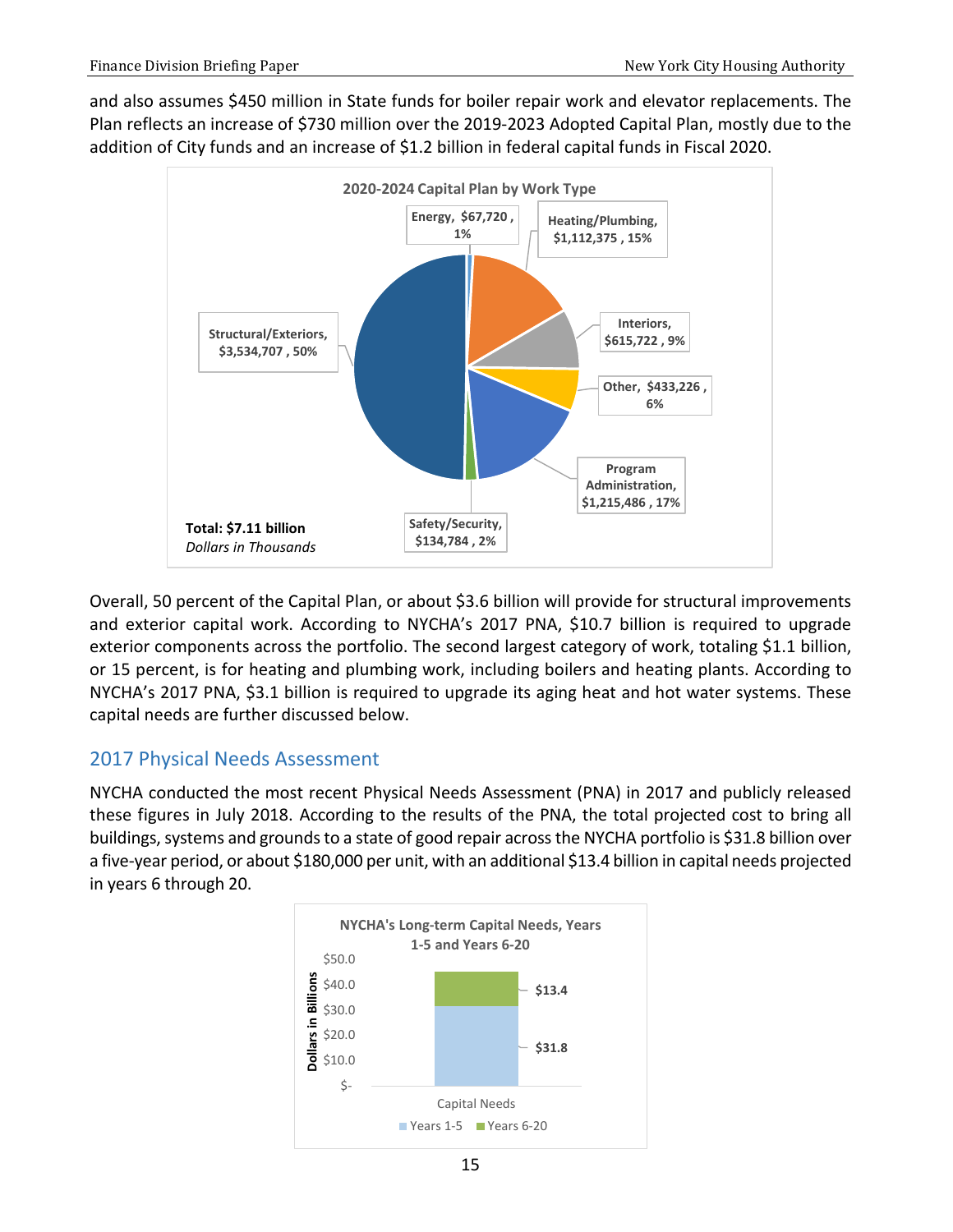and also assumes \$450 million in State funds for boiler repair work and elevator replacements. The Plan reflects an increase of \$730 million over the 2019-2023 Adopted Capital Plan, mostly due to the addition of City funds and an increase of \$1.2 billion in federal capital funds in Fiscal 2020.



Overall, 50 percent of the Capital Plan, or about \$3.6 billion will provide for structural improvements and exterior capital work. According to NYCHA's 2017 PNA, \$10.7 billion is required to upgrade exterior components across the portfolio. The second largest category of work, totaling \$1.1 billion, or 15 percent, is for heating and plumbing work, including boilers and heating plants. According to NYCHA's 2017 PNA, \$3.1 billion is required to upgrade its aging heat and hot water systems. These capital needs are further discussed below.

### <span id="page-16-0"></span>2017 Physical Needs Assessment

NYCHA conducted the most recent Physical Needs Assessment (PNA) in 2017 and publicly released these figures in July 2018. According to the results of the PNA, the total projected cost to bring all buildings, systems and grounds to a state of good repair across the NYCHA portfolio is \$31.8 billion over a five-year period, or about \$180,000 per unit, with an additional \$13.4 billion in capital needs projected in years 6 through 20.

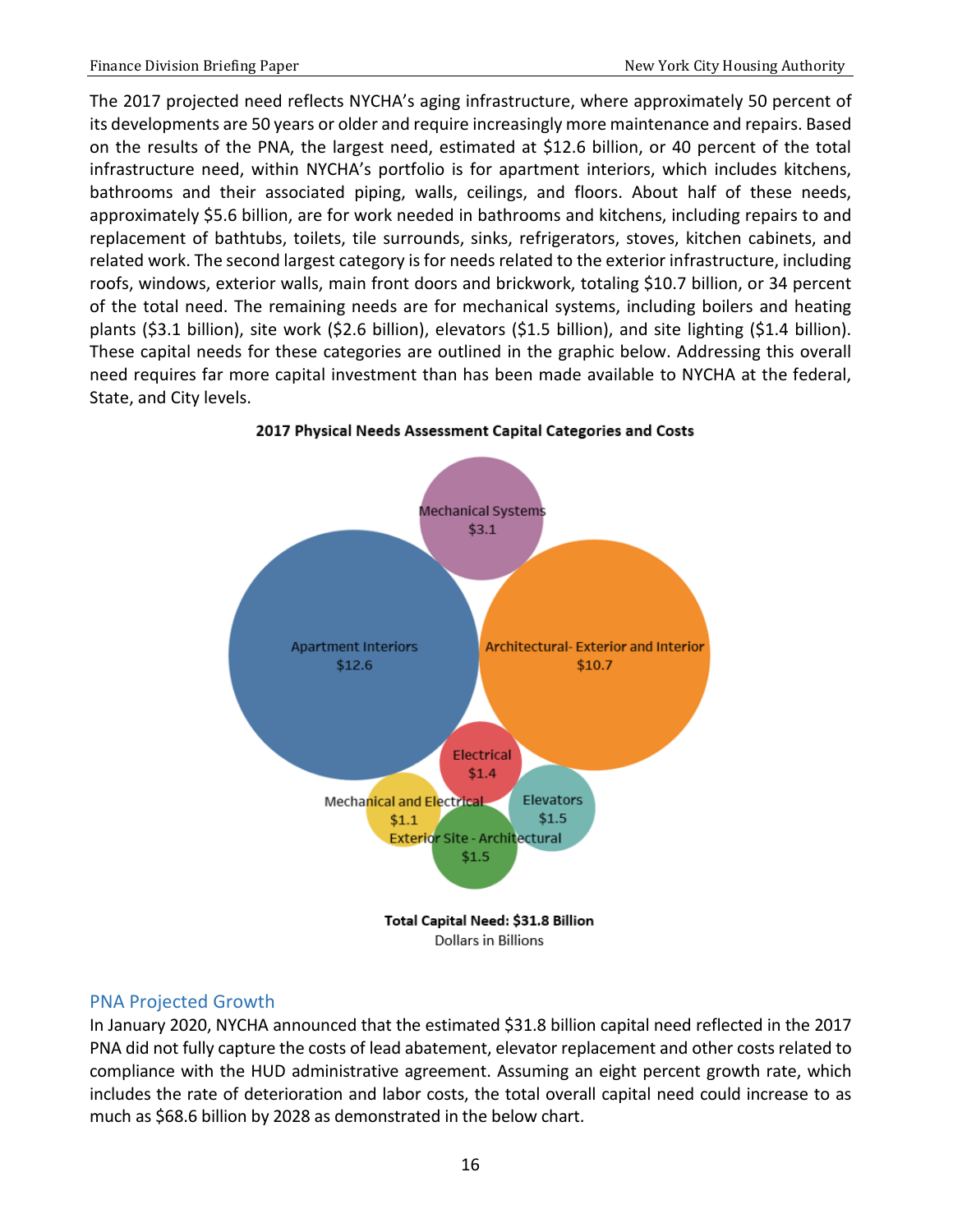The 2017 projected need reflects NYCHA's aging infrastructure, where approximately 50 percent of its developments are 50 years or older and require increasingly more maintenance and repairs. Based on the results of the PNA, the largest need, estimated at \$12.6 billion, or 40 percent of the total infrastructure need, within NYCHA's portfolio is for apartment interiors, which includes kitchens, bathrooms and their associated piping, walls, ceilings, and floors. About half of these needs, approximately \$5.6 billion, are for work needed in bathrooms and kitchens, including repairs to and replacement of bathtubs, toilets, tile surrounds, sinks, refrigerators, stoves, kitchen cabinets, and related work. The second largest category is for needs related to the exterior infrastructure, including roofs, windows, exterior walls, main front doors and brickwork, totaling \$10.7 billion, or 34 percent of the total need. The remaining needs are for mechanical systems, including boilers and heating plants (\$3.1 billion), site work (\$2.6 billion), elevators (\$1.5 billion), and site lighting (\$1.4 billion). These capital needs for these categories are outlined in the graphic below. Addressing this overall need requires far more capital investment than has been made available to NYCHA at the federal, State, and City levels.



2017 Physical Needs Assessment Capital Categories and Costs

#### <span id="page-17-0"></span>PNA Projected Growth

In January 2020, NYCHA announced that the estimated \$31.8 billion capital need reflected in the 2017 PNA did not fully capture the costs of lead abatement, elevator replacement and other costs related to compliance with the HUD administrative agreement. Assuming an eight percent growth rate, which includes the rate of deterioration and labor costs, the total overall capital need could increase to as much as \$68.6 billion by 2028 as demonstrated in the below chart.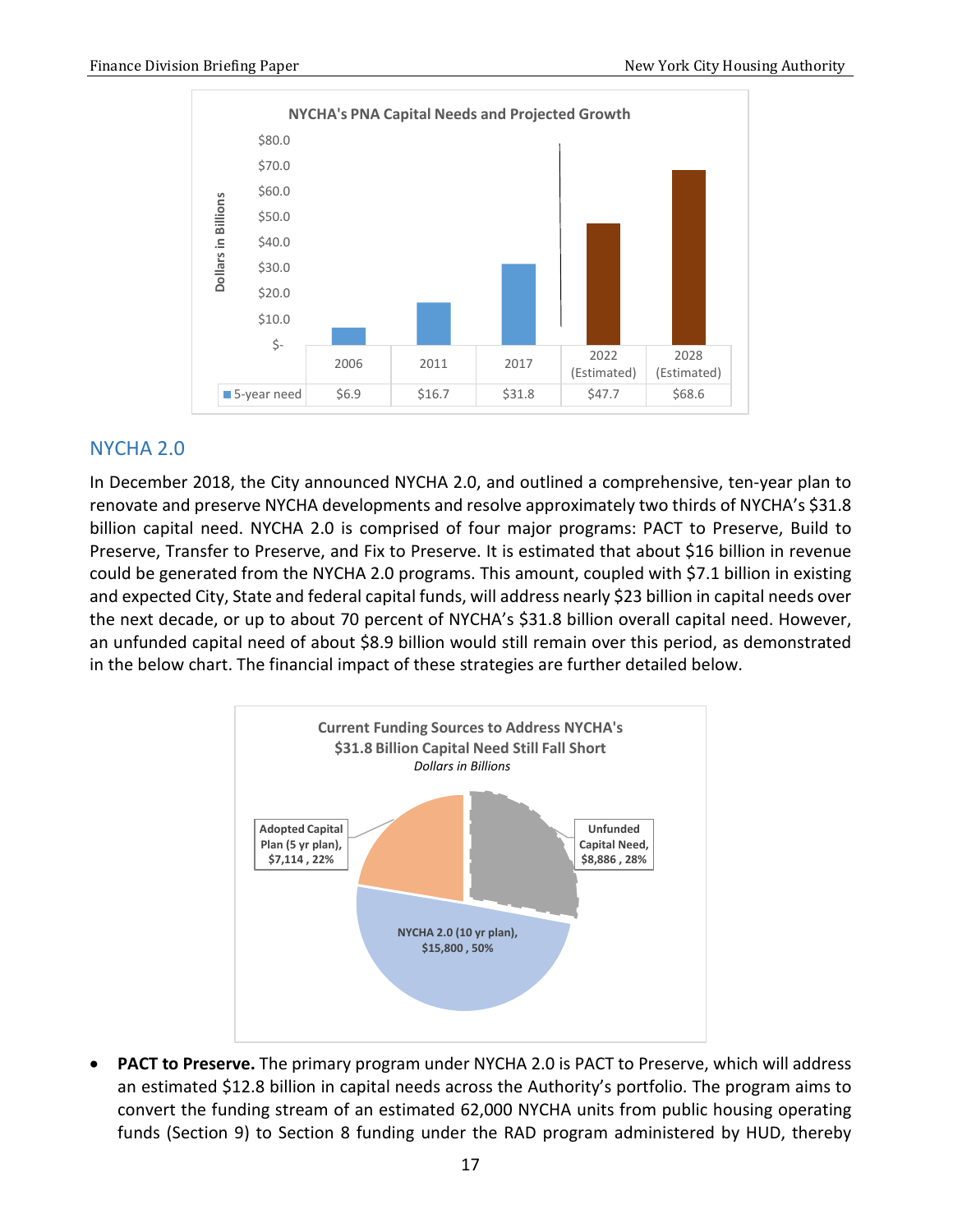

### <span id="page-18-0"></span>NYCHA 2.0

In December 2018, the City announced NYCHA 2.0, and outlined a comprehensive, ten-year plan to renovate and preserve NYCHA developments and resolve approximately two thirds of NYCHA's \$31.8 billion capital need. NYCHA 2.0 is comprised of four major programs: PACT to Preserve, Build to Preserve, Transfer to Preserve, and Fix to Preserve. It is estimated that about \$16 billion in revenue could be generated from the NYCHA 2.0 programs. This amount, coupled with \$7.1 billion in existing and expected City, State and federal capital funds, will address nearly \$23 billion in capital needs over the next decade, or up to about 70 percent of NYCHA's \$31.8 billion overall capital need. However, an unfunded capital need of about \$8.9 billion would still remain over this period, as demonstrated in the below chart. The financial impact of these strategies are further detailed below.



• **PACT to Preserve.** The primary program under NYCHA 2.0 is PACT to Preserve, which will address an estimated \$12.8 billion in capital needs across the Authority's portfolio. The program aims to convert the funding stream of an estimated 62,000 NYCHA units from public housing operating funds (Section 9) to Section 8 funding under the RAD program administered by HUD, thereby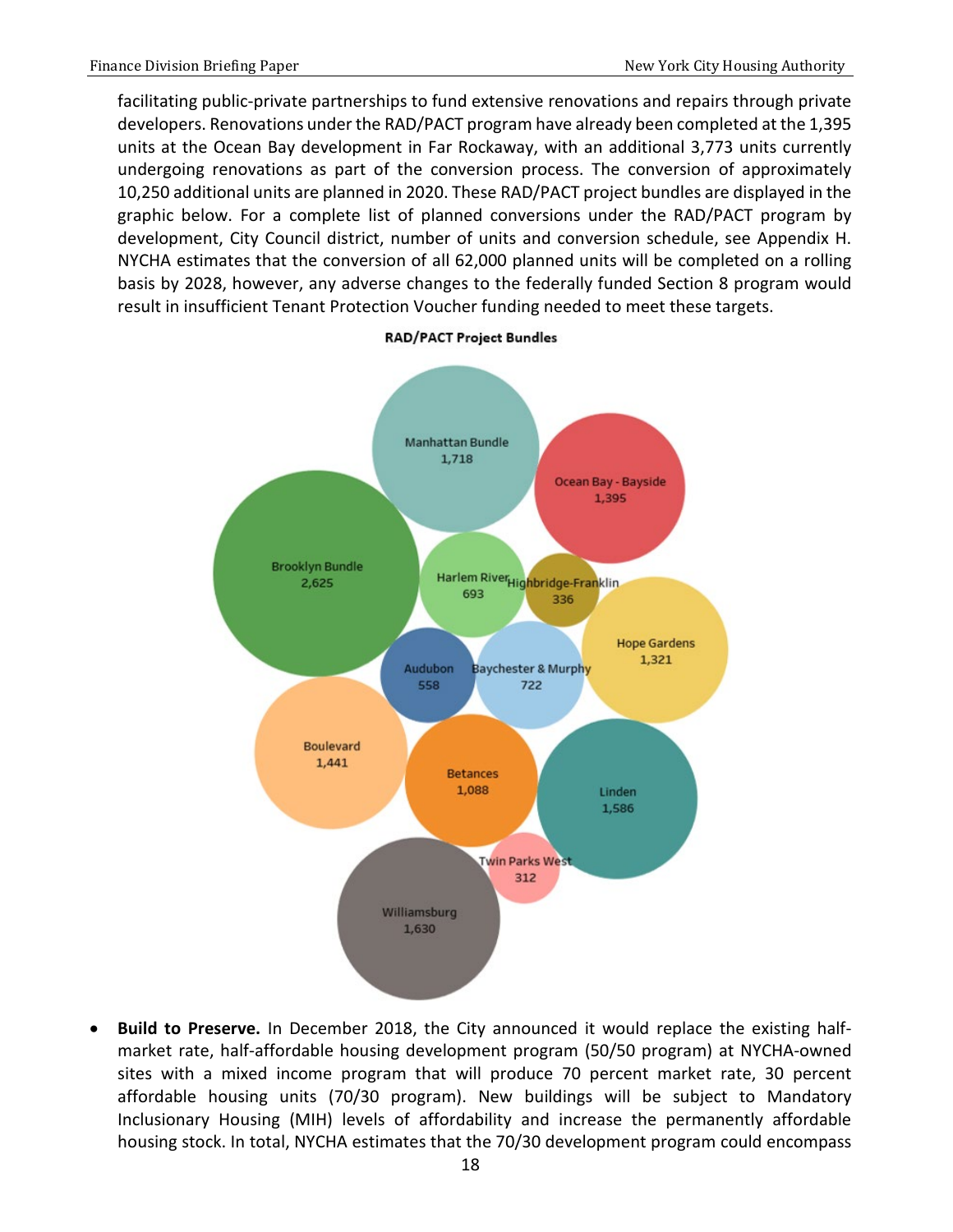facilitating public-private partnerships to fund extensive renovations and repairs through private developers. Renovations under the RAD/PACT program have already been completed at the 1,395 units at the Ocean Bay development in Far Rockaway, with an additional 3,773 units currently undergoing renovations as part of the conversion process. The conversion of approximately 10,250 additional units are planned in 2020. These RAD/PACT project bundles are displayed in the graphic below. For a complete list of planned conversions under the RAD/PACT program by development, City Council district, number of units and conversion schedule, see Appendix H. NYCHA estimates that the conversion of all 62,000 planned units will be completed on a rolling basis by 2028, however, any adverse changes to the federally funded Section 8 program would result in insufficient Tenant Protection Voucher funding needed to meet these targets.



**RAD/PACT Project Bundles** 

• **Build to Preserve.** In December 2018, the City announced it would replace the existing halfmarket rate, half-affordable housing development program (50/50 program) at NYCHA-owned sites with a mixed income program that will produce 70 percent market rate, 30 percent affordable housing units (70/30 program). New buildings will be subject to Mandatory Inclusionary Housing (MIH) levels of affordability and increase the permanently affordable housing stock. In total, NYCHA estimates that the 70/30 development program could encompass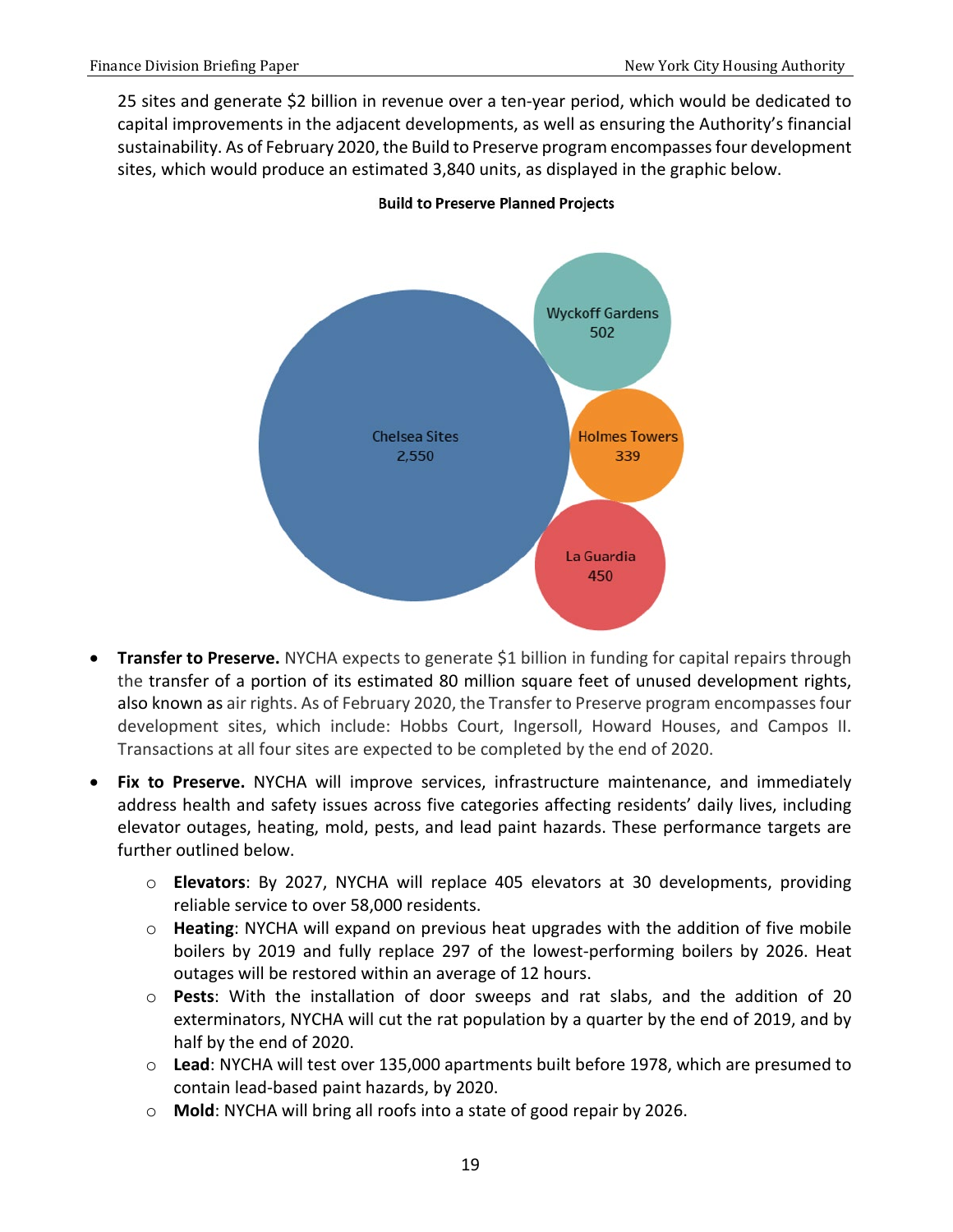25 sites and generate \$2 billion in revenue over a ten-year period, which would be dedicated to capital improvements in the adjacent developments, as well as ensuring the Authority's financial sustainability. As of February 2020, the Build to Preserve program encompasses four development sites, which would produce an estimated 3,840 units, as displayed in the graphic below.



#### **Build to Preserve Planned Projects**

- **Transfer to Preserve.** NYCHA expects to generate \$1 billion in funding for capital repairs through the transfer of a portion of its estimated 80 million square feet of unused development rights, also known as air rights. As of February 2020, the Transfer to Preserve program encompasses four development sites, which include: Hobbs Court, Ingersoll, Howard Houses, and Campos II. Transactions at all four sites are expected to be completed by the end of 2020.
- **Fix to Preserve.** NYCHA will improve services, infrastructure maintenance, and immediately address health and safety issues across five categories affecting residents' daily lives, including elevator outages, heating, mold, pests, and lead paint hazards. These performance targets are further outlined below.
	- o **Elevators**: By 2027, NYCHA will replace 405 elevators at 30 developments, providing reliable service to over 58,000 residents.
	- o **Heating**: NYCHA will expand on previous heat upgrades with the addition of five mobile boilers by 2019 and fully replace 297 of the lowest-performing boilers by 2026. Heat outages will be restored within an average of 12 hours.
	- o **Pests**: With the installation of door sweeps and rat slabs, and the addition of 20 exterminators, NYCHA will cut the rat population by a quarter by the end of 2019, and by half by the end of 2020.
	- o **Lead**: NYCHA will test over 135,000 apartments built before 1978, which are presumed to contain lead-based paint hazards, by 2020.
	- o **Mold**: NYCHA will bring all roofs into a state of good repair by 2026.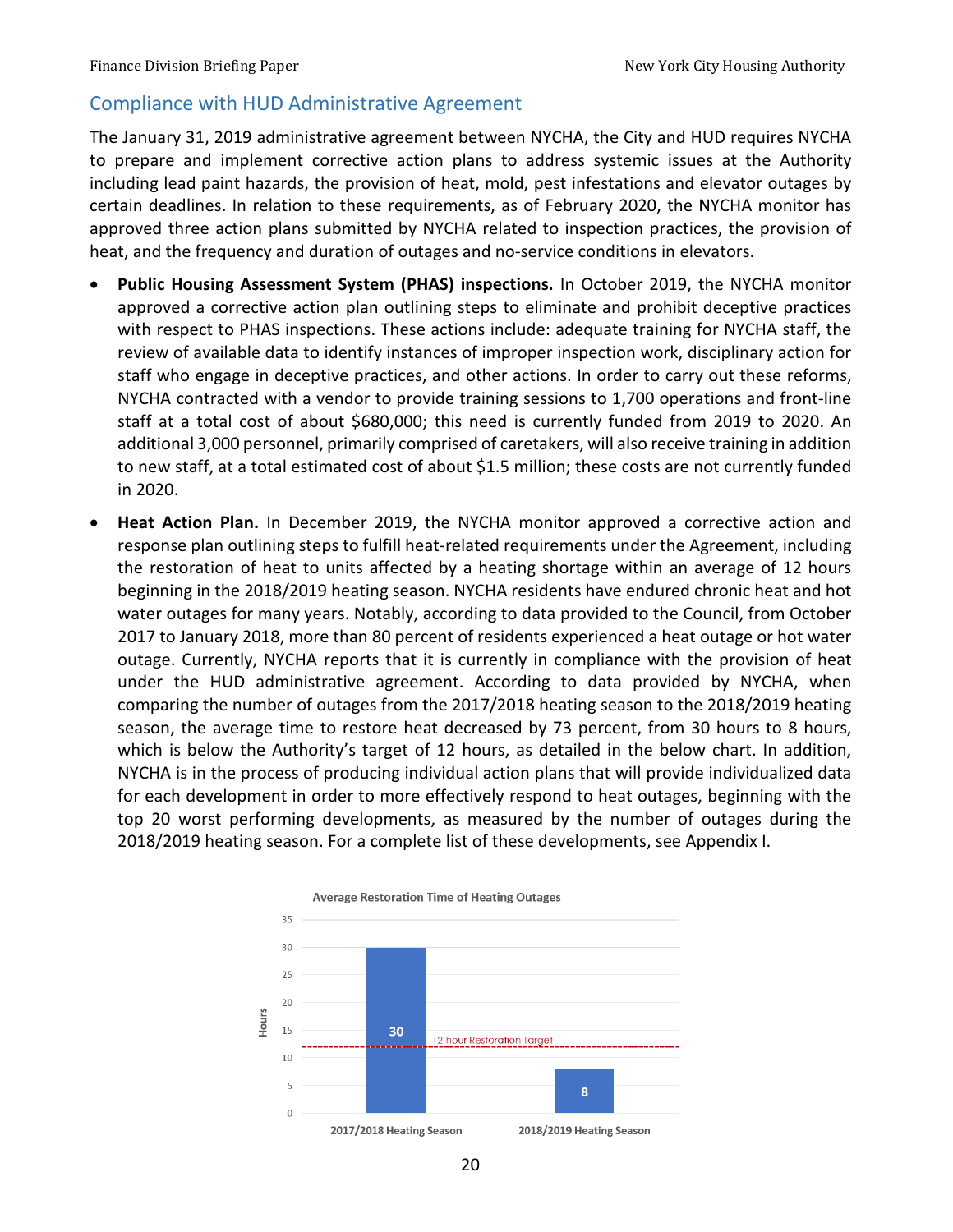### <span id="page-21-0"></span>Compliance with HUD Administrative Agreement

The January 31, 2019 administrative agreement between NYCHA, the City and HUD requires NYCHA to prepare and implement corrective action plans to address systemic issues at the Authority including lead paint hazards, the provision of heat, mold, pest infestations and elevator outages by certain deadlines. In relation to these requirements, as of February 2020, the NYCHA monitor has approved three action plans submitted by NYCHA related to inspection practices, the provision of heat, and the frequency and duration of outages and no-service conditions in elevators.

- **Public Housing Assessment System (PHAS) inspections.** In October 2019, the NYCHA monitor approved a corrective action plan outlining steps to eliminate and prohibit deceptive practices with respect to PHAS inspections. These actions include: adequate training for NYCHA staff, the review of available data to identify instances of improper inspection work, disciplinary action for staff who engage in deceptive practices, and other actions. In order to carry out these reforms, NYCHA contracted with a vendor to provide training sessions to 1,700 operations and front-line staff at a total cost of about \$680,000; this need is currently funded from 2019 to 2020. An additional 3,000 personnel, primarily comprised of caretakers, will also receive training in addition to new staff, at a total estimated cost of about \$1.5 million; these costs are not currently funded in 2020.
- **Heat Action Plan.** In December 2019, the NYCHA monitor approved a corrective action and response plan outlining steps to fulfill heat-related requirements under the Agreement, including the restoration of heat to units affected by a heating shortage within an average of 12 hours beginning in the 2018/2019 heating season. NYCHA residents have endured chronic heat and hot water outages for many years. Notably, according to data provided to the Council, from October 2017 to January 2018, more than 80 percent of residents experienced a heat outage or hot water outage. Currently, NYCHA reports that it is currently in compliance with the provision of heat under the HUD administrative agreement. According to data provided by NYCHA, when comparing the number of outages from the 2017/2018 heating season to the 2018/2019 heating season, the average time to restore heat decreased by 73 percent, from 30 hours to 8 hours, which is below the Authority's target of 12 hours, as detailed in the below chart. In addition, NYCHA is in the process of producing individual action plans that will provide individualized data for each development in order to more effectively respond to heat outages, beginning with the top 20 worst performing developments, as measured by the number of outages during the 2018/2019 heating season. For a complete list of these developments, see Appendix I.

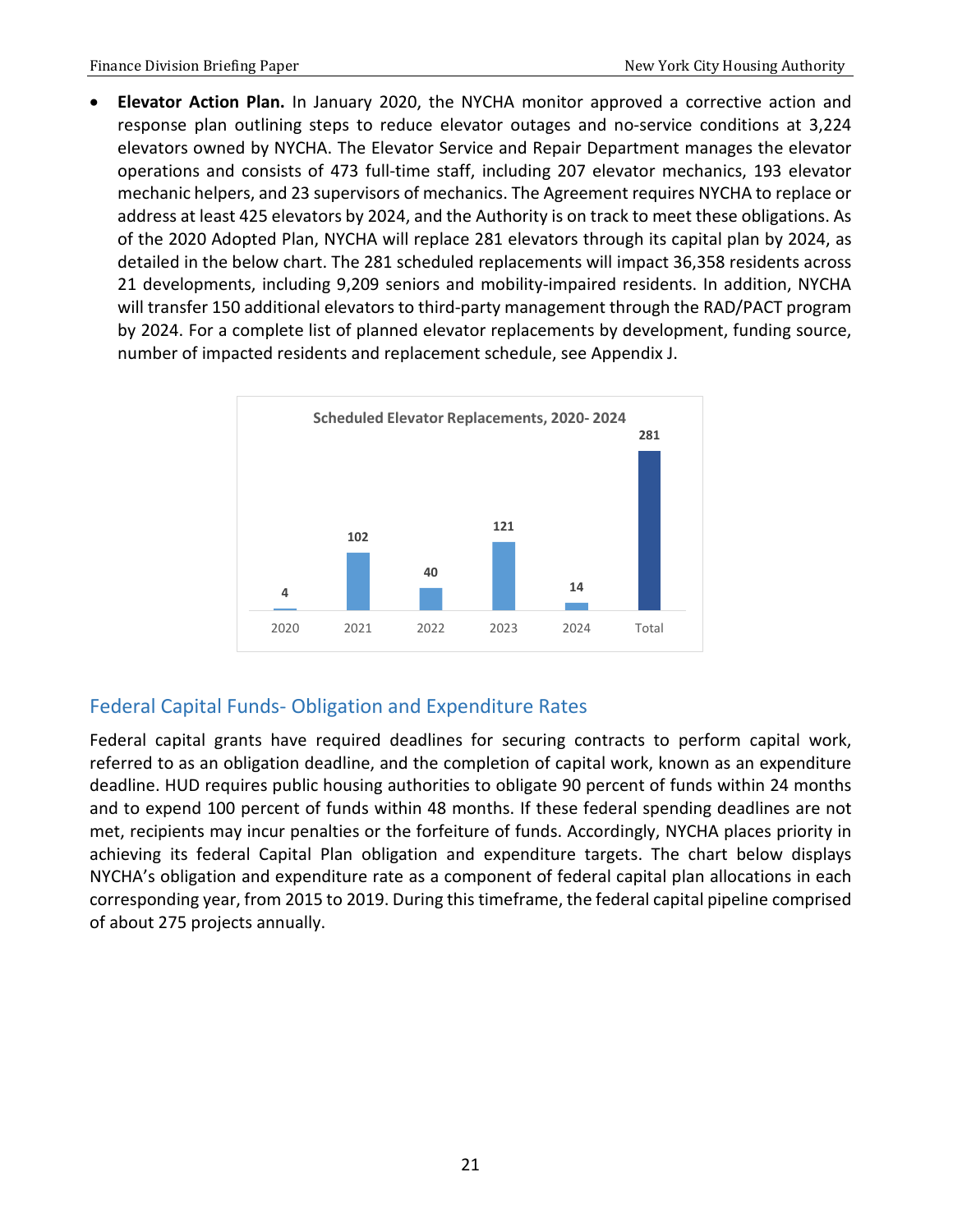• **Elevator Action Plan.** In January 2020, the NYCHA monitor approved a corrective action and response plan outlining steps to reduce elevator outages and no-service conditions at 3,224 elevators owned by NYCHA. The Elevator Service and Repair Department manages the elevator operations and consists of 473 full-time staff, including 207 elevator mechanics, 193 elevator mechanic helpers, and 23 supervisors of mechanics. The Agreement requires NYCHA to replace or address at least 425 elevators by 2024, and the Authority is on track to meet these obligations. As of the 2020 Adopted Plan, NYCHA will replace 281 elevators through its capital plan by 2024, as detailed in the below chart. The 281 scheduled replacements will impact 36,358 residents across 21 developments, including 9,209 seniors and mobility-impaired residents. In addition, NYCHA will transfer 150 additional elevators to third-party management through the RAD/PACT program by 2024. For a complete list of planned elevator replacements by development, funding source, number of impacted residents and replacement schedule, see Appendix J.



# <span id="page-22-0"></span>Federal Capital Funds- Obligation and Expenditure Rates

Federal capital grants have required deadlines for securing contracts to perform capital work, referred to as an obligation deadline, and the completion of capital work, known as an expenditure deadline. HUD requires public housing authorities to obligate 90 percent of funds within 24 months and to expend 100 percent of funds within 48 months. If these federal spending deadlines are not met, recipients may incur penalties or the forfeiture of funds. Accordingly, NYCHA places priority in achieving its federal Capital Plan obligation and expenditure targets. The chart below displays NYCHA's obligation and expenditure rate as a component of federal capital plan allocations in each corresponding year, from 2015 to 2019. During this timeframe, the federal capital pipeline comprised of about 275 projects annually.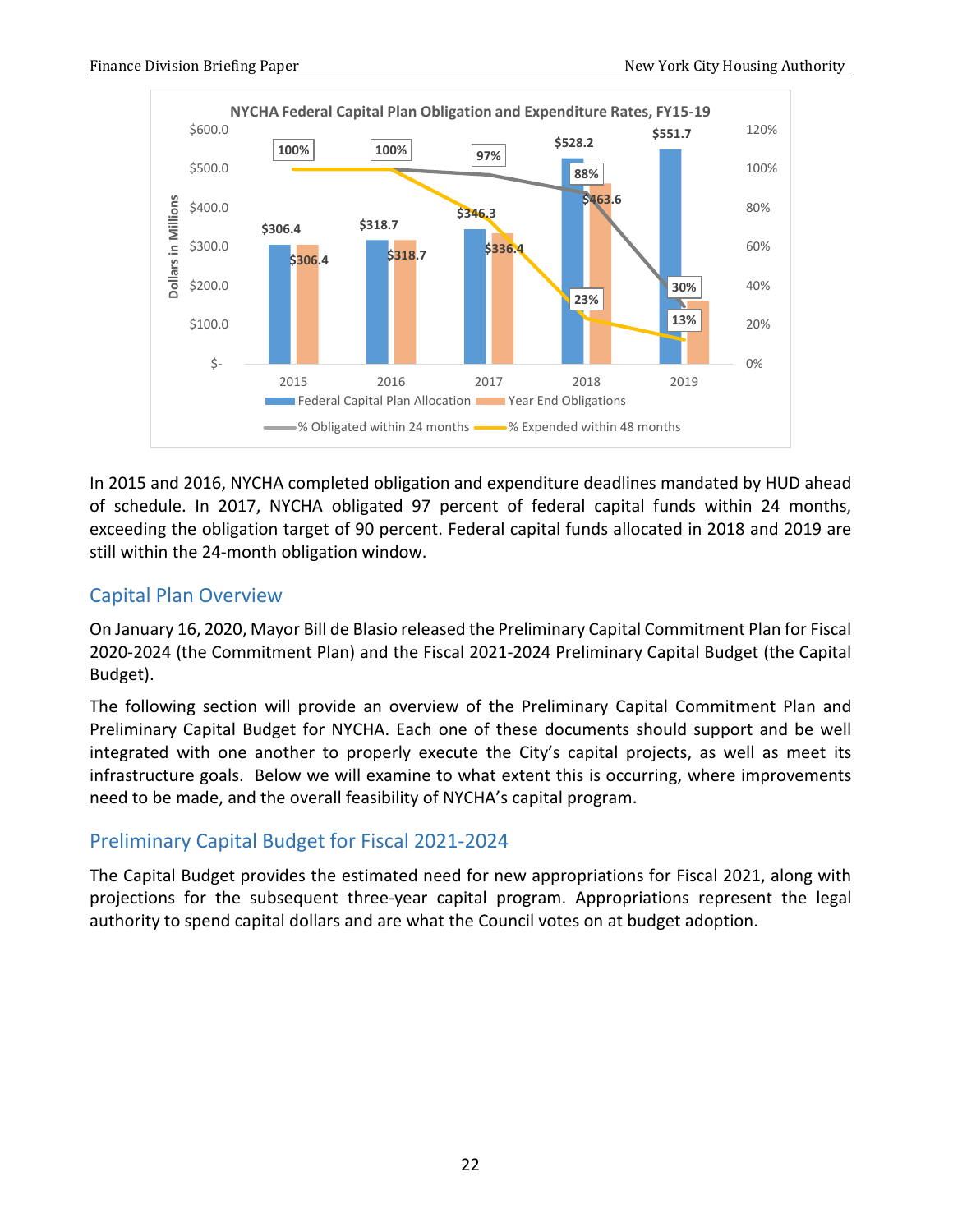

In 2015 and 2016, NYCHA completed obligation and expenditure deadlines mandated by HUD ahead of schedule. In 2017, NYCHA obligated 97 percent of federal capital funds within 24 months, exceeding the obligation target of 90 percent. Federal capital funds allocated in 2018 and 2019 are still within the 24-month obligation window.

### <span id="page-23-0"></span>Capital Plan Overview

On January 16, 2020, Mayor Bill de Blasio released the Preliminary Capital Commitment Plan for Fiscal 2020-2024 (the Commitment Plan) and the Fiscal 2021-2024 Preliminary Capital Budget (the Capital Budget).

The following section will provide an overview of the Preliminary Capital Commitment Plan and Preliminary Capital Budget for NYCHA. Each one of these documents should support and be well integrated with one another to properly execute the City's capital projects, as well as meet its infrastructure goals. Below we will examine to what extent this is occurring, where improvements need to be made, and the overall feasibility of NYCHA's capital program.

# <span id="page-23-1"></span>Preliminary Capital Budget for Fiscal 2021-2024

The Capital Budget provides the estimated need for new appropriations for Fiscal 2021, along with projections for the subsequent three-year capital program. Appropriations represent the legal authority to spend capital dollars and are what the Council votes on at budget adoption.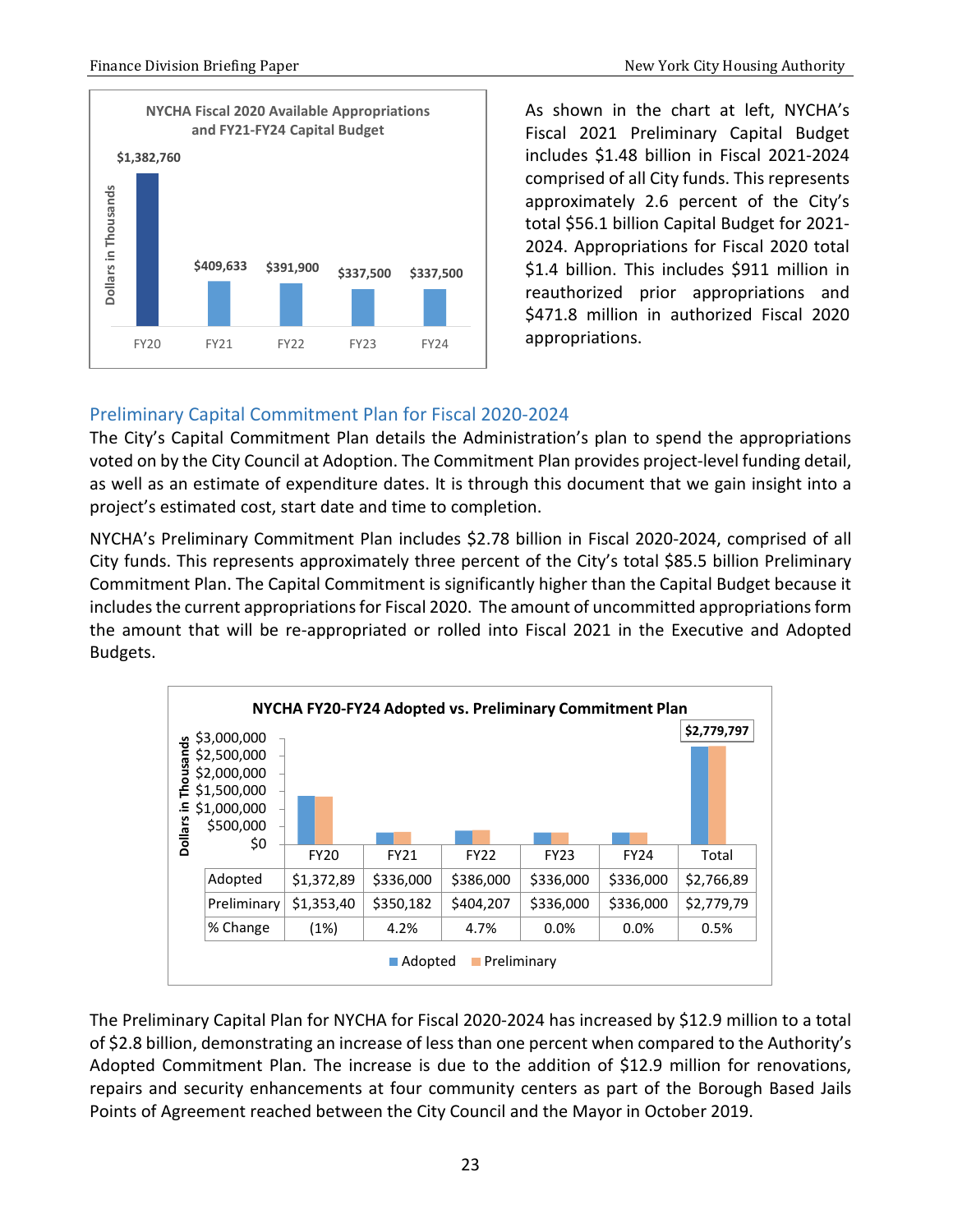

As shown in the chart at left, NYCHA's Fiscal 2021 Preliminary Capital Budget includes \$1.48 billion in Fiscal 2021-2024 comprised of all City funds. This represents approximately 2.6 percent of the City's total \$56.1 billion Capital Budget for 2021- 2024. Appropriations for Fiscal 2020 total \$1.4 billion. This includes \$911 million in reauthorized prior appropriations and \$471.8 million in authorized Fiscal 2020 appropriations.

# <span id="page-24-0"></span>Preliminary Capital Commitment Plan for Fiscal 2020-2024

The City's Capital Commitment Plan details the Administration's plan to spend the appropriations voted on by the City Council at Adoption. The Commitment Plan provides project-level funding detail, as well as an estimate of expenditure dates. It is through this document that we gain insight into a project's estimated cost, start date and time to completion.

NYCHA's Preliminary Commitment Plan includes \$2.78 billion in Fiscal 2020-2024, comprised of all City funds. This represents approximately three percent of the City's total \$85.5 billion Preliminary Commitment Plan. The Capital Commitment is significantly higher than the Capital Budget because it includes the current appropriations for Fiscal 2020. The amount of uncommitted appropriations form the amount that will be re-appropriated or rolled into Fiscal 2021 in the Executive and Adopted Budgets.

|                                                | \$3,000,000 |             |             |             |             |             | \$2,779,797 |
|------------------------------------------------|-------------|-------------|-------------|-------------|-------------|-------------|-------------|
| <b>Thousands</b><br>\$2,500,000<br>\$2,000,000 |             |             |             |             |             |             |             |
|                                                | \$1,500,000 |             |             |             |             |             |             |
| 르.                                             | \$1,000,000 |             |             |             |             |             |             |
| <b>Dollars</b>                                 | \$500,000   |             |             |             |             |             |             |
|                                                | \$0         | <b>FY20</b> | <b>FY21</b> | <b>FY22</b> | <b>FY23</b> | <b>FY24</b> | Total       |
|                                                |             | \$1,372,89  | \$336,000   | \$386,000   | \$336,000   | \$336,000   | \$2,766,89  |
|                                                | Adopted     |             |             |             |             |             |             |
|                                                | Preliminary | \$1,353,40  | \$350,182   | \$404,207   | \$336,000   | \$336,000   | \$2,779,79  |

The Preliminary Capital Plan for NYCHA for Fiscal 2020-2024 has increased by \$12.9 million to a total of \$2.8 billion, demonstrating an increase of less than one percent when compared to the Authority's Adopted Commitment Plan. The increase is due to the addition of \$12.9 million for renovations, repairs and security enhancements at four community centers as part of the Borough Based Jails Points of Agreement reached between the City Council and the Mayor in October 2019.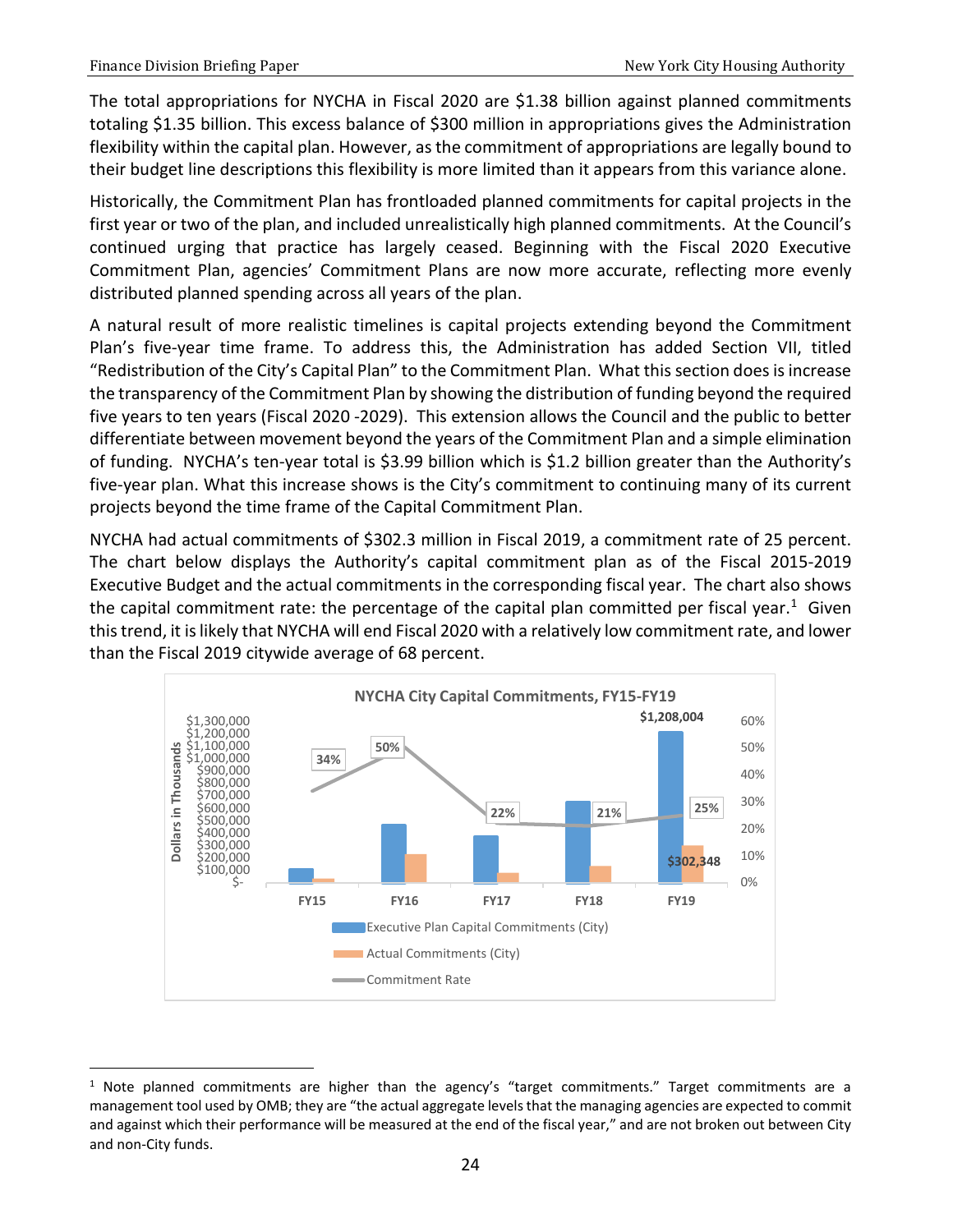The total appropriations for NYCHA in Fiscal 2020 are \$1.38 billion against planned commitments totaling \$1.35 billion. This excess balance of \$300 million in appropriations gives the Administration flexibility within the capital plan. However, as the commitment of appropriations are legally bound to their budget line descriptions this flexibility is more limited than it appears from this variance alone.

Historically, the Commitment Plan has frontloaded planned commitments for capital projects in the first year or two of the plan, and included unrealistically high planned commitments. At the Council's continued urging that practice has largely ceased. Beginning with the Fiscal 2020 Executive Commitment Plan, agencies' Commitment Plans are now more accurate, reflecting more evenly distributed planned spending across all years of the plan.

A natural result of more realistic timelines is capital projects extending beyond the Commitment Plan's five-year time frame. To address this, the Administration has added Section VII, titled "Redistribution of the City's Capital Plan" to the Commitment Plan. What this section does is increase the transparency of the Commitment Plan by showing the distribution of funding beyond the required five years to ten years (Fiscal 2020 -2029). This extension allows the Council and the public to better differentiate between movement beyond the years of the Commitment Plan and a simple elimination of funding. NYCHA's ten-year total is \$3.99 billion which is \$1.2 billion greater than the Authority's five-year plan. What this increase shows is the City's commitment to continuing many of its current projects beyond the time frame of the Capital Commitment Plan.

NYCHA had actual commitments of \$302.3 million in Fiscal 2019, a commitment rate of 25 percent. The chart below displays the Authority's capital commitment plan as of the Fiscal 2015-2019 Executive Budget and the actual commitments in the corresponding fiscal year. The chart also shows the capital commitment rate: the percentage of the capital plan committed per fiscal year.<sup>[1](#page-25-0)</sup> Given this trend, it is likely that NYCHA will end Fiscal 2020 with a relatively low commitment rate, and lower than the Fiscal 2019 citywide average of 68 percent.



<span id="page-25-0"></span> $1$  Note planned commitments are higher than the agency's "target commitments." Target commitments are a management tool used by OMB; they are "the actual aggregate levels that the managing agencies are expected to commit and against which their performance will be measured at the end of the fiscal year," and are not broken out between City and non-City funds.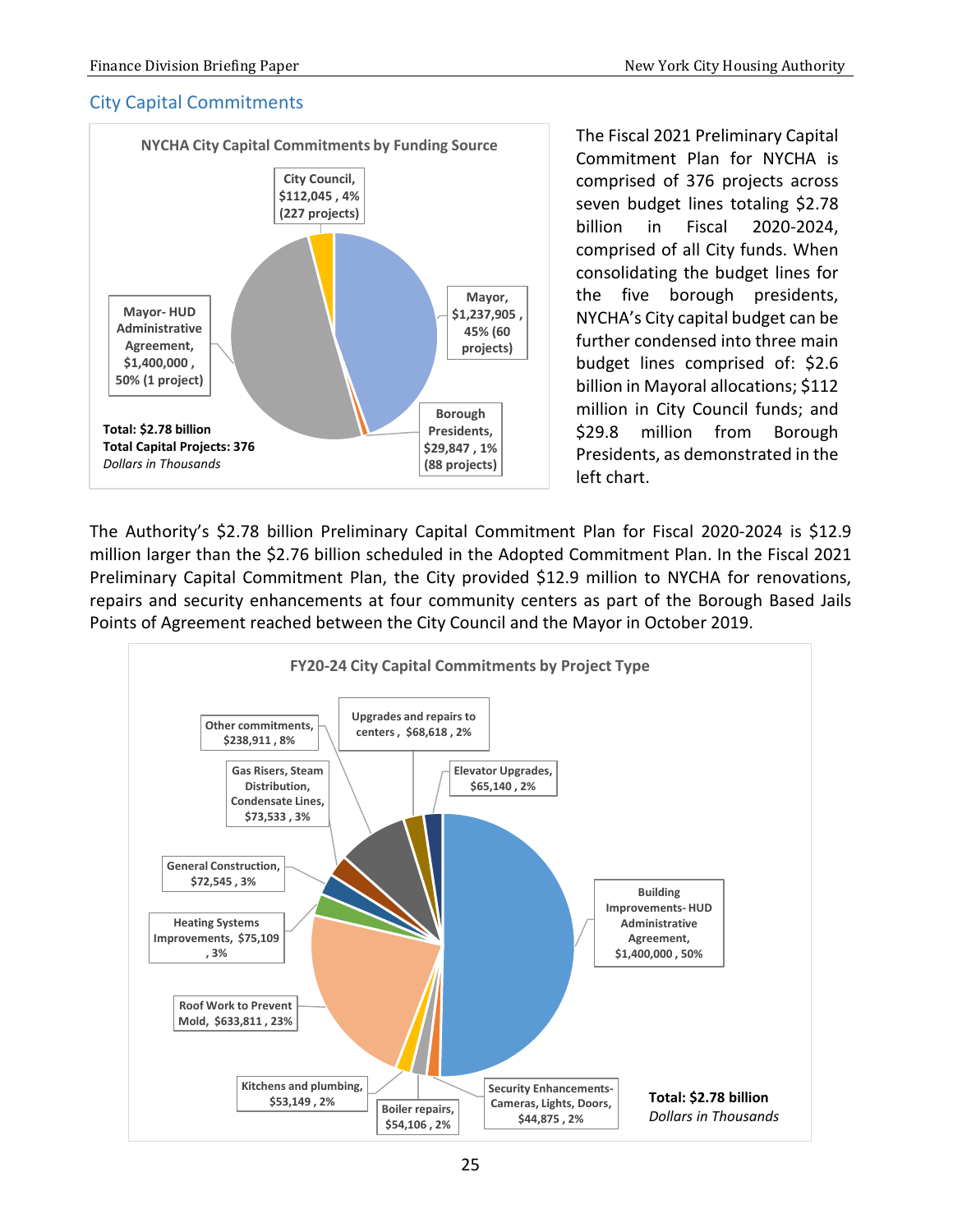### <span id="page-26-0"></span>City Capital Commitments



The Fiscal 2021 Preliminary Capital Commitment Plan for NYCHA is comprised of 376 projects across seven budget lines totaling \$2.78 billion in Fiscal 2020-2024, comprised of all City funds. When consolidating the budget lines for the five borough presidents, NYCHA's City capital budget can be further condensed into three main budget lines comprised of: \$2.6 billion in Mayoral allocations; \$112 million in City Council funds; and \$29.8 million from Borough Presidents, as demonstrated in the left chart.

The Authority's \$2.78 billion Preliminary Capital Commitment Plan for Fiscal 2020-2024 is \$12.9 million larger than the \$2.76 billion scheduled in the Adopted Commitment Plan. In the Fiscal 2021 Preliminary Capital Commitment Plan, the City provided \$12.9 million to NYCHA for renovations, repairs and security enhancements at four community centers as part of the Borough Based Jails Points of Agreement reached between the City Council and the Mayor in October 2019.

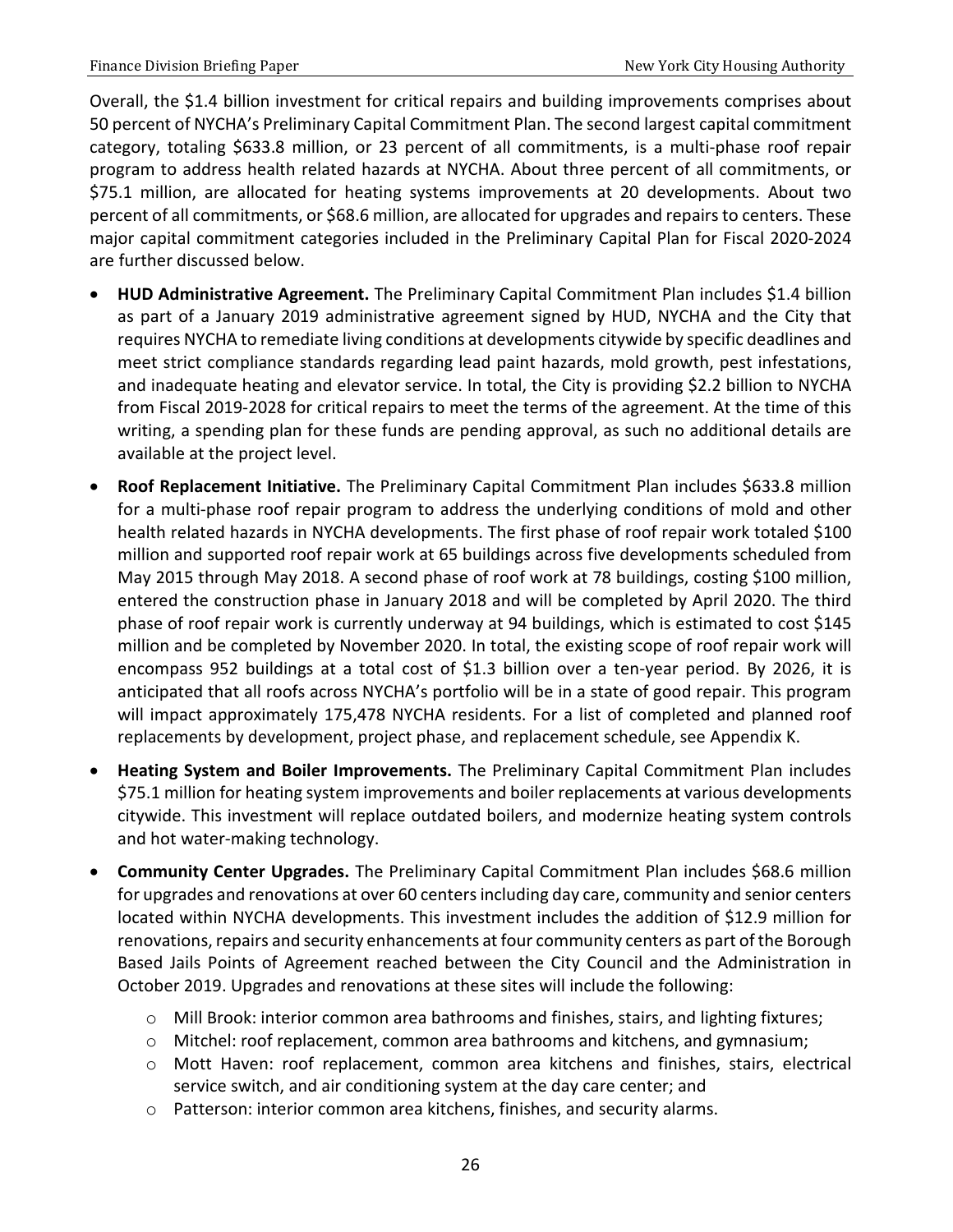Overall, the \$1.4 billion investment for critical repairs and building improvements comprises about 50 percent of NYCHA's Preliminary Capital Commitment Plan. The second largest capital commitment category, totaling \$633.8 million, or 23 percent of all commitments, is a multi-phase roof repair program to address health related hazards at NYCHA. About three percent of all commitments, or \$75.1 million, are allocated for heating systems improvements at 20 developments. About two percent of all commitments, or \$68.6 million, are allocated for upgrades and repairs to centers. These major capital commitment categories included in the Preliminary Capital Plan for Fiscal 2020-2024 are further discussed below.

- **HUD Administrative Agreement.** The Preliminary Capital Commitment Plan includes \$1.4 billion as part of a January 2019 administrative agreement signed by HUD, NYCHA and the City that requires NYCHA to remediate living conditions at developments citywide by specific deadlines and meet strict compliance standards regarding lead paint hazards, mold growth, pest infestations, and inadequate heating and elevator service. In total, the City is providing \$2.2 billion to NYCHA from Fiscal 2019-2028 for critical repairs to meet the terms of the agreement. At the time of this writing, a spending plan for these funds are pending approval, as such no additional details are available at the project level.
- **Roof Replacement Initiative.** The Preliminary Capital Commitment Plan includes \$633.8 million for a multi-phase roof repair program to address the underlying conditions of mold and other health related hazards in NYCHA developments. The first phase of roof repair work totaled \$100 million and supported roof repair work at 65 buildings across five developments scheduled from May 2015 through May 2018. A second phase of roof work at 78 buildings, costing \$100 million, entered the construction phase in January 2018 and will be completed by April 2020. The third phase of roof repair work is currently underway at 94 buildings, which is estimated to cost \$145 million and be completed by November 2020. In total, the existing scope of roof repair work will encompass 952 buildings at a total cost of \$1.3 billion over a ten-year period. By 2026, it is anticipated that all roofs across NYCHA's portfolio will be in a state of good repair. This program will impact approximately 175,478 NYCHA residents. For a list of completed and planned roof replacements by development, project phase, and replacement schedule, see Appendix K.
- **Heating System and Boiler Improvements.** The Preliminary Capital Commitment Plan includes \$75.1 million for heating system improvements and boiler replacements at various developments citywide. This investment will replace outdated boilers, and modernize heating system controls and hot water-making technology.
- **Community Center Upgrades.** The Preliminary Capital Commitment Plan includes \$68.6 million for upgrades and renovations at over 60 centers including day care, community and senior centers located within NYCHA developments. This investment includes the addition of \$12.9 million for renovations, repairs and security enhancements at four community centers as part of the Borough Based Jails Points of Agreement reached between the City Council and the Administration in October 2019. Upgrades and renovations at these sites will include the following:
	- o Mill Brook: interior common area bathrooms and finishes, stairs, and lighting fixtures;
	- $\circ$  Mitchel: roof replacement, common area bathrooms and kitchens, and gymnasium;
	- o Mott Haven: roof replacement, common area kitchens and finishes, stairs, electrical service switch, and air conditioning system at the day care center; and
	- o Patterson: interior common area kitchens, finishes, and security alarms.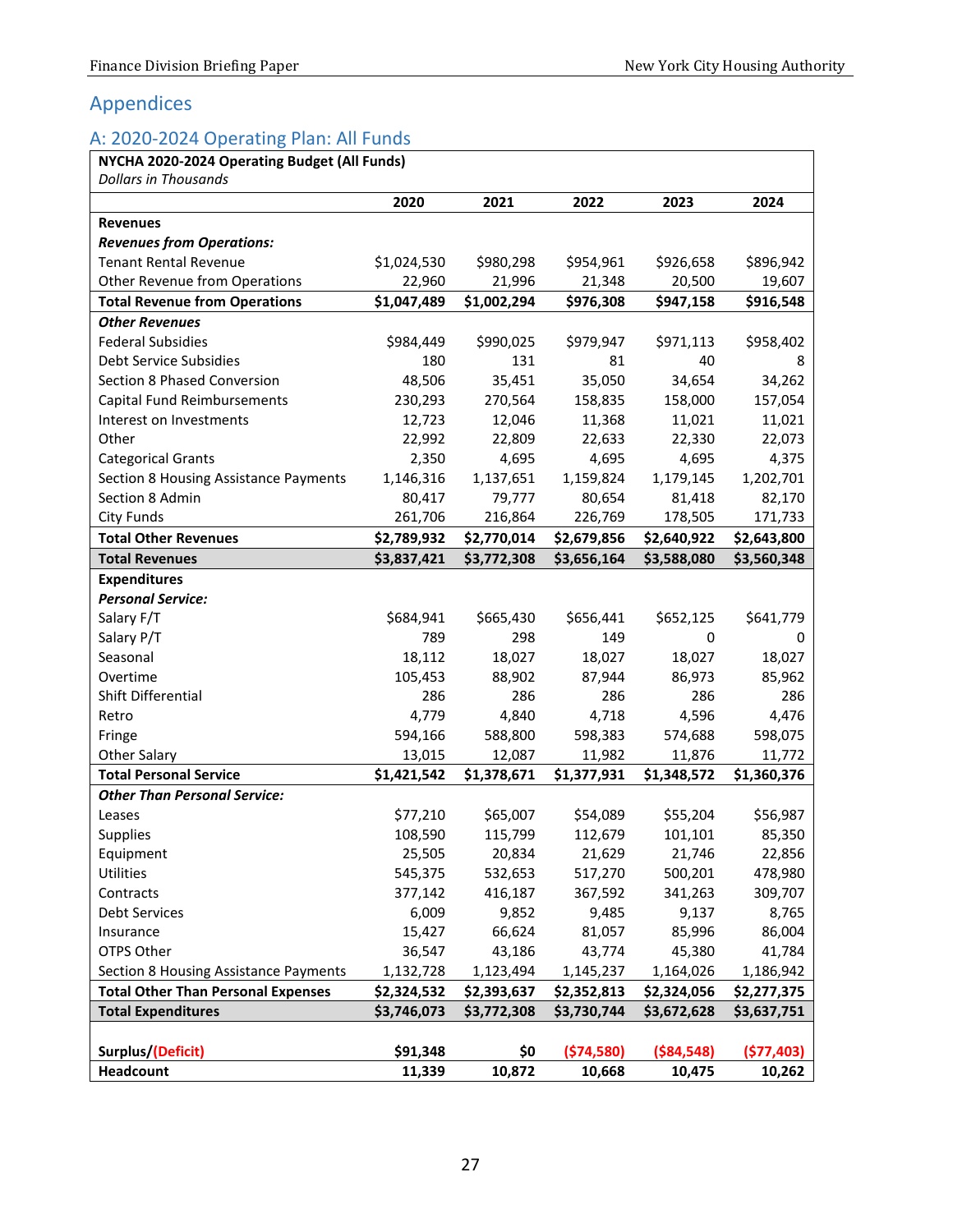# <span id="page-28-0"></span>Appendices

# <span id="page-28-1"></span>A: 2020-2024 Operating Plan: All Funds

|                                                                    | 2020        | 2021        | 2022        | 2023              | 2024              |
|--------------------------------------------------------------------|-------------|-------------|-------------|-------------------|-------------------|
| <b>Revenues</b>                                                    |             |             |             |                   |                   |
| <b>Revenues from Operations:</b>                                   |             |             |             |                   |                   |
| <b>Tenant Rental Revenue</b>                                       | \$1,024,530 | \$980,298   | \$954,961   | \$926,658         | \$896,942         |
| Other Revenue from Operations                                      | 22,960      | 21,996      | 21,348      | 20,500            | 19,607            |
| <b>Total Revenue from Operations</b>                               | \$1,047,489 | \$1,002,294 | \$976,308   | \$947,158         | \$916,548         |
| <b>Other Revenues</b>                                              |             |             |             |                   |                   |
| <b>Federal Subsidies</b>                                           | \$984,449   | \$990,025   | \$979,947   | \$971,113         | \$958,402         |
| Debt Service Subsidies                                             | 180         | 131         | 81          | 40                | 8                 |
| Section 8 Phased Conversion                                        | 48,506      | 35,451      | 35,050      | 34,654            | 34,262            |
| Capital Fund Reimbursements                                        | 230,293     | 270,564     | 158,835     | 158,000           | 157,054           |
| Interest on Investments                                            | 12,723      | 12,046      | 11,368      | 11,021            | 11,021            |
| Other                                                              | 22,992      | 22,809      | 22,633      | 22,330            | 22,073            |
|                                                                    | 2,350       | 4,695       | 4,695       | 4,695             | 4,375             |
| <b>Categorical Grants</b><br>Section 8 Housing Assistance Payments | 1,146,316   | 1,137,651   | 1,159,824   | 1,179,145         | 1,202,701         |
| Section 8 Admin                                                    | 80,417      | 79,777      | 80,654      |                   |                   |
| <b>City Funds</b>                                                  | 261,706     | 216,864     | 226,769     | 81,418<br>178,505 | 82,170<br>171,733 |
|                                                                    |             |             |             |                   |                   |
| <b>Total Other Revenues</b>                                        | \$2,789,932 | \$2,770,014 | \$2,679,856 | \$2,640,922       | \$2,643,800       |
| <b>Total Revenues</b>                                              | \$3,837,421 | \$3,772,308 | \$3,656,164 | \$3,588,080       | \$3,560,348       |
| <b>Expenditures</b>                                                |             |             |             |                   |                   |
| <b>Personal Service:</b><br>Salary F/T                             | \$684,941   | \$665,430   | \$656,441   | \$652,125         | \$641,779         |
| Salary P/T                                                         | 789         | 298         | 149         | 0                 |                   |
| Seasonal                                                           | 18,112      | 18,027      | 18,027      | 18,027            | 0<br>18,027       |
| Overtime                                                           | 105,453     | 88,902      | 87,944      | 86,973            | 85,962            |
| Shift Differential                                                 | 286         | 286         | 286         | 286               | 286               |
| Retro                                                              | 4,779       | 4,840       | 4,718       | 4,596             | 4,476             |
| Fringe                                                             | 594,166     | 588,800     | 598,383     | 574,688           | 598,075           |
| <b>Other Salary</b>                                                | 13,015      | 12,087      | 11,982      | 11,876            | 11,772            |
| <b>Total Personal Service</b>                                      | \$1,421,542 | \$1,378,671 | \$1,377,931 | \$1,348,572       | \$1,360,376       |
| <b>Other Than Personal Service:</b>                                |             |             |             |                   |                   |
| Leases                                                             | \$77,210    | \$65,007    | \$54,089    | \$55,204          | \$56,987          |
| <b>Supplies</b>                                                    | 108,590     | 115,799     | 112,679     | 101,101           | 85,350            |
| Equipment                                                          | 25,505      | 20,834      | 21,629      | 21,746            | 22,856            |
| Utilities                                                          | 545,375     | 532,653     | 517,270     | 500,201           | 478,980           |
| Contracts                                                          | 377,142     | 416,187     | 367,592     | 341,263           | 309,707           |
| <b>Debt Services</b>                                               | 6,009       | 9,852       | 9,485       | 9,137             | 8,765             |
| Insurance                                                          | 15,427      | 66,624      | 81,057      | 85,996            | 86,004            |
| OTPS Other                                                         | 36,547      | 43,186      | 43,774      | 45,380            | 41,784            |
| Section 8 Housing Assistance Payments                              | 1,132,728   | 1,123,494   | 1,145,237   | 1,164,026         | 1,186,942         |
| <b>Total Other Than Personal Expenses</b>                          | \$2,324,532 | \$2,393,637 | \$2,352,813 | \$2,324,056       | \$2,277,375       |
| <b>Total Expenditures</b>                                          | \$3,746,073 | \$3,772,308 | \$3,730,744 | \$3,672,628       | \$3,637,751       |
|                                                                    |             |             |             |                   |                   |
| Surplus/(Deficit)                                                  | \$91,348    | \$0         | (574,580)   | ( \$84, 548)      | (577, 403)        |
|                                                                    | 11,339      | 10,872      | 10,668      | 10,475            |                   |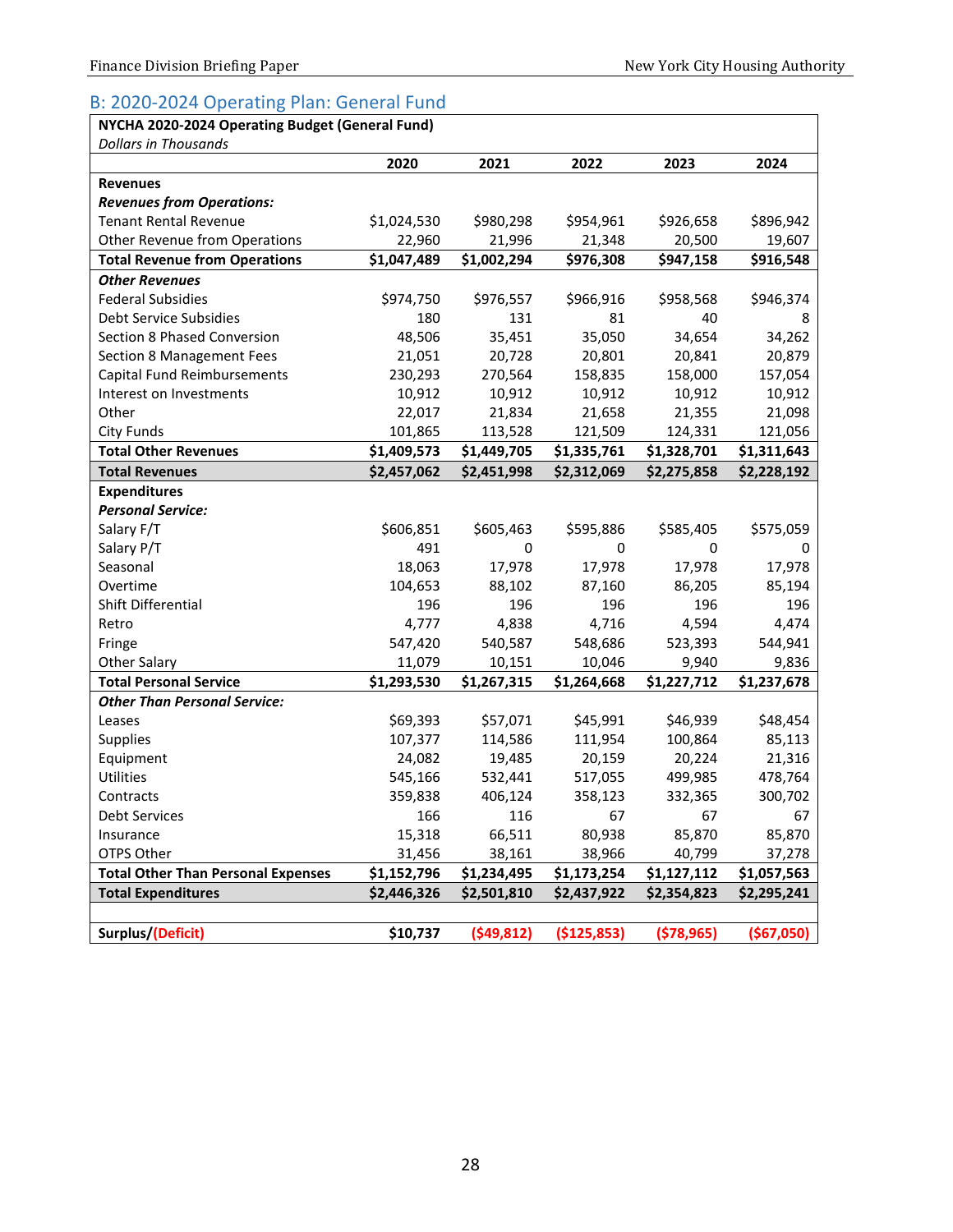#### <span id="page-29-0"></span>B: 2020-2024 Operating Plan: General Fund

#### **NYCHA 2020-2024 Operating Budget (General Fund)**

| Dollars in Thousands                      |             |             |             |              |             |
|-------------------------------------------|-------------|-------------|-------------|--------------|-------------|
|                                           | 2020        | 2021        | 2022        | 2023         | 2024        |
| <b>Revenues</b>                           |             |             |             |              |             |
| <b>Revenues from Operations:</b>          |             |             |             |              |             |
| <b>Tenant Rental Revenue</b>              | \$1,024,530 | \$980,298   | \$954,961   | \$926,658    | \$896,942   |
| <b>Other Revenue from Operations</b>      | 22,960      | 21,996      | 21,348      | 20,500       | 19,607      |
| <b>Total Revenue from Operations</b>      | \$1,047,489 | \$1,002,294 | \$976,308   | \$947,158    | \$916,548   |
| <b>Other Revenues</b>                     |             |             |             |              |             |
| <b>Federal Subsidies</b>                  | \$974,750   | \$976,557   | \$966,916   | \$958,568    | \$946,374   |
| Debt Service Subsidies                    | 180         | 131         | 81          | 40           | 8           |
| Section 8 Phased Conversion               | 48,506      | 35,451      | 35,050      | 34,654       | 34,262      |
| <b>Section 8 Management Fees</b>          | 21,051      | 20,728      | 20,801      | 20,841       | 20,879      |
| Capital Fund Reimbursements               | 230,293     | 270,564     | 158,835     | 158,000      | 157,054     |
| Interest on Investments                   | 10,912      | 10,912      | 10,912      | 10,912       | 10,912      |
| Other                                     | 22,017      | 21,834      | 21,658      | 21,355       | 21,098      |
| City Funds                                | 101,865     | 113,528     | 121,509     | 124,331      | 121,056     |
| <b>Total Other Revenues</b>               | \$1,409,573 | \$1,449,705 | \$1,335,761 | \$1,328,701  | \$1,311,643 |
| <b>Total Revenues</b>                     | \$2,457,062 | \$2,451,998 | \$2,312,069 | \$2,275,858  | \$2,228,192 |
| <b>Expenditures</b>                       |             |             |             |              |             |
| <b>Personal Service:</b>                  |             |             |             |              |             |
| Salary F/T                                | \$606,851   | \$605,463   | \$595,886   | \$585,405    | \$575,059   |
| Salary P/T                                | 491         | 0           | 0           | 0            | 0           |
| Seasonal                                  | 18,063      | 17,978      | 17,978      | 17,978       | 17,978      |
| Overtime                                  | 104,653     | 88,102      | 87,160      | 86,205       | 85,194      |
| Shift Differential                        | 196         | 196         | 196         | 196          | 196         |
| Retro                                     | 4,777       | 4,838       | 4,716       | 4,594        | 4,474       |
| Fringe                                    | 547,420     | 540,587     | 548,686     | 523,393      | 544,941     |
| <b>Other Salary</b>                       | 11,079      | 10,151      | 10,046      | 9,940        | 9,836       |
| <b>Total Personal Service</b>             | \$1,293,530 | \$1,267,315 | \$1,264,668 | \$1,227,712  | \$1,237,678 |
| <b>Other Than Personal Service:</b>       |             |             |             |              |             |
| Leases                                    | \$69,393    | \$57,071    | \$45,991    | \$46,939     | \$48,454    |
| <b>Supplies</b>                           | 107,377     | 114,586     | 111,954     | 100,864      | 85,113      |
| Equipment                                 | 24,082      | 19,485      | 20,159      | 20,224       | 21,316      |
| <b>Utilities</b>                          | 545,166     | 532,441     | 517,055     | 499,985      | 478,764     |
| Contracts                                 | 359,838     | 406,124     | 358,123     | 332,365      | 300,702     |
| <b>Debt Services</b>                      | 166         | 116         | 67          | 67           | 67          |
| Insurance                                 | 15,318      | 66,511      | 80,938      | 85,870       | 85,870      |
| OTPS Other                                | 31,456      | 38,161      | 38,966      | 40,799       | 37,278      |
| <b>Total Other Than Personal Expenses</b> | \$1,152,796 | \$1,234,495 | \$1,173,254 | \$1,127,112  | \$1,057,563 |
| <b>Total Expenditures</b>                 | \$2,446,326 | \$2,501,810 | \$2,437,922 | \$2,354,823  | \$2,295,241 |
|                                           |             |             |             |              |             |
| Surplus/(Deficit)                         | \$10,737    | (549, 812)  | (\$125,853) | ( \$78, 965) | ( \$67,050] |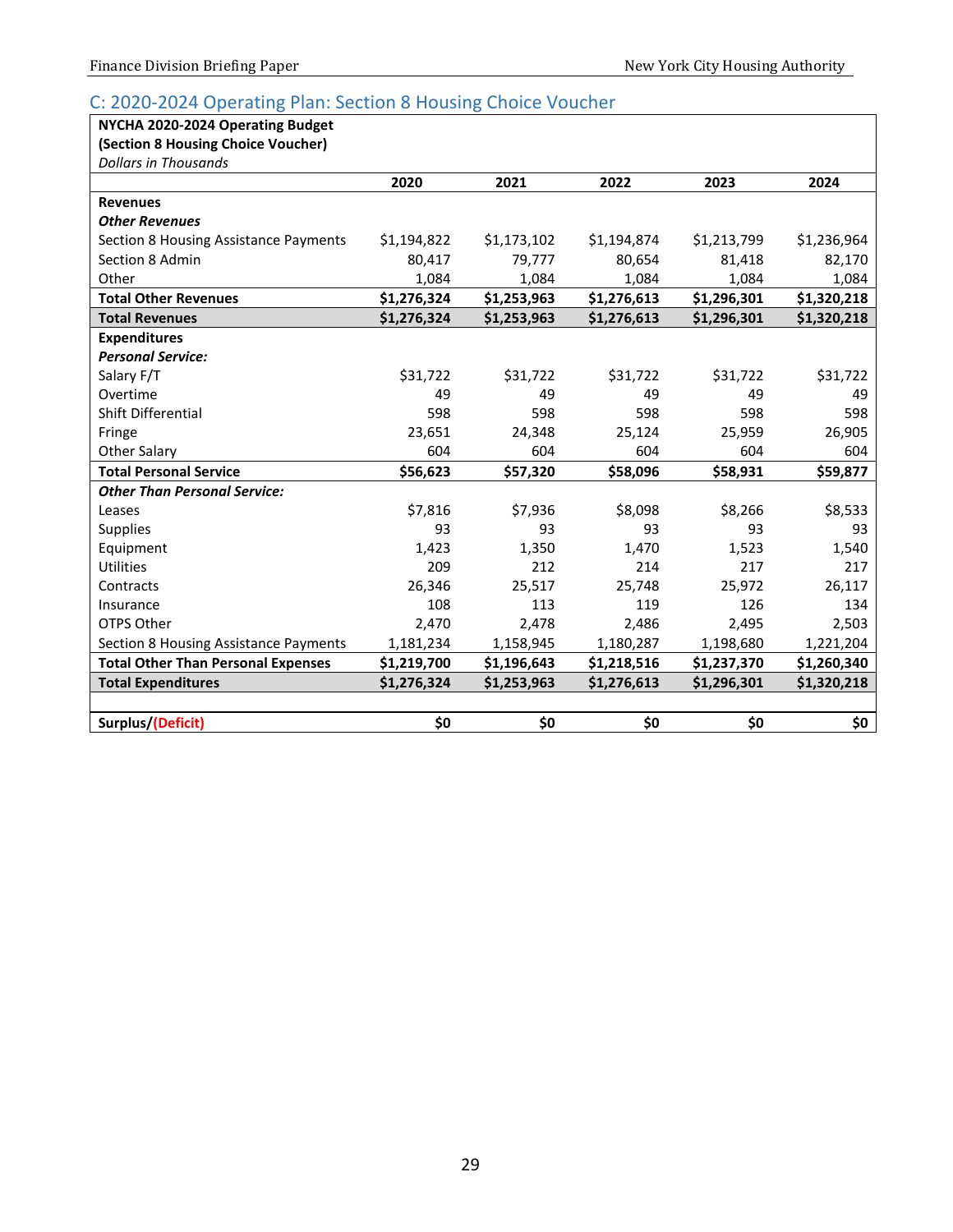### <span id="page-30-0"></span>C: 2020-2024 Operating Plan: Section 8 Housing Choice Voucher

**(Section 8 Housing Choice Voucher)**

| <b>Dollars in Thousands</b>               |             |             |             |             |             |
|-------------------------------------------|-------------|-------------|-------------|-------------|-------------|
|                                           | 2020        | 2021        | 2022        | 2023        | 2024        |
| <b>Revenues</b>                           |             |             |             |             |             |
| <b>Other Revenues</b>                     |             |             |             |             |             |
| Section 8 Housing Assistance Payments     | \$1,194,822 | \$1,173,102 | \$1,194,874 | \$1,213,799 | \$1,236,964 |
| Section 8 Admin                           | 80,417      | 79,777      | 80,654      | 81,418      | 82,170      |
| Other                                     | 1,084       | 1,084       | 1,084       | 1,084       | 1,084       |
| <b>Total Other Revenues</b>               | \$1,276,324 | \$1,253,963 | \$1,276,613 | \$1,296,301 | \$1,320,218 |
| <b>Total Revenues</b>                     | \$1,276,324 | \$1,253,963 | \$1,276,613 | \$1,296,301 | \$1,320,218 |
| <b>Expenditures</b>                       |             |             |             |             |             |
| <b>Personal Service:</b>                  |             |             |             |             |             |
| Salary F/T                                | \$31,722    | \$31,722    | \$31,722    | \$31,722    | \$31,722    |
| Overtime                                  | 49          | 49          | 49          | 49          | 49          |
| Shift Differential                        | 598         | 598         | 598         | 598         | 598         |
| Fringe                                    | 23,651      | 24,348      | 25,124      | 25,959      | 26,905      |
| <b>Other Salary</b>                       | 604         | 604         | 604         | 604         | 604         |
| <b>Total Personal Service</b>             | \$56,623    | \$57,320    | \$58,096    | \$58,931    | \$59,877    |
| <b>Other Than Personal Service:</b>       |             |             |             |             |             |
| Leases                                    | \$7,816     | \$7,936     | \$8,098     | \$8,266     | \$8,533     |
| <b>Supplies</b>                           | 93          | 93          | 93          | 93          | 93          |
| Equipment                                 | 1,423       | 1,350       | 1,470       | 1,523       | 1,540       |
| <b>Utilities</b>                          | 209         | 212         | 214         | 217         | 217         |
| Contracts                                 | 26,346      | 25,517      | 25,748      | 25,972      | 26,117      |
| Insurance                                 | 108         | 113         | 119         | 126         | 134         |
| OTPS Other                                | 2,470       | 2,478       | 2,486       | 2,495       | 2,503       |
| Section 8 Housing Assistance Payments     | 1,181,234   | 1,158,945   | 1,180,287   | 1,198,680   | 1,221,204   |
| <b>Total Other Than Personal Expenses</b> | \$1,219,700 | \$1,196,643 | \$1,218,516 | \$1,237,370 | \$1,260,340 |
| <b>Total Expenditures</b>                 | \$1,276,324 | \$1,253,963 | \$1,276,613 | \$1,296,301 | \$1,320,218 |
|                                           |             |             |             |             |             |
| Surplus/(Deficit)                         | \$0         | \$0         | \$0         | \$0         | \$0         |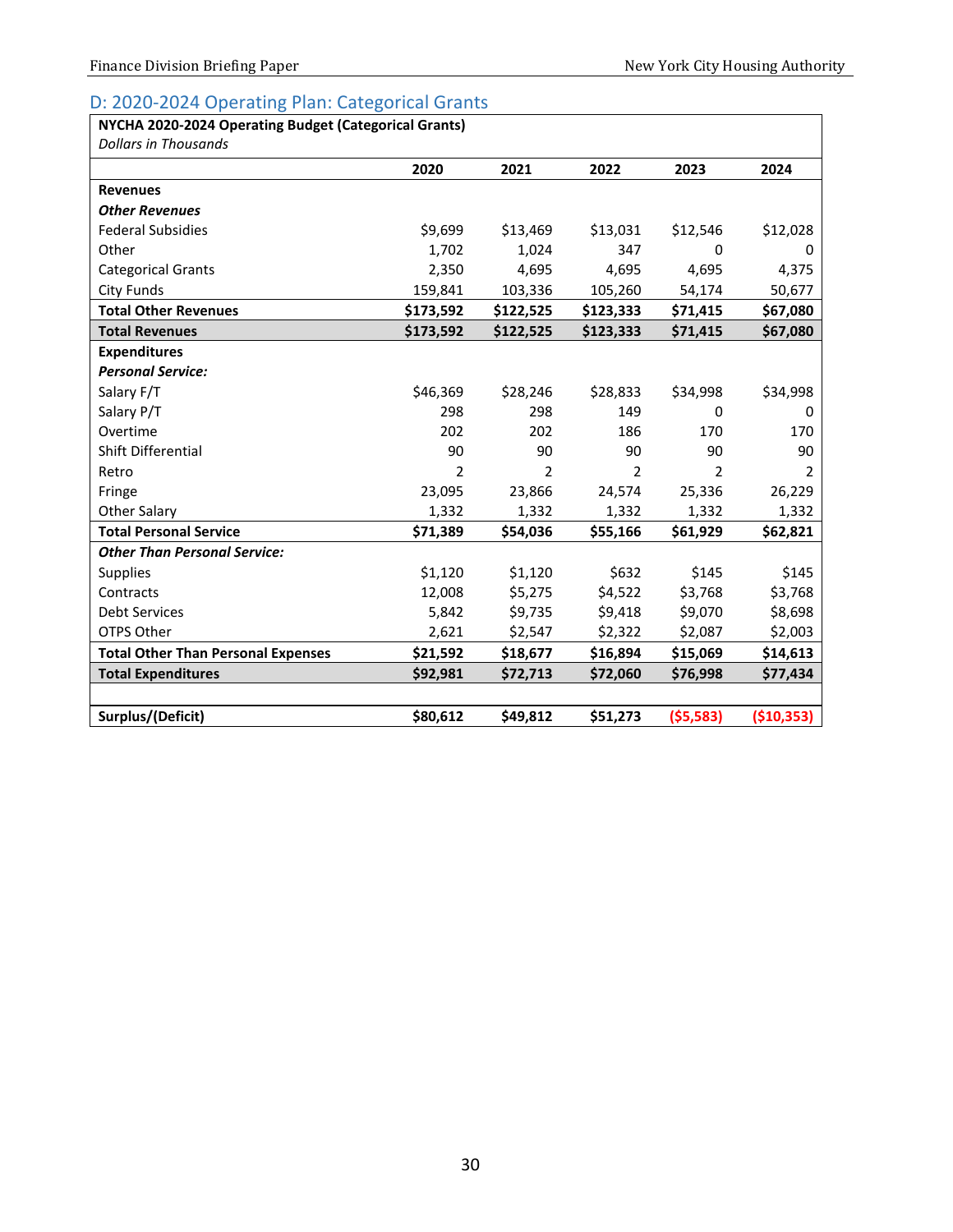### <span id="page-31-0"></span>D: 2020-2024 Operating Plan: Categorical Grants

| NYCHA 2020-2024 Operating Budget (Categorical Grants) |           |           |           |           |             |
|-------------------------------------------------------|-----------|-----------|-----------|-----------|-------------|
| <b>Dollars in Thousands</b>                           |           |           |           |           |             |
|                                                       | 2020      | 2021      | 2022      | 2023      | 2024        |
| <b>Revenues</b>                                       |           |           |           |           |             |
| <b>Other Revenues</b>                                 |           |           |           |           |             |
| <b>Federal Subsidies</b>                              | \$9,699   | \$13,469  | \$13,031  | \$12,546  | \$12,028    |
| Other                                                 | 1,702     | 1,024     | 347       | 0         | 0           |
| <b>Categorical Grants</b>                             | 2,350     | 4,695     | 4,695     | 4,695     | 4,375       |
| City Funds                                            | 159,841   | 103,336   | 105,260   | 54,174    | 50,677      |
| <b>Total Other Revenues</b>                           | \$173,592 | \$122,525 | \$123,333 | \$71,415  | \$67,080    |
| <b>Total Revenues</b>                                 | \$173,592 | \$122,525 | \$123,333 | \$71,415  | \$67,080    |
| <b>Expenditures</b>                                   |           |           |           |           |             |
| <b>Personal Service:</b>                              |           |           |           |           |             |
| Salary F/T                                            | \$46,369  | \$28,246  | \$28,833  | \$34,998  | \$34,998    |
| Salary P/T                                            | 298       | 298       | 149       | 0         | 0           |
| Overtime                                              | 202       | 202       | 186       | 170       | 170         |
| Shift Differential                                    | 90        | 90        | 90        | 90        | 90          |
| Retro                                                 | 2         | 2         | 2         | 2         | 2           |
| Fringe                                                | 23,095    | 23,866    | 24,574    | 25,336    | 26,229      |
| <b>Other Salary</b>                                   | 1,332     | 1,332     | 1,332     | 1,332     | 1,332       |
| <b>Total Personal Service</b>                         | \$71,389  | \$54,036  | \$55,166  | \$61,929  | \$62,821    |
| <b>Other Than Personal Service:</b>                   |           |           |           |           |             |
| Supplies                                              | \$1,120   | \$1,120   | \$632     | \$145     | \$145       |
| Contracts                                             | 12,008    | \$5,275   | \$4,522   | \$3,768   | \$3,768     |
| <b>Debt Services</b>                                  | 5,842     | \$9,735   | \$9,418   | \$9,070   | \$8,698     |
| OTPS Other                                            | 2,621     | \$2,547   | \$2,322   | \$2,087   | \$2,003     |
| <b>Total Other Than Personal Expenses</b>             | \$21,592  | \$18,677  | \$16,894  | \$15,069  | \$14,613    |
| <b>Total Expenditures</b>                             | \$92,981  | \$72,713  | \$72,060  | \$76,998  | \$77,434    |
|                                                       |           |           |           |           |             |
| Surplus/(Deficit)                                     | \$80,612  | \$49,812  | \$51,273  | (55, 583) | ( \$10,353) |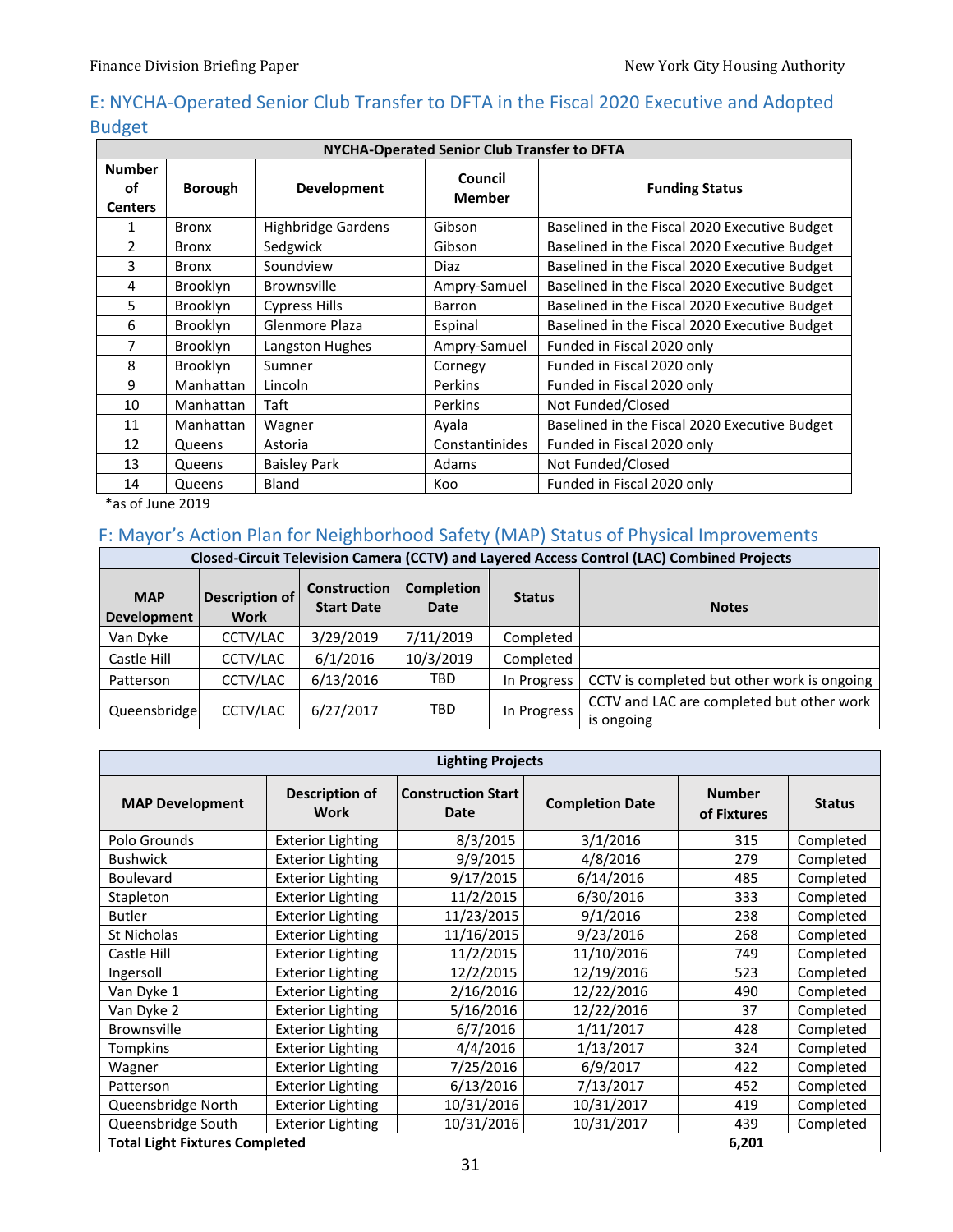# <span id="page-32-0"></span>E: NYCHA-Operated Senior Club Transfer to DFTA in the Fiscal 2020 Executive and Adopted Budget

|                                       | NYCHA-Operated Senior Club Transfer to DFTA |                           |                          |                                               |  |  |  |  |  |  |  |
|---------------------------------------|---------------------------------------------|---------------------------|--------------------------|-----------------------------------------------|--|--|--|--|--|--|--|
| <b>Number</b><br>οf<br><b>Centers</b> | <b>Borough</b>                              | <b>Development</b>        | Council<br><b>Member</b> | <b>Funding Status</b>                         |  |  |  |  |  |  |  |
| 1                                     | <b>Bronx</b>                                | <b>Highbridge Gardens</b> | Gibson                   | Baselined in the Fiscal 2020 Executive Budget |  |  |  |  |  |  |  |
| $\mathcal{P}$                         | <b>Bronx</b>                                | Sedgwick                  | Gibson                   | Baselined in the Fiscal 2020 Executive Budget |  |  |  |  |  |  |  |
| 3                                     | <b>Bronx</b>                                | Soundview                 | Diaz                     | Baselined in the Fiscal 2020 Executive Budget |  |  |  |  |  |  |  |
| 4                                     | Brooklyn                                    | <b>Brownsville</b>        | Ampry-Samuel             | Baselined in the Fiscal 2020 Executive Budget |  |  |  |  |  |  |  |
| 5                                     | <b>Brooklyn</b>                             | <b>Cypress Hills</b>      | Barron                   | Baselined in the Fiscal 2020 Executive Budget |  |  |  |  |  |  |  |
| 6                                     | <b>Brooklyn</b>                             | Glenmore Plaza            | Espinal                  | Baselined in the Fiscal 2020 Executive Budget |  |  |  |  |  |  |  |
| 7                                     | <b>Brooklyn</b>                             | Langston Hughes           | Ampry-Samuel             | Funded in Fiscal 2020 only                    |  |  |  |  |  |  |  |
| 8                                     | <b>Brooklyn</b>                             | Sumner                    | Cornegy                  | Funded in Fiscal 2020 only                    |  |  |  |  |  |  |  |
| 9                                     | Manhattan                                   | Lincoln                   | <b>Perkins</b>           | Funded in Fiscal 2020 only                    |  |  |  |  |  |  |  |
| 10                                    | Manhattan                                   | Taft                      | Perkins                  | Not Funded/Closed                             |  |  |  |  |  |  |  |
| 11                                    | Manhattan                                   | Wagner                    | Ayala                    | Baselined in the Fiscal 2020 Executive Budget |  |  |  |  |  |  |  |
| 12                                    | Queens                                      | Astoria                   | Constantinides           | Funded in Fiscal 2020 only                    |  |  |  |  |  |  |  |
| 13                                    | Queens                                      | <b>Baisley Park</b>       | Adams                    | Not Funded/Closed                             |  |  |  |  |  |  |  |
| 14                                    | Queens                                      | Bland                     | Koo                      | Funded in Fiscal 2020 only                    |  |  |  |  |  |  |  |

\*as of June 2019

### <span id="page-32-1"></span>F: Mayor's Action Plan for Neighborhood Safety (MAP) Status of Physical Improvements

|                           | Closed-Circuit Television Camera (CCTV) and Layered Access Control (LAC) Combined Projects |                                   |                           |               |                                                         |  |  |  |  |  |  |  |
|---------------------------|--------------------------------------------------------------------------------------------|-----------------------------------|---------------------------|---------------|---------------------------------------------------------|--|--|--|--|--|--|--|
| <b>MAP</b><br>Development | <b>Description of</b><br><b>Work</b>                                                       | Construction<br><b>Start Date</b> | <b>Completion</b><br>Date | <b>Status</b> | <b>Notes</b>                                            |  |  |  |  |  |  |  |
| Van Dyke                  | CCTV/LAC                                                                                   | 3/29/2019                         | 7/11/2019                 | Completed     |                                                         |  |  |  |  |  |  |  |
| Castle Hill               | CCTV/LAC                                                                                   | 6/1/2016                          | 10/3/2019                 | Completed     |                                                         |  |  |  |  |  |  |  |
| Patterson                 | CCTV/LAC                                                                                   | 6/13/2016                         | TBD.                      | In Progress   | CCTV is completed but other work is ongoing             |  |  |  |  |  |  |  |
| Queensbridge              | CCTV/LAC                                                                                   | 6/27/2017                         | <b>TBD</b>                | In Progress   | CCTV and LAC are completed but other work<br>is ongoing |  |  |  |  |  |  |  |

| <b>Lighting Projects</b>              |                                      |                                   |                        |                              |               |  |  |  |  |  |
|---------------------------------------|--------------------------------------|-----------------------------------|------------------------|------------------------------|---------------|--|--|--|--|--|
| <b>MAP Development</b>                | <b>Description of</b><br><b>Work</b> | <b>Construction Start</b><br>Date | <b>Completion Date</b> | <b>Number</b><br>of Fixtures | <b>Status</b> |  |  |  |  |  |
| Polo Grounds                          | <b>Exterior Lighting</b>             | 8/3/2015                          | 3/1/2016               | 315                          | Completed     |  |  |  |  |  |
| <b>Bushwick</b>                       | <b>Exterior Lighting</b>             | 9/9/2015                          | 4/8/2016               | 279                          | Completed     |  |  |  |  |  |
| <b>Boulevard</b>                      | <b>Exterior Lighting</b>             | 9/17/2015                         | 6/14/2016              | 485                          | Completed     |  |  |  |  |  |
| Stapleton                             | <b>Exterior Lighting</b>             | 11/2/2015                         | 6/30/2016              | 333                          | Completed     |  |  |  |  |  |
| <b>Butler</b>                         | <b>Exterior Lighting</b>             | 11/23/2015                        | 9/1/2016               | 238                          | Completed     |  |  |  |  |  |
| St Nicholas                           | <b>Exterior Lighting</b>             | 11/16/2015                        | 9/23/2016              | 268                          | Completed     |  |  |  |  |  |
| Castle Hill                           | <b>Exterior Lighting</b>             | 11/2/2015                         | 11/10/2016             | 749                          | Completed     |  |  |  |  |  |
| Ingersoll                             | <b>Exterior Lighting</b>             | 12/2/2015                         | 12/19/2016             | 523                          | Completed     |  |  |  |  |  |
| Van Dyke 1                            | <b>Exterior Lighting</b>             | 2/16/2016                         | 12/22/2016             | 490                          | Completed     |  |  |  |  |  |
| Van Dyke 2                            | <b>Exterior Lighting</b>             | 5/16/2016                         | 12/22/2016             | 37                           | Completed     |  |  |  |  |  |
| <b>Brownsville</b>                    | <b>Exterior Lighting</b>             | 6/7/2016                          | 1/11/2017              | 428                          | Completed     |  |  |  |  |  |
| Tompkins                              | <b>Exterior Lighting</b>             | 4/4/2016                          | 1/13/2017              | 324                          | Completed     |  |  |  |  |  |
| Wagner                                | <b>Exterior Lighting</b>             | 7/25/2016                         | 6/9/2017               | 422                          | Completed     |  |  |  |  |  |
| Patterson                             | <b>Exterior Lighting</b>             | 6/13/2016                         | 7/13/2017              | 452                          | Completed     |  |  |  |  |  |
| Queensbridge North                    | <b>Exterior Lighting</b>             | 10/31/2016                        | 10/31/2017             | 419                          | Completed     |  |  |  |  |  |
| Queensbridge South                    | <b>Exterior Lighting</b>             | 10/31/2016                        | 10/31/2017             | 439                          | Completed     |  |  |  |  |  |
| <b>Total Light Fixtures Completed</b> |                                      |                                   |                        | 6,201                        |               |  |  |  |  |  |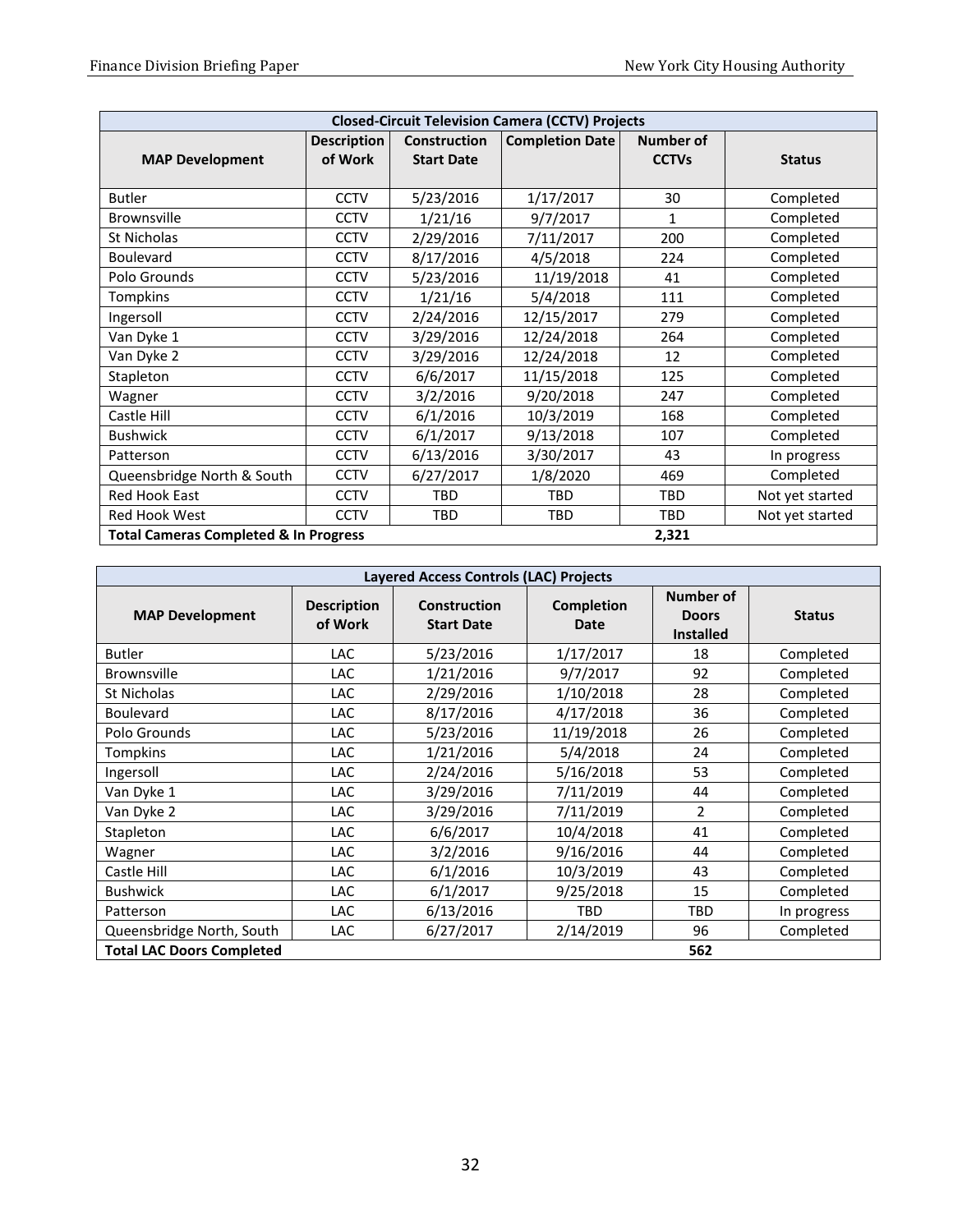| <b>Closed-Circuit Television Camera (CCTV) Projects</b> |                    |                     |                        |              |                 |  |  |  |
|---------------------------------------------------------|--------------------|---------------------|------------------------|--------------|-----------------|--|--|--|
|                                                         | <b>Description</b> | <b>Construction</b> | <b>Completion Date</b> | Number of    |                 |  |  |  |
| <b>MAP Development</b>                                  | of Work            | <b>Start Date</b>   |                        | <b>CCTVs</b> | <b>Status</b>   |  |  |  |
|                                                         |                    |                     |                        |              |                 |  |  |  |
| <b>Butler</b>                                           | <b>CCTV</b>        | 5/23/2016           | 1/17/2017              | 30           | Completed       |  |  |  |
| <b>Brownsville</b>                                      | <b>CCTV</b>        | 1/21/16             | 9/7/2017               | 1            | Completed       |  |  |  |
| St Nicholas                                             | <b>CCTV</b>        | 2/29/2016           | 7/11/2017              | 200          | Completed       |  |  |  |
| <b>Boulevard</b>                                        | <b>CCTV</b>        | 8/17/2016           | 4/5/2018               | 224          | Completed       |  |  |  |
| Polo Grounds                                            | <b>CCTV</b>        | 5/23/2016           | 11/19/2018             | 41           | Completed       |  |  |  |
| Tompkins                                                | <b>CCTV</b>        | 1/21/16             | 5/4/2018               | 111          | Completed       |  |  |  |
| Ingersoll                                               | <b>CCTV</b>        | 2/24/2016           | 12/15/2017             | 279          | Completed       |  |  |  |
| Van Dyke 1                                              | <b>CCTV</b>        | 3/29/2016           | 12/24/2018             | 264          | Completed       |  |  |  |
| Van Dyke 2                                              | <b>CCTV</b>        | 3/29/2016           | 12/24/2018             | 12           | Completed       |  |  |  |
| Stapleton                                               | <b>CCTV</b>        | 6/6/2017            | 11/15/2018             | 125          | Completed       |  |  |  |
| Wagner                                                  | <b>CCTV</b>        | 3/2/2016            | 9/20/2018              | 247          | Completed       |  |  |  |
| Castle Hill                                             | <b>CCTV</b>        | 6/1/2016            | 10/3/2019              | 168          | Completed       |  |  |  |
| <b>Bushwick</b>                                         | <b>CCTV</b>        | 6/1/2017            | 9/13/2018              | 107          | Completed       |  |  |  |
| Patterson                                               | <b>CCTV</b>        | 6/13/2016           | 3/30/2017              | 43           | In progress     |  |  |  |
| Queensbridge North & South                              | <b>CCTV</b>        | 6/27/2017           | 1/8/2020               | 469          | Completed       |  |  |  |
| <b>Red Hook East</b>                                    | <b>CCTV</b>        | <b>TBD</b>          | <b>TBD</b>             | <b>TBD</b>   | Not yet started |  |  |  |
| <b>Red Hook West</b>                                    | <b>CCTV</b>        | TBD                 | <b>TBD</b>             | TBD          | Not yet started |  |  |  |
| <b>Total Cameras Completed &amp; In Progress</b>        |                    |                     |                        | 2,321        |                 |  |  |  |

| <b>Layered Access Controls (LAC) Projects</b> |                               |                                   |                           |                                               |               |  |  |  |  |
|-----------------------------------------------|-------------------------------|-----------------------------------|---------------------------|-----------------------------------------------|---------------|--|--|--|--|
| <b>MAP Development</b>                        | <b>Description</b><br>of Work | Construction<br><b>Start Date</b> | <b>Completion</b><br>Date | Number of<br><b>Doors</b><br><b>Installed</b> | <b>Status</b> |  |  |  |  |
| <b>Butler</b>                                 | LAC.                          | 5/23/2016                         | 1/17/2017                 | 18                                            | Completed     |  |  |  |  |
| <b>Brownsville</b>                            | LAC.                          | 1/21/2016                         | 9/7/2017                  | 92                                            | Completed     |  |  |  |  |
| St Nicholas                                   | LAC                           | 2/29/2016                         | 1/10/2018                 | 28                                            | Completed     |  |  |  |  |
| <b>Boulevard</b>                              | LAC.                          | 8/17/2016                         | 4/17/2018                 | 36                                            | Completed     |  |  |  |  |
| Polo Grounds                                  | <b>LAC</b>                    | 5/23/2016                         | 11/19/2018                | 26                                            | Completed     |  |  |  |  |
| Tompkins                                      | <b>LAC</b>                    | 1/21/2016                         | 5/4/2018                  | 24                                            | Completed     |  |  |  |  |
| Ingersoll                                     | <b>LAC</b>                    | 2/24/2016                         | 5/16/2018                 | 53                                            | Completed     |  |  |  |  |
| Van Dyke 1                                    | LAC.                          | 3/29/2016                         | 7/11/2019                 | 44                                            | Completed     |  |  |  |  |
| Van Dyke 2                                    | <b>LAC</b>                    | 3/29/2016                         | 7/11/2019                 | $\overline{2}$                                | Completed     |  |  |  |  |
| Stapleton                                     | <b>LAC</b>                    | 6/6/2017                          | 10/4/2018                 | 41                                            | Completed     |  |  |  |  |
| Wagner                                        | <b>LAC</b>                    | 3/2/2016                          | 9/16/2016                 | 44                                            | Completed     |  |  |  |  |
| Castle Hill                                   | <b>LAC</b>                    | 6/1/2016                          | 10/3/2019                 | 43                                            | Completed     |  |  |  |  |
| <b>Bushwick</b>                               | <b>LAC</b>                    | 6/1/2017                          | 9/25/2018                 | 15                                            | Completed     |  |  |  |  |
| Patterson                                     | LAC.                          | 6/13/2016                         | <b>TBD</b>                | <b>TBD</b>                                    | In progress   |  |  |  |  |
| Queensbridge North, South                     | <b>LAC</b>                    | 6/27/2017                         | 2/14/2019                 | 96                                            | Completed     |  |  |  |  |
| <b>Total LAC Doors Completed</b><br>562       |                               |                                   |                           |                                               |               |  |  |  |  |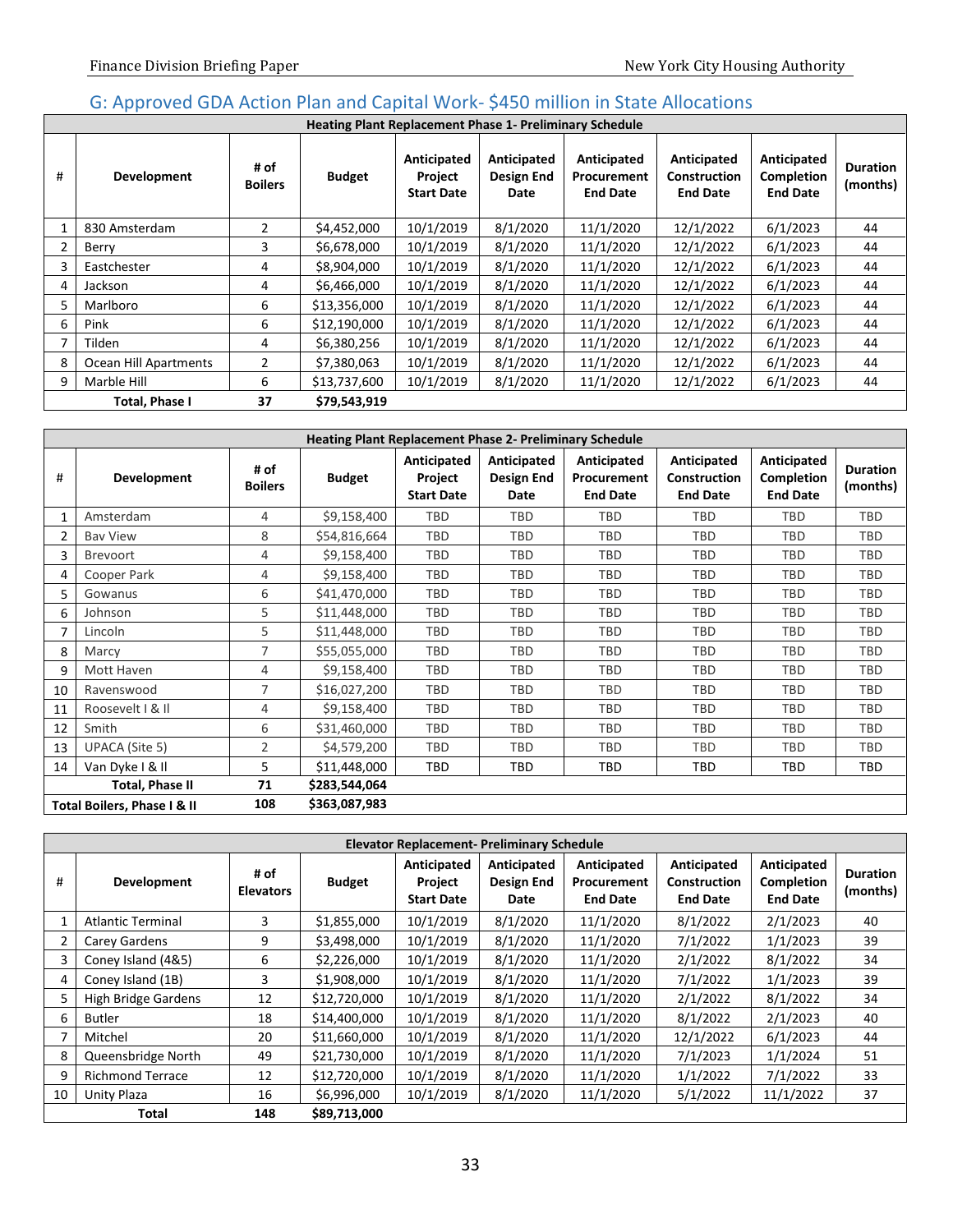## <span id="page-34-0"></span>G: Approved GDA Action Plan and Capital Work- \$450 million in State Allocations

|   | <b>Heating Plant Replacement Phase 1- Preliminary Schedule</b> |                        |               |                                             |                                          |                                               |                                                       |                                              |                             |  |
|---|----------------------------------------------------------------|------------------------|---------------|---------------------------------------------|------------------------------------------|-----------------------------------------------|-------------------------------------------------------|----------------------------------------------|-----------------------------|--|
| # | <b>Development</b>                                             | # of<br><b>Boilers</b> | <b>Budget</b> | Anticipated<br>Project<br><b>Start Date</b> | Anticipated<br><b>Design End</b><br>Date | Anticipated<br>Procurement<br><b>End Date</b> | Anticipated<br><b>Construction</b><br><b>End Date</b> | Anticipated<br>Completion<br><b>End Date</b> | <b>Duration</b><br>(months) |  |
|   | 830 Amsterdam                                                  | $\overline{2}$         | \$4,452,000   | 10/1/2019                                   | 8/1/2020                                 | 11/1/2020                                     | 12/1/2022                                             | 6/1/2023                                     | 44                          |  |
|   | Berry                                                          | 3                      | \$6,678,000   | 10/1/2019                                   | 8/1/2020                                 | 11/1/2020                                     | 12/1/2022                                             | 6/1/2023                                     | 44                          |  |
| 3 | Eastchester                                                    | 4                      | \$8,904,000   | 10/1/2019                                   | 8/1/2020                                 | 11/1/2020                                     | 12/1/2022                                             | 6/1/2023                                     | 44                          |  |
| 4 | Jackson                                                        | 4                      | \$6,466,000   | 10/1/2019                                   | 8/1/2020                                 | 11/1/2020                                     | 12/1/2022                                             | 6/1/2023                                     | 44                          |  |
| 5 | Marlboro                                                       | 6                      | \$13,356,000  | 10/1/2019                                   | 8/1/2020                                 | 11/1/2020                                     | 12/1/2022                                             | 6/1/2023                                     | 44                          |  |
| 6 | Pink                                                           | 6                      | \$12,190,000  | 10/1/2019                                   | 8/1/2020                                 | 11/1/2020                                     | 12/1/2022                                             | 6/1/2023                                     | 44                          |  |
|   | Tilden                                                         | 4                      | \$6,380,256   | 10/1/2019                                   | 8/1/2020                                 | 11/1/2020                                     | 12/1/2022                                             | 6/1/2023                                     | 44                          |  |
| 8 | Ocean Hill Apartments                                          | $\overline{2}$         | \$7,380,063   | 10/1/2019                                   | 8/1/2020                                 | 11/1/2020                                     | 12/1/2022                                             | 6/1/2023                                     | 44                          |  |
| 9 | Marble Hill                                                    | 6                      | \$13,737,600  | 10/1/2019                                   | 8/1/2020                                 | 11/1/2020                                     | 12/1/2022                                             | 6/1/2023                                     | 44                          |  |
|   | Total, Phase I                                                 | 37                     | \$79,543,919  |                                             |                                          |                                               |                                                       |                                              |                             |  |

|    | <b>Heating Plant Replacement Phase 2- Preliminary Schedule</b> |                        |               |                                             |                                   |                                               |                                                       |                                              |                             |  |
|----|----------------------------------------------------------------|------------------------|---------------|---------------------------------------------|-----------------------------------|-----------------------------------------------|-------------------------------------------------------|----------------------------------------------|-----------------------------|--|
| #  | Development                                                    | # of<br><b>Boilers</b> | <b>Budget</b> | Anticipated<br>Project<br><b>Start Date</b> | Anticipated<br>Design End<br>Date | Anticipated<br>Procurement<br><b>End Date</b> | Anticipated<br><b>Construction</b><br><b>End Date</b> | Anticipated<br>Completion<br><b>End Date</b> | <b>Duration</b><br>(months) |  |
|    | Amsterdam                                                      | 4                      | \$9,158,400   | TBD                                         | TBD                               | TBD                                           | TBD                                                   | TBD                                          | TBD                         |  |
| 2  | <b>Bay View</b>                                                | 8                      | \$54,816,664  | TBD                                         | TBD                               | TBD                                           | TBD                                                   | <b>TBD</b>                                   | TBD                         |  |
| 3  | <b>Brevoort</b>                                                | 4                      | \$9,158,400   | TBD                                         | TBD                               | TBD                                           | TBD                                                   | TBD                                          | TBD                         |  |
| 4  | Cooper Park                                                    | 4                      | \$9,158,400   | TBD                                         | <b>TBD</b>                        | TBD                                           | TBD                                                   | <b>TBD</b>                                   | TBD                         |  |
| 5. | Gowanus                                                        | 6                      | \$41,470,000  | TBD                                         | TBD                               | TBD                                           | TBD                                                   | TBD                                          | TBD                         |  |
| 6  | Johnson                                                        | 5                      | \$11,448,000  | TBD                                         | TBD                               | TBD                                           | TBD                                                   | TBD                                          | TBD                         |  |
|    | Lincoln                                                        | 5                      | \$11,448,000  | TBD                                         | TBD                               | TBD                                           | TBD                                                   | <b>TBD</b>                                   | TBD                         |  |
| 8  | Marcy                                                          | $\overline{7}$         | \$55,055,000  | TBD                                         | TBD                               | TBD                                           | TBD                                                   | TBD                                          | TBD                         |  |
| 9  | Mott Haven                                                     | 4                      | \$9,158,400   | <b>TBD</b>                                  | <b>TBD</b>                        | TBD                                           | TBD                                                   | <b>TBD</b>                                   | TBD                         |  |
| 10 | Ravenswood                                                     | $\overline{7}$         | \$16,027,200  | TBD                                         | TBD                               | TBD                                           | TBD                                                   | TBD                                          | TBD                         |  |
| 11 | Roosevelt   & II                                               | 4                      | \$9,158,400   | TBD                                         | TBD                               | TBD                                           | TBD                                                   | <b>TBD</b>                                   | TBD                         |  |
| 12 | Smith                                                          | 6                      | \$31,460,000  | TBD                                         | TBD                               | TBD                                           | TBD                                                   | TBD                                          | TBD                         |  |
| 13 | UPACA (Site 5)                                                 | 2                      | \$4,579,200   | TBD                                         | TBD                               | TBD                                           | <b>TBD</b>                                            | TBD                                          | TBD                         |  |
| 14 | Van Dyke I & II                                                | 5                      | \$11,448,000  | TBD                                         | TBD                               | TBD                                           | TBD                                                   | <b>TBD</b>                                   | TBD                         |  |
|    | Total, Phase II                                                | 71                     | \$283,544,064 |                                             |                                   |                                               |                                                       |                                              |                             |  |
|    | 108<br>\$363,087,983<br>Total Boilers, Phase I & II            |                        |               |                                             |                                   |                                               |                                                       |                                              |                             |  |

|    | <b>Elevator Replacement- Preliminary Schedule</b> |                          |               |                                             |                                   |                                               |                                                       |                                              |                             |  |
|----|---------------------------------------------------|--------------------------|---------------|---------------------------------------------|-----------------------------------|-----------------------------------------------|-------------------------------------------------------|----------------------------------------------|-----------------------------|--|
| #  | <b>Development</b>                                | # of<br><b>Elevators</b> | <b>Budget</b> | Anticipated<br>Project<br><b>Start Date</b> | Anticipated<br>Design End<br>Date | Anticipated<br>Procurement<br><b>End Date</b> | Anticipated<br><b>Construction</b><br><b>End Date</b> | Anticipated<br>Completion<br><b>End Date</b> | <b>Duration</b><br>(months) |  |
|    | <b>Atlantic Terminal</b>                          | 3                        | \$1,855,000   | 10/1/2019                                   | 8/1/2020                          | 11/1/2020                                     | 8/1/2022                                              | 2/1/2023                                     | 40                          |  |
|    | Carey Gardens                                     | 9                        | \$3,498,000   | 10/1/2019                                   | 8/1/2020                          | 11/1/2020                                     | 7/1/2022                                              | 1/1/2023                                     | 39                          |  |
| 3  | Coney Island (4&5)                                | 6                        | \$2,226,000   | 10/1/2019                                   | 8/1/2020                          | 11/1/2020                                     | 2/1/2022                                              | 8/1/2022                                     | 34                          |  |
| 4  | Coney Island (1B)                                 | 3                        | \$1,908,000   | 10/1/2019                                   | 8/1/2020                          | 11/1/2020                                     | 7/1/2022                                              | 1/1/2023                                     | 39                          |  |
| 5  | High Bridge Gardens                               | 12                       | \$12,720,000  | 10/1/2019                                   | 8/1/2020                          | 11/1/2020                                     | 2/1/2022                                              | 8/1/2022                                     | 34                          |  |
| 6  | <b>Butler</b>                                     | 18                       | \$14,400,000  | 10/1/2019                                   | 8/1/2020                          | 11/1/2020                                     | 8/1/2022                                              | 2/1/2023                                     | 40                          |  |
|    | Mitchel                                           | 20                       | \$11,660,000  | 10/1/2019                                   | 8/1/2020                          | 11/1/2020                                     | 12/1/2022                                             | 6/1/2023                                     | 44                          |  |
| 8  | Queensbridge North                                | 49                       | \$21,730,000  | 10/1/2019                                   | 8/1/2020                          | 11/1/2020                                     | 7/1/2023                                              | 1/1/2024                                     | 51                          |  |
| 9  | <b>Richmond Terrace</b>                           | 12                       | \$12,720,000  | 10/1/2019                                   | 8/1/2020                          | 11/1/2020                                     | 1/1/2022                                              | 7/1/2022                                     | 33                          |  |
| 10 | Unity Plaza                                       | 16                       | \$6,996,000   | 10/1/2019                                   | 8/1/2020                          | 11/1/2020                                     | 5/1/2022                                              | 11/1/2022                                    | 37                          |  |
|    | Total                                             | 148                      | \$89,713,000  |                                             |                                   |                                               |                                                       |                                              |                             |  |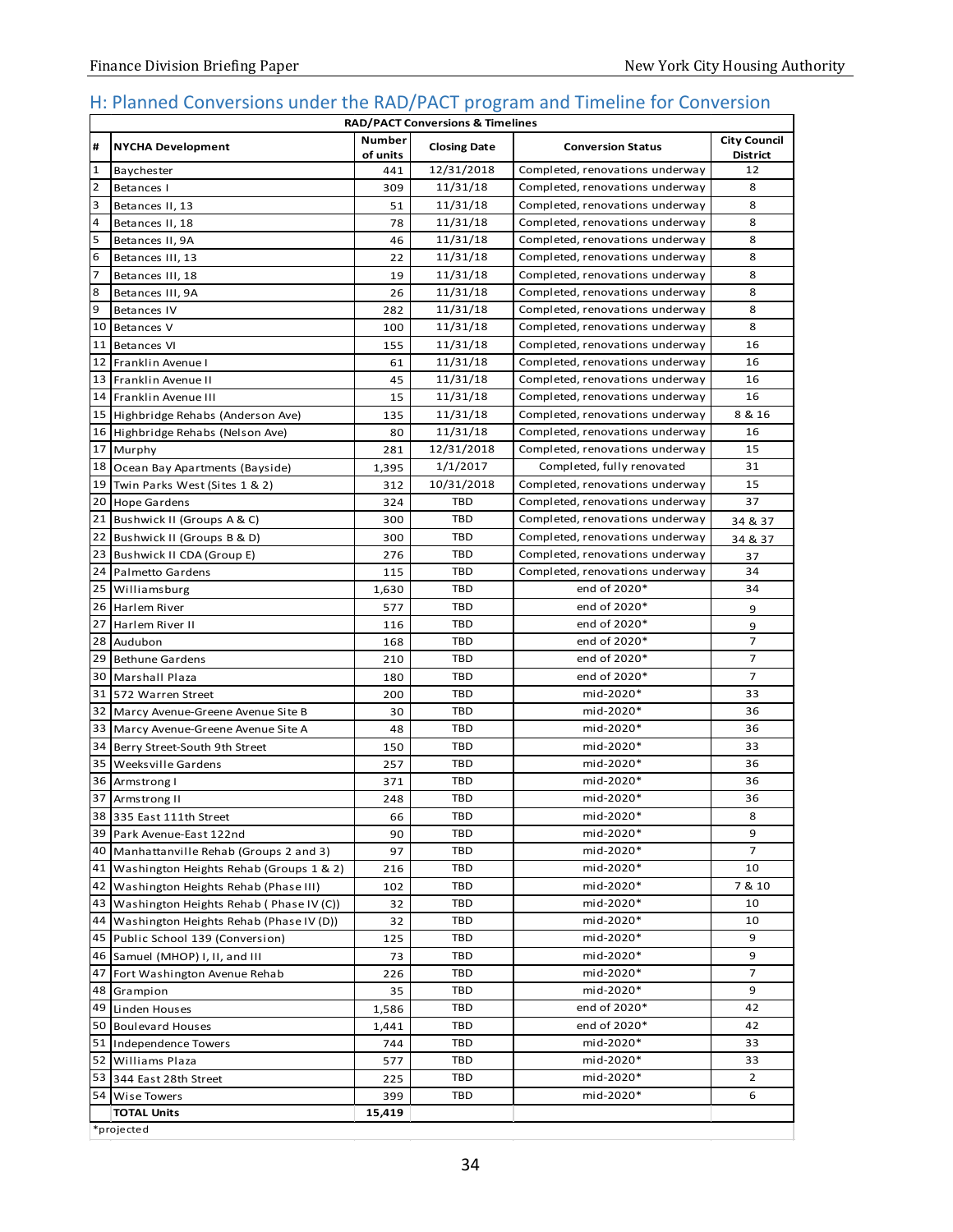### <span id="page-35-0"></span>H: Planned Conversions under the RAD/PACT program and Timeline for Conversion

| <b>RAD/PACT Conversions &amp; Timelines</b> |                                              |                           |                     |                                 |                                        |  |  |  |
|---------------------------------------------|----------------------------------------------|---------------------------|---------------------|---------------------------------|----------------------------------------|--|--|--|
| #                                           | <b>NYCHA Development</b>                     | <b>Number</b><br>of units | <b>Closing Date</b> | <b>Conversion Status</b>        | <b>City Council</b><br><b>District</b> |  |  |  |
| $\mathbf{1}$                                | Baychester                                   | 441                       | 12/31/2018          | Completed, renovations underway | 12                                     |  |  |  |
| $\overline{2}$                              | Betances I                                   | 309                       | 11/31/18            | Completed, renovations underway | 8                                      |  |  |  |
| 3                                           | Betances II, 13                              | 51                        | 11/31/18            | Completed, renovations underway | 8                                      |  |  |  |
| 4                                           | Betances II, 18                              | 78                        | 11/31/18            | Completed, renovations underway | 8                                      |  |  |  |
| 5                                           | Betances II, 9A                              | 46                        | 11/31/18            | Completed, renovations underway | 8                                      |  |  |  |
| 6                                           | Betances III, 13                             | 22                        | 11/31/18            | Completed, renovations underway | 8                                      |  |  |  |
| 7                                           | Betances III, 18                             | 19                        | 11/31/18            | Completed, renovations underway | 8                                      |  |  |  |
| 8                                           | Betances III, 9A                             | 26                        | 11/31/18            | Completed, renovations underway | 8                                      |  |  |  |
| 9                                           | Betances IV                                  | 282                       | 11/31/18            | Completed, renovations underway | 8                                      |  |  |  |
|                                             | 10 Betances V                                | 100                       | 11/31/18            | Completed, renovations underway | 8                                      |  |  |  |
|                                             | 11 Betances VI                               | 155                       | 11/31/18            | Completed, renovations underway | 16                                     |  |  |  |
| 12                                          | Franklin Avenue I                            | 61                        | 11/31/18            | Completed, renovations underway | 16                                     |  |  |  |
|                                             | 13 Franklin Avenue II                        | 45                        | 11/31/18            | Completed, renovations underway | 16                                     |  |  |  |
|                                             | 14 Franklin Avenue III                       | 15                        | 11/31/18            | Completed, renovations underway | 16                                     |  |  |  |
|                                             | 15 Highbridge Rehabs (Anderson Ave)          | 135                       | 11/31/18            | Completed, renovations underway | 8 & 16                                 |  |  |  |
|                                             | 16 Highbridge Rehabs (Nelson Ave)            | 80                        | 11/31/18            | Completed, renovations underway | 16                                     |  |  |  |
|                                             | 17 Murphy                                    | 281                       | 12/31/2018          | Completed, renovations underway | 15                                     |  |  |  |
|                                             | 18 Ocean Bay Apartments (Bayside)            | 1,395                     | 1/1/2017            | Completed, fully renovated      | 31                                     |  |  |  |
| 19 <sup>1</sup>                             | Twin Parks West (Sites 1 & 2)                | 312                       | 10/31/2018          | Completed, renovations underway | 15                                     |  |  |  |
|                                             | 20 Hope Gardens                              | 324                       | <b>TBD</b>          | Completed, renovations underway | 37                                     |  |  |  |
|                                             | 21 Bushwick II (Groups A & C)                | 300                       | <b>TBD</b>          | Completed, renovations underway | 34 & 37                                |  |  |  |
|                                             | 22 Bushwick II (Groups B & D)                | 300                       | <b>TBD</b>          | Completed, renovations underway | 34 & 37                                |  |  |  |
|                                             | 23 Bushwick II CDA (Group E)                 | 276                       | <b>TBD</b>          | Completed, renovations underway | 37                                     |  |  |  |
|                                             | 24 Palmetto Gardens                          | 115                       | <b>TBD</b>          | Completed, renovations underway | 34                                     |  |  |  |
|                                             | 25 Williamsburg                              | 1,630                     | <b>TBD</b>          | end of 2020*                    | 34                                     |  |  |  |
|                                             | 26 Harlem River                              | 577                       | <b>TBD</b>          | end of 2020*                    | 9                                      |  |  |  |
| 27                                          | Harlem River II                              | 116                       | <b>TBD</b>          | end of 2020*                    | 9                                      |  |  |  |
| 28                                          | Audubon                                      | 168                       | <b>TBD</b>          | end of 2020*                    | 7                                      |  |  |  |
|                                             | 29 Bethune Gardens                           | 210                       | <b>TBD</b>          | end of 2020*                    | 7                                      |  |  |  |
|                                             | 30 Marshall Plaza                            | 180                       | <b>TBD</b>          | end of 2020*                    | $\overline{7}$                         |  |  |  |
|                                             | 31 572 Warren Street                         | 200                       | TBD                 | mid-2020*                       | 33                                     |  |  |  |
|                                             | 32 Marcy Avenue-Greene Avenue Site B         | 30                        | <b>TBD</b>          | mid-2020*                       | 36                                     |  |  |  |
|                                             | 33 Marcy Avenue-Greene Avenue Site A         | 48                        | TBD                 | mid-2020*                       | 36                                     |  |  |  |
|                                             | 34 Berry Street-South 9th Street             | 150                       | TBD                 | mid-2020*                       | 33                                     |  |  |  |
|                                             | 35 Weeksville Gardens                        | 257                       | TBD                 | mid-2020*                       | 36                                     |  |  |  |
| 36                                          | Armstrong I                                  | 371                       | TBD                 | mid-2020*                       | 36                                     |  |  |  |
|                                             | 37 Armstrong II                              | 248                       | TBD                 | mid-2020*                       | 36                                     |  |  |  |
|                                             | 38 335 East 111th Street                     | 66                        | I BD.               | mid-2020*                       | 8                                      |  |  |  |
|                                             | 39 Park Avenue-East 122nd                    | 90                        | TBD                 | mid-2020*                       | 9                                      |  |  |  |
|                                             | 40 Manhattanville Rehab (Groups 2 and 3)     | 97                        | TBD                 | mid-2020*                       | 7                                      |  |  |  |
|                                             | 41 Washington Heights Rehab (Groups 1 & 2)   | 216                       | TBD                 | mid-2020*                       | 10                                     |  |  |  |
|                                             | 42 Washington Heights Rehab (Phase III)      | 102                       | TBD                 | mid-2020*                       | 7 & 10                                 |  |  |  |
|                                             | 43 Washington Heights Rehab (Phase IV (C))   | 32                        | TBD                 | mid-2020*                       | 10                                     |  |  |  |
|                                             | 44   Washington Heights Rehab (Phase IV (D)) | 32                        | TBD                 | mid-2020*                       | 10                                     |  |  |  |
|                                             | 45 Public School 139 (Conversion)            | 125                       | TBD                 | mid-2020*                       | 9                                      |  |  |  |
|                                             | 46 Samuel (MHOP) I, II, and III              | 73                        | TBD                 | mid-2020*                       | 9                                      |  |  |  |
|                                             | 47 Fort Washington Avenue Rehab              | 226                       | TBD                 | mid-2020*                       | $\overline{7}$                         |  |  |  |
|                                             | 48 Grampion                                  | 35                        | TBD                 | mid-2020*                       | 9                                      |  |  |  |
|                                             | 49 Linden Houses                             | 1,586                     | TBD                 | end of 2020*                    | 42                                     |  |  |  |
|                                             | 50 Boulevard Houses                          | 1,441                     | TBD                 | end of 2020*                    | 42                                     |  |  |  |
|                                             | 51 Independence Towers                       | 744                       | TBD                 | mid-2020*                       | 33                                     |  |  |  |
|                                             | 52 Williams Plaza                            | 577                       | TBD                 | mid-2020*                       | 33                                     |  |  |  |
|                                             | 53 344 East 28th Street                      | 225                       | TBD                 | mid-2020*                       | $\overline{2}$                         |  |  |  |
|                                             | 54 Wise Towers                               | 399                       | TBD                 | mid-2020*                       | 6                                      |  |  |  |
|                                             | <b>TOTAL Units</b>                           | 15,419                    |                     |                                 |                                        |  |  |  |
|                                             | *projected                                   |                           |                     |                                 |                                        |  |  |  |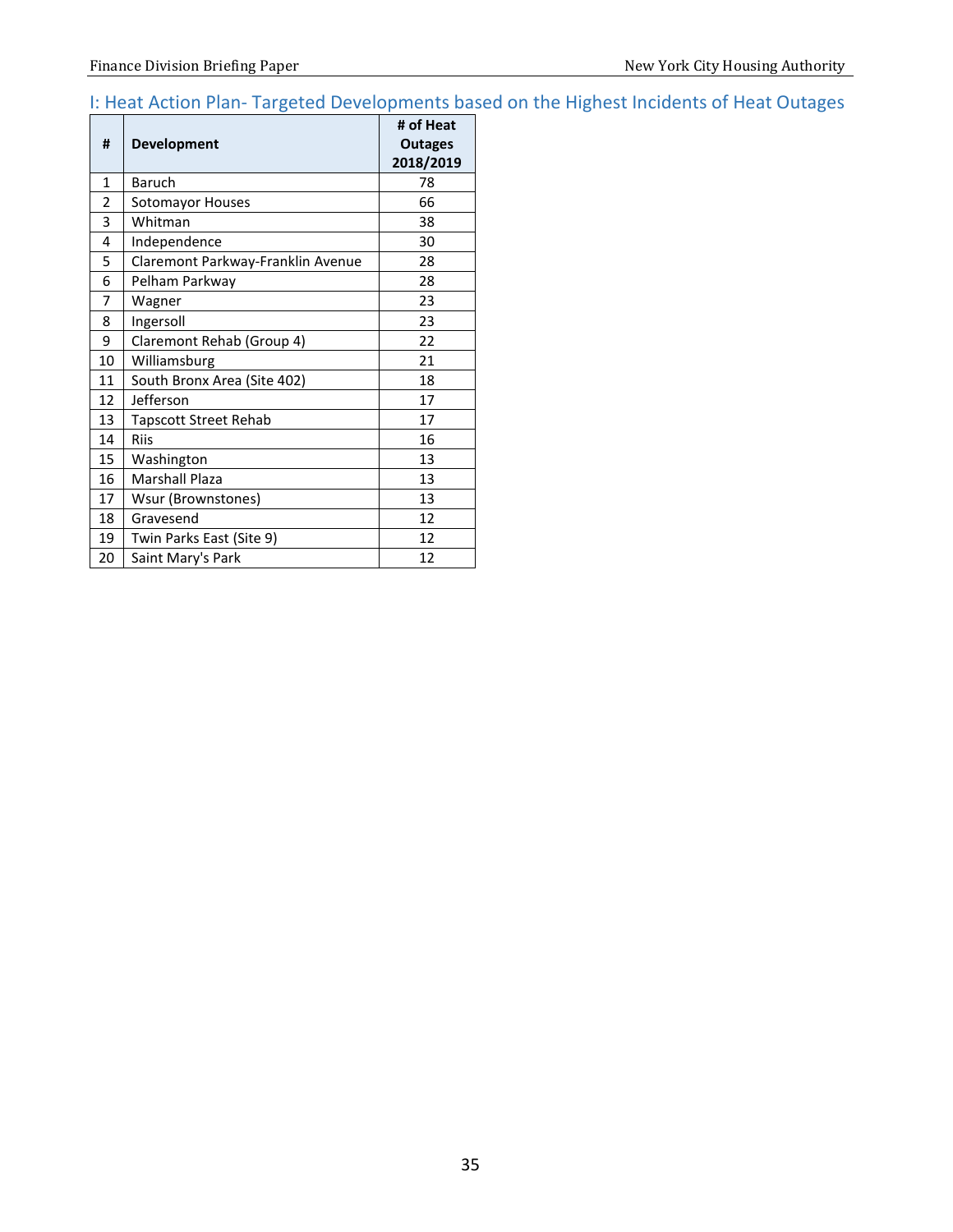# <span id="page-36-0"></span>I: Heat Action Plan- Targeted Developments based on the Highest Incidents of Heat Outages

| #            | <b>Development</b>                | # of Heat<br><b>Outages</b><br>2018/2019 |
|--------------|-----------------------------------|------------------------------------------|
| $\mathbf{1}$ | <b>Baruch</b>                     | 78                                       |
| 2            | Sotomayor Houses                  | 66                                       |
| 3            | Whitman                           | 38                                       |
| 4            | Independence                      | 30                                       |
| 5            | Claremont Parkway-Franklin Avenue | 28                                       |
| 6            | Pelham Parkway                    | 28                                       |
| 7            | Wagner                            | 23                                       |
| 8            | Ingersoll                         | 23                                       |
| 9            | Claremont Rehab (Group 4)         | 22                                       |
| 10           | Williamsburg                      | 21                                       |
| 11           | South Bronx Area (Site 402)       | 18                                       |
| 12           | Jefferson                         | 17                                       |
| 13           | Tapscott Street Rehab             | 17                                       |
| 14           | <b>Riis</b>                       | 16                                       |
| 15           | Washington                        | 13                                       |
| 16           | Marshall Plaza                    | 13                                       |
| 17           | Wsur (Brownstones)                | 13                                       |
| 18           | Gravesend                         | 12                                       |
| 19           | Twin Parks East (Site 9)          | 12                                       |
| 20           | Saint Mary's Park                 | 12                                       |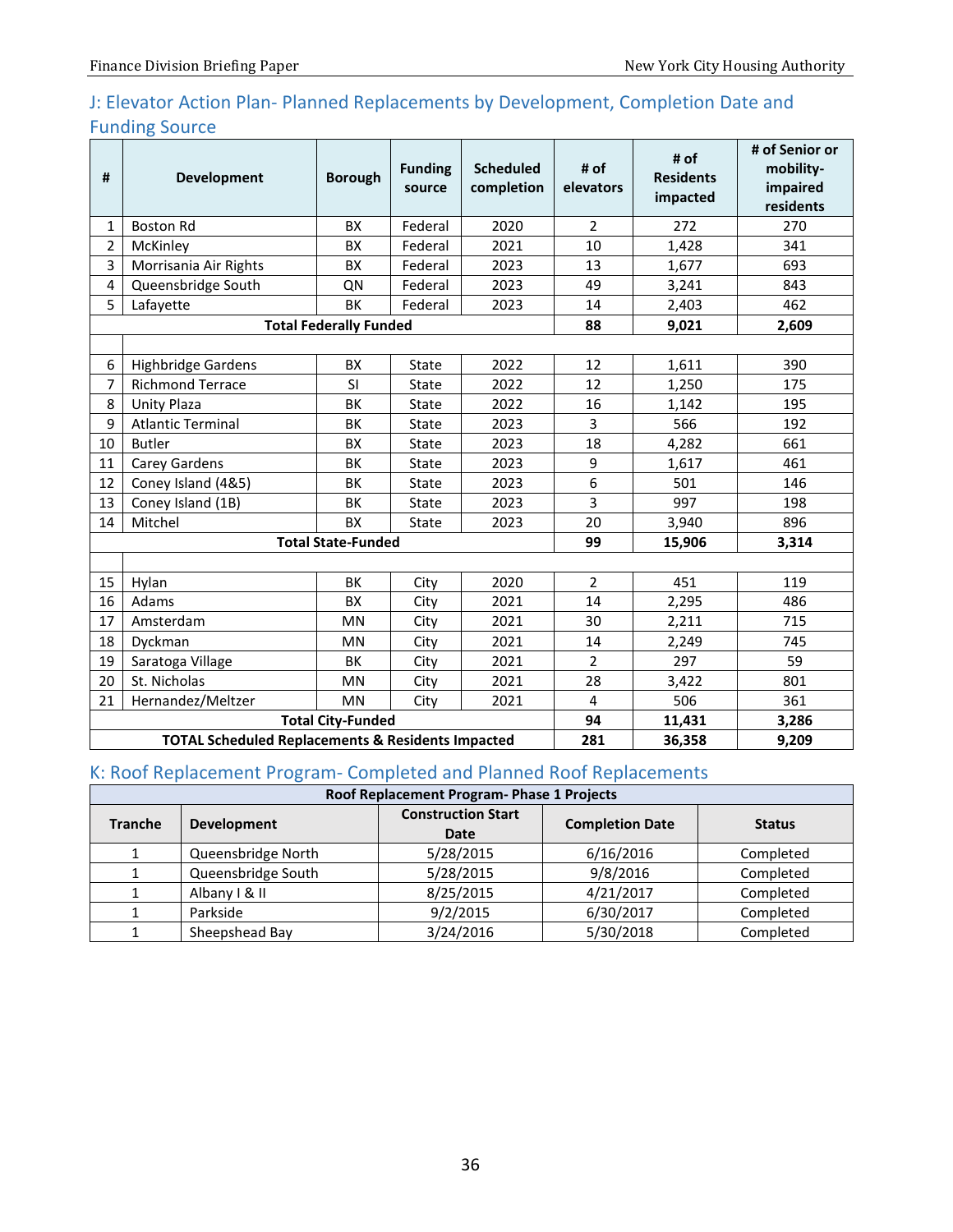# <span id="page-37-0"></span>J: Elevator Action Plan- Planned Replacements by Development, Completion Date and Funding Source

| #              | <b>Development</b>                                           | <b>Borough</b>                | <b>Funding</b><br>source | <b>Scheduled</b><br>completion | # of<br>elevators | # of<br><b>Residents</b><br>impacted | # of Senior or<br>mobility-<br>impaired<br>residents |
|----------------|--------------------------------------------------------------|-------------------------------|--------------------------|--------------------------------|-------------------|--------------------------------------|------------------------------------------------------|
| 1              | <b>Boston Rd</b>                                             | <b>BX</b>                     | Federal                  | 2020                           | $\overline{2}$    | 272                                  | 270                                                  |
| $\overline{2}$ | McKinley                                                     | <b>BX</b>                     | Federal                  | 2021                           | 10                | 1,428                                | 341                                                  |
| 3              | Morrisania Air Rights                                        | BX                            | Federal                  | 2023                           | 13                | 1,677                                | 693                                                  |
| 4              | Queensbridge South                                           | QN                            | Federal                  | 2023                           | 49                | 3,241                                | 843                                                  |
| 5              | Lafayette                                                    | BK                            | Federal                  | 2023                           | 14                | 2,403                                | 462                                                  |
|                |                                                              | <b>Total Federally Funded</b> |                          |                                | 88                | 9,021                                | 2,609                                                |
|                |                                                              |                               |                          |                                |                   |                                      |                                                      |
| 6              | <b>Highbridge Gardens</b>                                    | <b>BX</b>                     | State                    | 2022                           | 12                | 1,611                                | 390                                                  |
| 7              | <b>Richmond Terrace</b>                                      | SI                            | State                    | 2022                           | 12                | 1,250                                | 175                                                  |
| 8              | <b>Unity Plaza</b>                                           | BK                            | State                    | 2022                           | 16                | 1,142                                | 195                                                  |
| 9              | <b>Atlantic Terminal</b>                                     | BK                            | State                    | 2023                           | 3                 | 566                                  | 192                                                  |
| 10             | <b>Butler</b>                                                | <b>BX</b>                     | State                    | 2023                           | 18                | 4,282                                | 661                                                  |
| 11             | Carey Gardens                                                | BK                            | State                    | 2023                           | 9                 | 1,617                                | 461                                                  |
| 12             | Coney Island (4&5)                                           | BK                            | State                    | 2023                           | 6                 | 501                                  | 146                                                  |
| 13             | Coney Island (1B)                                            | BK                            | State                    | 2023                           | 3                 | 997                                  | 198                                                  |
| 14             | Mitchel                                                      | <b>BX</b>                     | State                    | 2023                           | 20                | 3,940                                | 896                                                  |
|                |                                                              | <b>Total State-Funded</b>     |                          |                                | 99                | 15,906                               | 3,314                                                |
|                |                                                              |                               |                          |                                |                   |                                      |                                                      |
| 15             | Hylan                                                        | <b>BK</b>                     | City                     | 2020                           | $\overline{2}$    | 451                                  | 119                                                  |
| 16             | Adams                                                        | <b>BX</b>                     | City                     | 2021                           | 14                | 2,295                                | 486                                                  |
| 17             | Amsterdam                                                    | MN                            | City                     | 2021                           | 30                | 2,211                                | 715                                                  |
| 18             | Dyckman                                                      | <b>MN</b>                     | City                     | 2021                           | 14                | 2,249                                | 745                                                  |
| 19             | Saratoga Village                                             | BK                            | City                     | 2021                           | $\overline{2}$    | 297                                  | 59                                                   |
| 20             | St. Nicholas                                                 | <b>MN</b>                     | City                     | 2021                           | 28                | 3,422                                | 801                                                  |
| 21             | Hernandez/Meltzer                                            | <b>MN</b>                     | City                     | 2021                           | 4                 | 506                                  | 361                                                  |
|                | <b>Total City-Funded</b>                                     |                               |                          |                                |                   | 11,431                               | 3,286                                                |
|                | <b>TOTAL Scheduled Replacements &amp; Residents Impacted</b> |                               |                          |                                | 281               | 36,358                               | 9,209                                                |

# <span id="page-37-1"></span>K: Roof Replacement Program- Completed and Planned Roof Replacements

| Roof Replacement Program- Phase 1 Projects |                    |                                          |                        |               |  |  |  |
|--------------------------------------------|--------------------|------------------------------------------|------------------------|---------------|--|--|--|
| <b>Tranche</b>                             | <b>Development</b> | <b>Construction Start</b><br><b>Date</b> | <b>Completion Date</b> | <b>Status</b> |  |  |  |
|                                            |                    |                                          |                        |               |  |  |  |
|                                            | Queensbridge North | 5/28/2015                                | 6/16/2016              | Completed     |  |  |  |
|                                            | Queensbridge South | 5/28/2015                                | 9/8/2016               | Completed     |  |  |  |
|                                            | Albany I & II      | 8/25/2015                                | 4/21/2017              | Completed     |  |  |  |
|                                            | Parkside           | 9/2/2015                                 | 6/30/2017              | Completed     |  |  |  |
|                                            | Sheepshead Bay     | 3/24/2016                                | 5/30/2018              | Completed     |  |  |  |